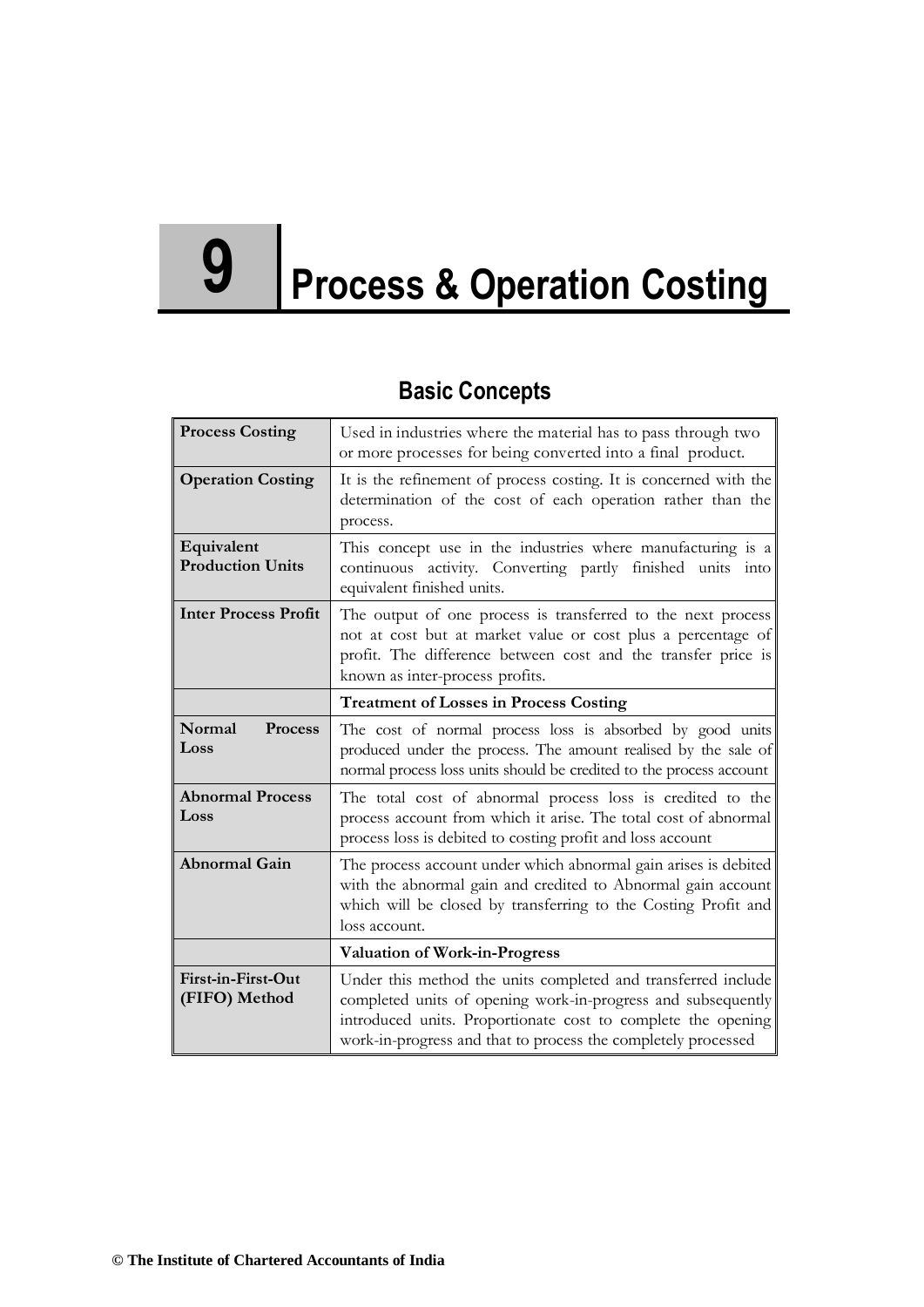# **9 Process & Operation Costing**

# **Basic Concepts**

| <b>Process Costing</b>                | Used in industries where the material has to pass through two<br>or more processes for being converted into a final product.                                                                                                                                   |
|---------------------------------------|----------------------------------------------------------------------------------------------------------------------------------------------------------------------------------------------------------------------------------------------------------------|
| <b>Operation Costing</b>              | It is the refinement of process costing. It is concerned with the<br>determination of the cost of each operation rather than the<br>process.                                                                                                                   |
| Equivalent<br><b>Production Units</b> | This concept use in the industries where manufacturing is a<br>continuous activity. Converting partly finished units into<br>equivalent finished units.                                                                                                        |
| <b>Inter Process Profit</b>           | The output of one process is transferred to the next process<br>not at cost but at market value or cost plus a percentage of<br>profit. The difference between cost and the transfer price is<br>known as inter-process profits.                               |
|                                       | <b>Treatment of Losses in Process Costing</b>                                                                                                                                                                                                                  |
| Normal<br>Process<br>Loss             | The cost of normal process loss is absorbed by good units<br>produced under the process. The amount realised by the sale of<br>normal process loss units should be credited to the process account                                                             |
| <b>Abnormal Process</b><br>Loss       | The total cost of abnormal process loss is credited to the<br>process account from which it arise. The total cost of abnormal<br>process loss is debited to costing profit and loss account                                                                    |
| <b>Abnormal Gain</b>                  | The process account under which abnormal gain arises is debited<br>with the abnormal gain and credited to Abnormal gain account<br>which will be closed by transferring to the Costing Profit and<br>loss account.                                             |
|                                       | <b>Valuation of Work-in-Progress</b>                                                                                                                                                                                                                           |
| First-in-First-Out<br>(FIFO) Method   | Under this method the units completed and transferred include<br>completed units of opening work-in-progress and subsequently<br>introduced units. Proportionate cost to complete the opening<br>work-in-progress and that to process the completely processed |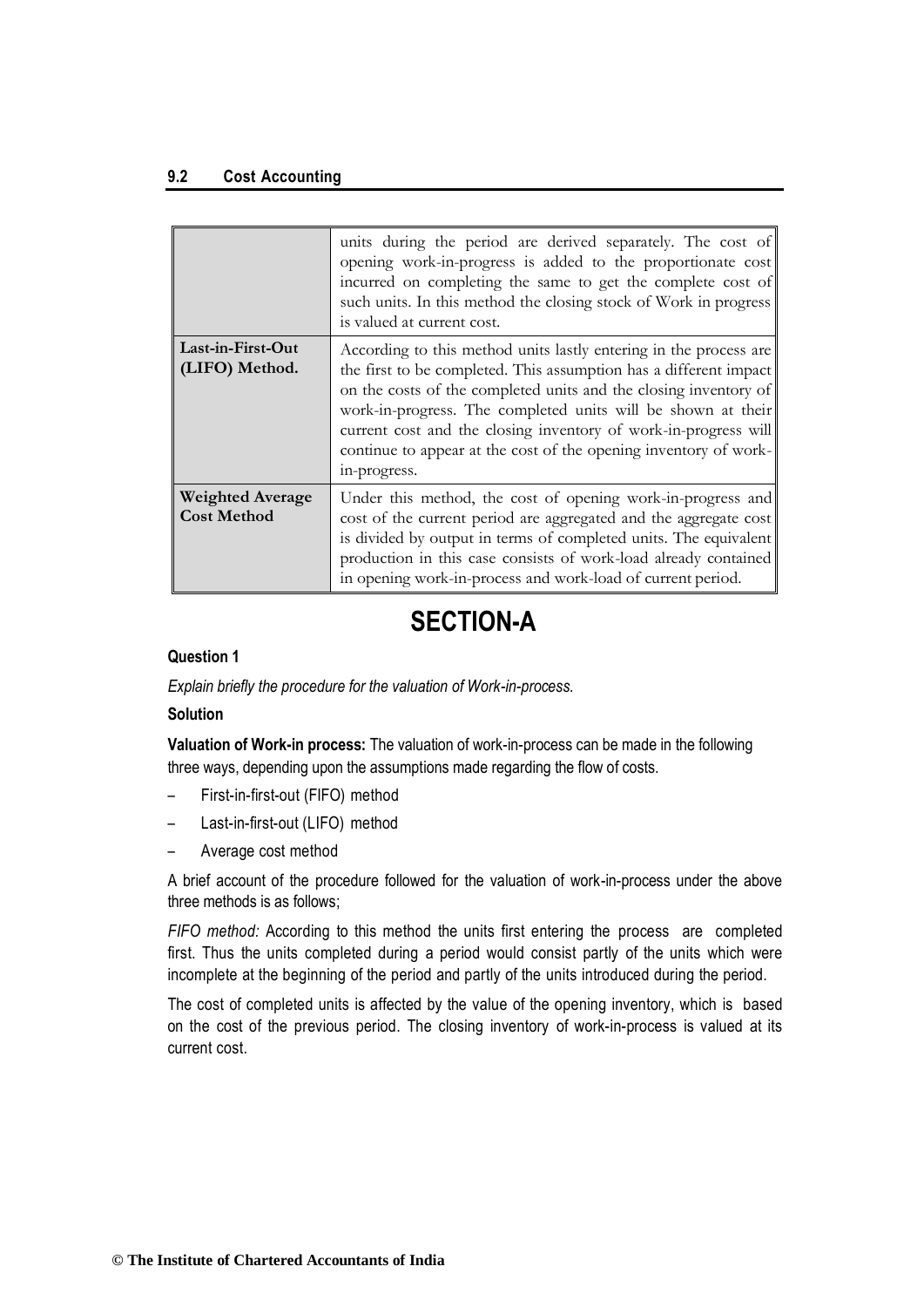#### **9.2 Cost Accounting**

|                                               | units during the period are derived separately. The cost of<br>opening work-in-progress is added to the proportionate cost<br>incurred on completing the same to get the complete cost of<br>such units. In this method the closing stock of Work in progress<br>is valued at current cost.                                                                                                                                       |
|-----------------------------------------------|-----------------------------------------------------------------------------------------------------------------------------------------------------------------------------------------------------------------------------------------------------------------------------------------------------------------------------------------------------------------------------------------------------------------------------------|
| Last-in-First-Out<br>(LIFO) Method.           | According to this method units lastly entering in the process are<br>the first to be completed. This assumption has a different impact<br>on the costs of the completed units and the closing inventory of<br>work-in-progress. The completed units will be shown at their<br>current cost and the closing inventory of work-in-progress will<br>continue to appear at the cost of the opening inventory of work-<br>in-progress. |
| <b>Weighted Average</b><br><b>Cost Method</b> | Under this method, the cost of opening work-in-progress and<br>cost of the current period are aggregated and the aggregate cost<br>is divided by output in terms of completed units. The equivalent<br>production in this case consists of work-load already contained<br>in opening work-in-process and work-load of current period.                                                                                             |

# **SECTION-A**

## **Question 1**

*Explain briefly the procedure for the valuation of Work-in-process.*

#### **Solution**

**Valuation of Work-in process:** The valuation of work-in-process can be made in the following three ways, depending upon the assumptions made regarding the flow of costs.

- First-in-first-out (FIFO) method
- Last-in-first-out (LIFO) method
- Average cost method

A brief account of the procedure followed for the valuation of work-in-process under the above three methods is as follows;

*FIFO method:* According to this method the units first entering the process are completed first. Thus the units completed during a period would consist partly of the units which were incomplete at the beginning of the period and partly of the units introduced during the period.

The cost of completed units is affected by the value of the opening inventory, which is based on the cost of the previous period. The closing inventory of work-in-process is valued at its current cost.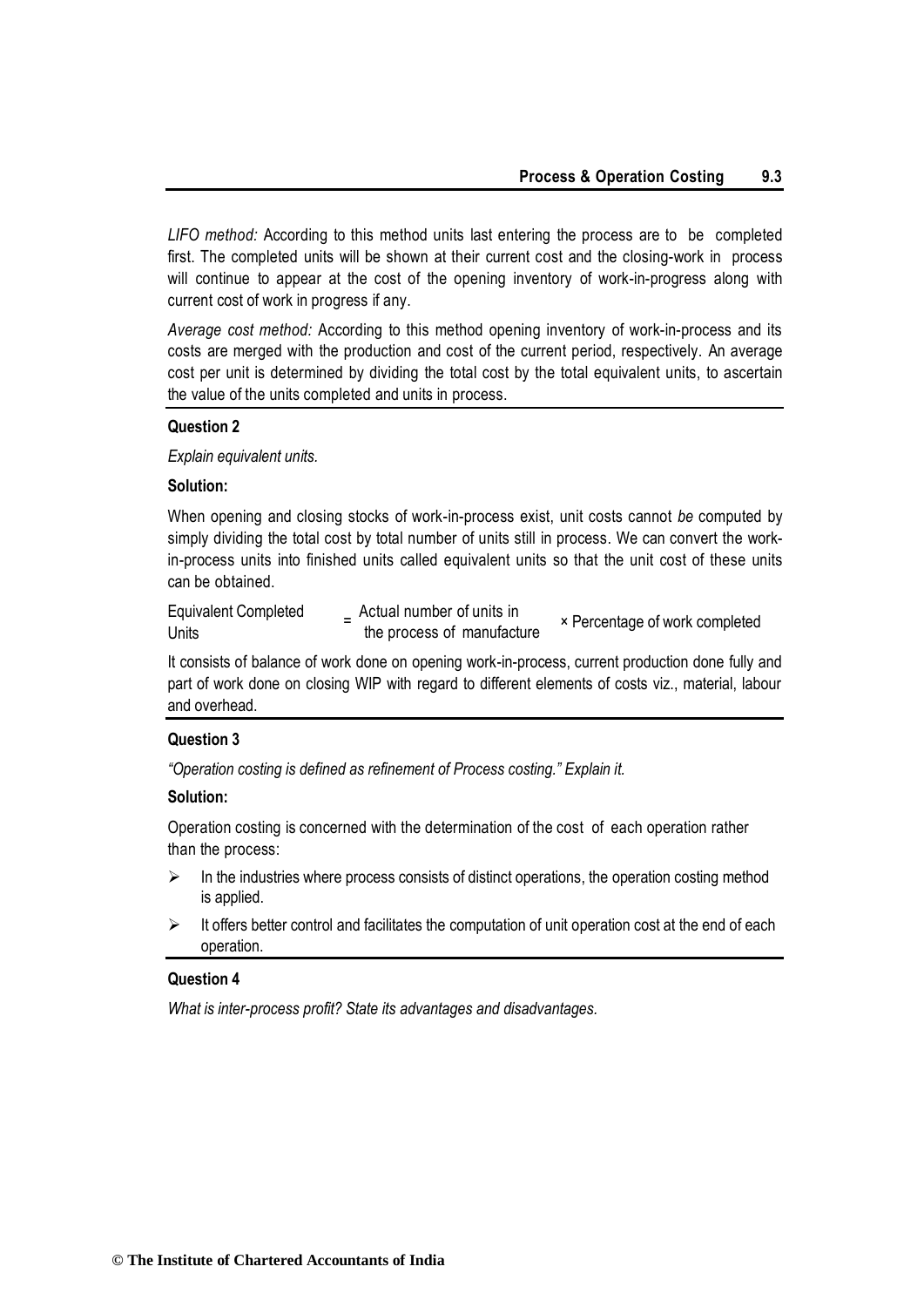*LIFO method:* According to this method units last entering the process are to be completed first. The completed units will be shown at their current cost and the closing-work in process will continue to appear at the cost of the opening inventory of work-in-progress along with current cost of work in progress if any.

*Average cost method:* According to this method opening inventory of work-in-process and its costs are merged with the production and cost of the current period, respectively. An average cost per unit is determined by dividing the total cost by the total equivalent units, to ascertain the value of the units completed and units in process.

#### **Question 2**

*Explain equivalent units.*

## **Solution:**

When opening and closing stocks of work-in-process exist, unit costs cannot *be* computed by simply dividing the total cost by total number of units still in process. We can convert the workin-process units into finished units called equivalent units so that the unit cost of these units can be obtained.

| <b>Equivalent Completed</b> | Actual number of units in  | × Percentage of work completed |
|-----------------------------|----------------------------|--------------------------------|
| Units                       | the process of manufacture |                                |

It consists of balance of work done on opening work-in-process, current production done fully and part of work done on closing WIP with regard to different elements of costs viz., material, labour and overhead.

#### **Question 3**

*"Operation costing is defined as refinement of Process costing." Explain it.*

#### **Solution:**

Operation costing is concerned with the determination of the cost of each operation rather than the process:

- $\triangleright$  In the industries where process consists of distinct operations, the operation costing method is applied.
- $\triangleright$  It offers better control and facilitates the computation of unit operation cost at the end of each operation.

## **Question 4**

*What is inter-process profit? State its advantages and disadvantages.*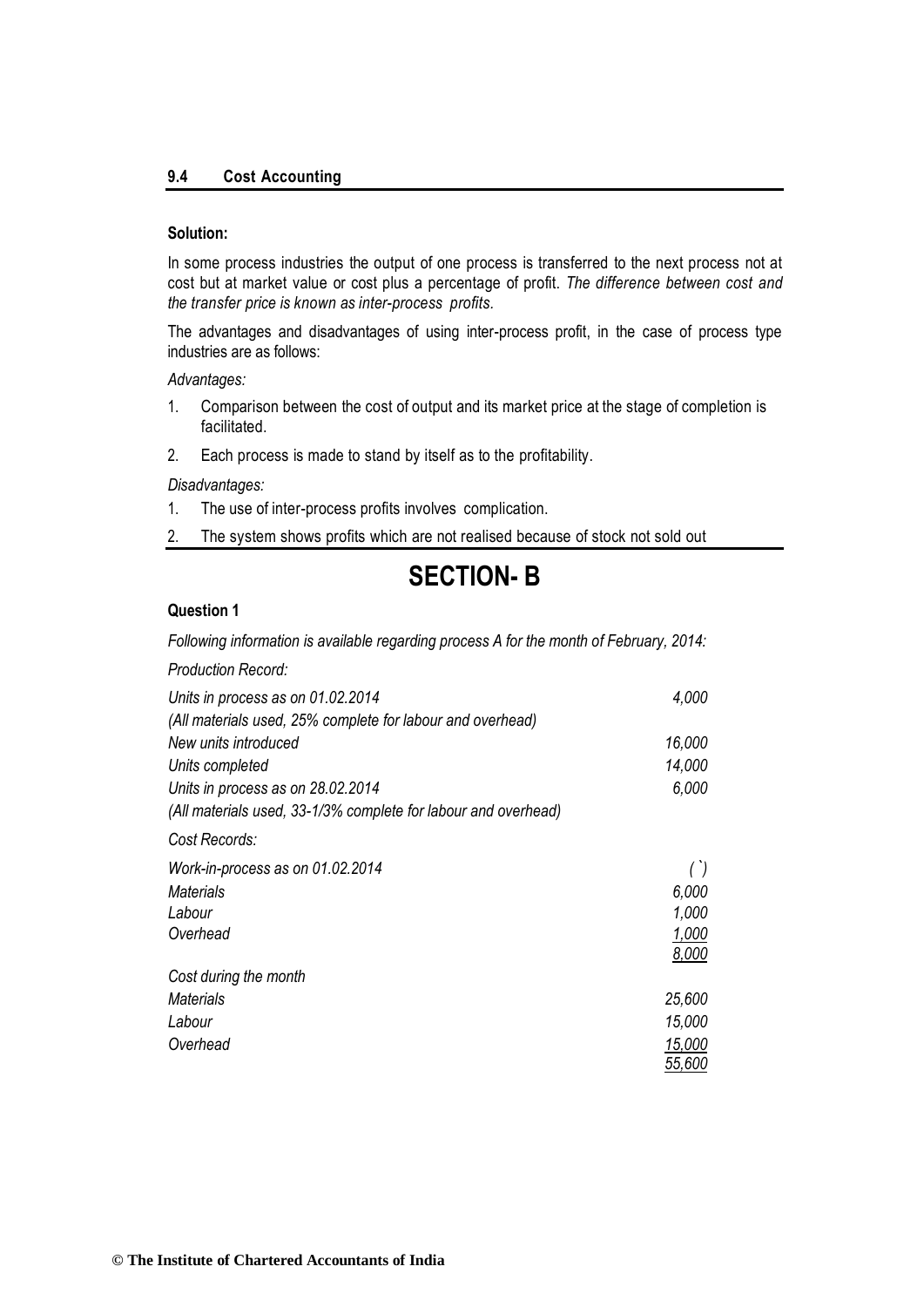#### **9.4 Cost Accounting**

#### **Solution:**

In some process industries the output of one process is transferred to the next process not at cost but at market value or cost plus a percentage of profit. *The difference between cost and the transfer price is known as inter-process profits.*

The advantages and disadvantages of using inter-process profit, in the case of process type industries are as follows:

*Advantages:*

- 1. Comparison between the cost of output and its market price at the stage of completion is facilitated.
- 2. Each process is made to stand by itself as to the profitability.

*Disadvantages:*

- 1. The use of inter-process profits involves complication.
- 2. The system shows profits which are not realised because of stock not sold out

# **SECTION- B**

#### **Question 1**

*Following information is available regarding process A for the month of February, 2014:* 

*Production Record:*

| Units in process as on 01.02.2014                              | 4,000  |
|----------------------------------------------------------------|--------|
| (All materials used, 25% complete for labour and overhead)     |        |
| New units introduced                                           | 16,000 |
| Units completed                                                | 14,000 |
| Units in process as on 28.02.2014                              | 6,000  |
| (All materials used, 33-1/3% complete for labour and overhead) |        |
| Cost Records:                                                  |        |
| Work-in-process as on 01.02.2014                               | ()     |
| <b>Materials</b>                                               | 6,000  |
| Labour                                                         | 1.000  |
| Overhead                                                       | 1,000  |
|                                                                | 8,000  |
| Cost during the month                                          |        |
| Materials                                                      | 25,600 |
| Labour                                                         | 15,000 |
| Overhead                                                       | 15,000 |
|                                                                | 55,600 |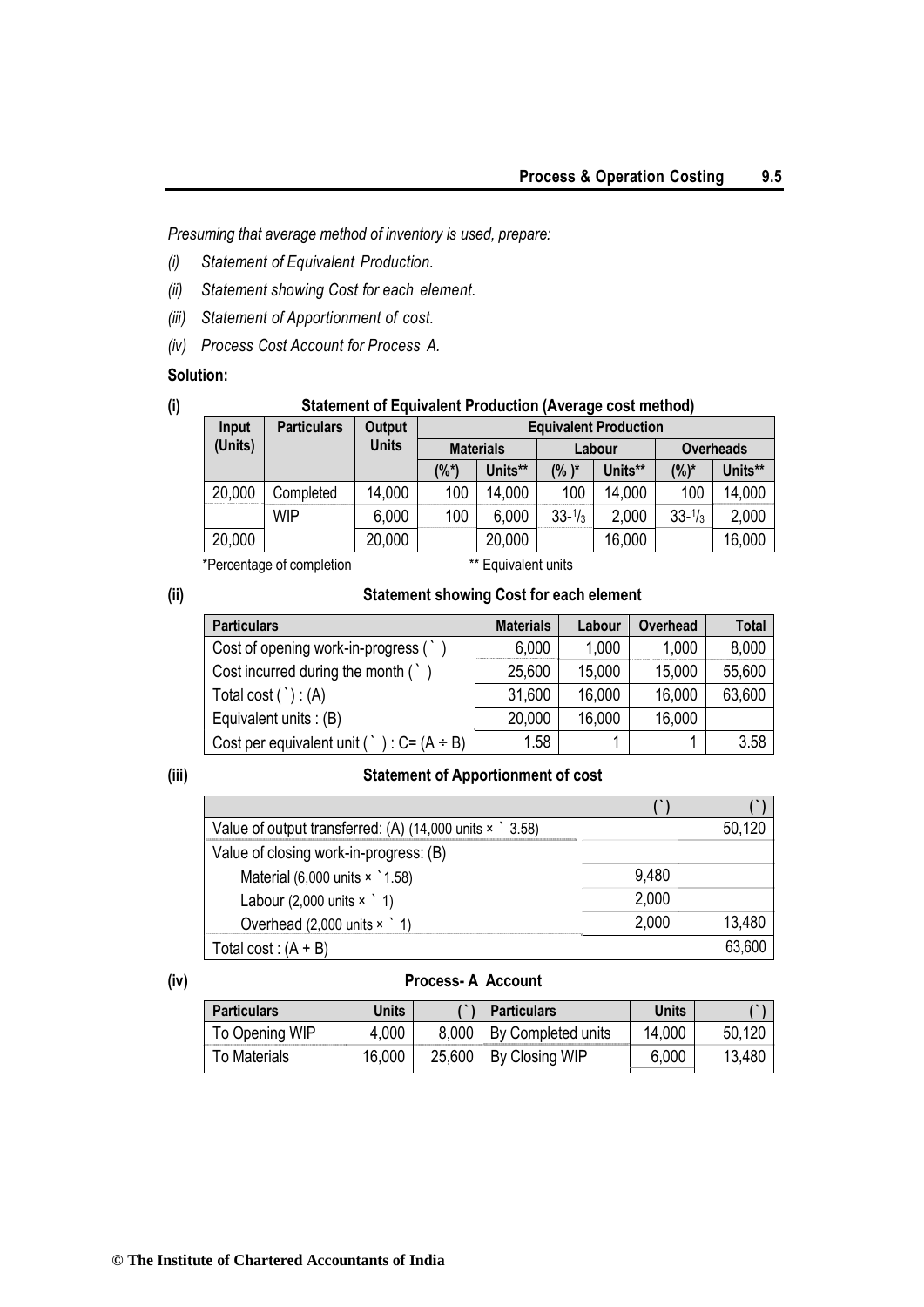*Presuming that average method of inventory is used, prepare:*

- *(i) Statement of Equivalent Production.*
- *(ii) Statement showing Cost for each element.*
- *(iii) Statement of Apportionment of cost.*
- *(iv) Process Cost Account for Process A.*

## **Solution:**

# **(i) Statement of Equivalent Production (Average cost method)**

| Input   | <b>Particulars</b> | Output       | <b>Equivalent Production</b> |                  |                    |         |                    |                  |
|---------|--------------------|--------------|------------------------------|------------------|--------------------|---------|--------------------|------------------|
| (Units) |                    | <b>Units</b> |                              | <b>Materials</b> |                    | Labour  |                    | <b>Overheads</b> |
|         |                    |              | (%*)                         | Units**          | $(% )^*$           | Units** | $(%)^*$            | Units**          |
| 20,000  | Completed          | 14,000       | 100                          | 14,000           | 100                | 14,000  | 100                | 14,000           |
|         | <b>WIP</b>         | 6,000        | 100                          | 6,000            | $33 - \frac{1}{3}$ | 2,000   | $33 - \frac{1}{3}$ | 2,000            |
| 20,000  |                    | 20,000       |                              | 20,000           |                    | 16,000  |                    | 16,000           |

\*Percentage of completion \*\* Equivalent units

## **(ii) Statement showing Cost for each element**

| <b>Particulars</b>                                     | <b>Materials</b> | Labour | <b>Overhead</b> | Total  |
|--------------------------------------------------------|------------------|--------|-----------------|--------|
| Cost of opening work-in-progress (`                    | 6,000            | 1,000  | 1,000           | 8,000  |
| Cost incurred during the month (                       | 25,600           | 15,000 | 15,000          | 55,600 |
| Total cost $($ `) : $(A)$                              | 31,600           | 16,000 | 16,000          | 63,600 |
| Equivalent units : $(B)$                               | 20,000           | 16,000 | 16,000          |        |
| Cost per equivalent unit ( $\cdot$ ) : C= (A $\div$ B) | 1.58             |        |                 | 3.58   |

#### **(iii) Statement of Apportionment of cost**

| Value of output transferred: (A) $(14,000 \text{ units} \times \degree 3.58)$ |       | 50,120 |
|-------------------------------------------------------------------------------|-------|--------|
| Value of closing work-in-progress: (B)                                        |       |        |
| Material (6,000 units $\times$ 1.58)                                          | 9,480 |        |
| Labour $(2,000 \text{ units} \times \degree 1)$                               | 2,000 |        |
| Overhead $(2,000 \text{ units} \times 1)$                                     | 2,000 | 13,480 |
| Total cost: $(A + B)$                                                         |       | 63,600 |

## **(iv) Process- A Account**

| <b>Particulars</b> | Units  | <b>Particulars</b>         | Units  |        |
|--------------------|--------|----------------------------|--------|--------|
| To Opening WIP     | 4,000  | 8,000   By Completed units | 14,000 | 50,120 |
| To Materials       | 16,000 | 25,600   By Closing WIP    | 6,000  | 13,480 |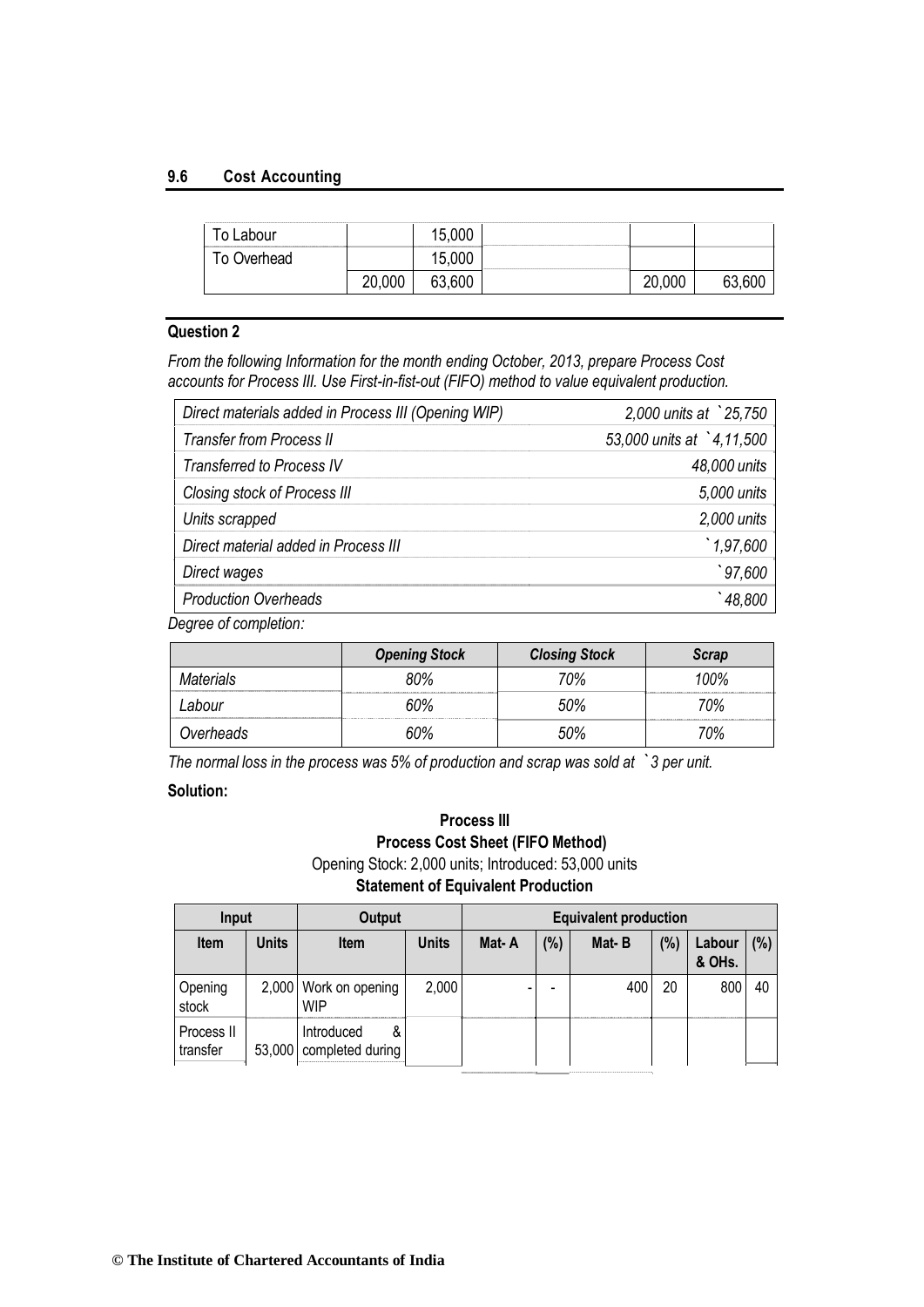#### **9.6 Cost Accounting**

| ⊺o Labour   |        | 15,000 |        |        |
|-------------|--------|--------|--------|--------|
| Γο Overhead |        | 15,000 |        |        |
|             | 20,000 | 63,600 | 20,000 | 63.60C |

## **Question 2**

*From the following Information for the month ending October, 2013, prepare Process Cost accounts for Process III. Use First-in-fist-out (FIFO) method to value equivalent production.*

| Direct materials added in Process III (Opening WIP) | 2,000 units at 25,750    |
|-----------------------------------------------------|--------------------------|
| <b>Transfer from Process II</b>                     | 53,000 units at 4,11,500 |
| <b>Transferred to Process IV</b>                    | 48,000 units             |
| Closing stock of Process III                        | 5,000 units              |
| Units scrapped                                      | $2,000$ units            |
| Direct material added in Process III                | 1,97,600                 |
| Direct wages                                        | 97,600                   |
| <b>Production Overheads</b>                         | 48,800                   |

*Degree of completion:*

|           | <b>Opening Stock</b> | <b>Closing Stock</b> | Scrap    |
|-----------|----------------------|----------------------|----------|
| Materials | <br>,,,,,,,,,,,,,,,  | ገ%                   | ገ0%<br>. |
| .abour    |                      | ገ%                   | '0%      |
| )verheads |                      | ገ‰                   | ገባ%      |

*The normal loss in the process was 5% of production and scrap was sold at `3 per unit.*

#### **Solution:**

## **Process III Process Cost Sheet (FIFO Method)** Opening Stock: 2,000 units; Introduced: 53,000 units

**Statement of Equivalent Production**

| Input                  |       | Output                                     |              | <b>Equivalent production</b> |      |       |     |                  |     |  |
|------------------------|-------|--------------------------------------------|--------------|------------------------------|------|-------|-----|------------------|-----|--|
| <b>Item</b>            | Units | <b>Item</b>                                | <b>Units</b> | Mat-A                        | (% ) | Mat-B | (%) | Labour<br>& OHs. | (%) |  |
| Opening<br>stock       |       | 2,000 Work on opening<br><b>WIP</b>        | 2,000        |                              |      | 400   | 20  | 800              | 40  |  |
| Process II<br>transfer |       | Introduced<br>&<br>53,000 completed during |              |                              |      |       |     |                  |     |  |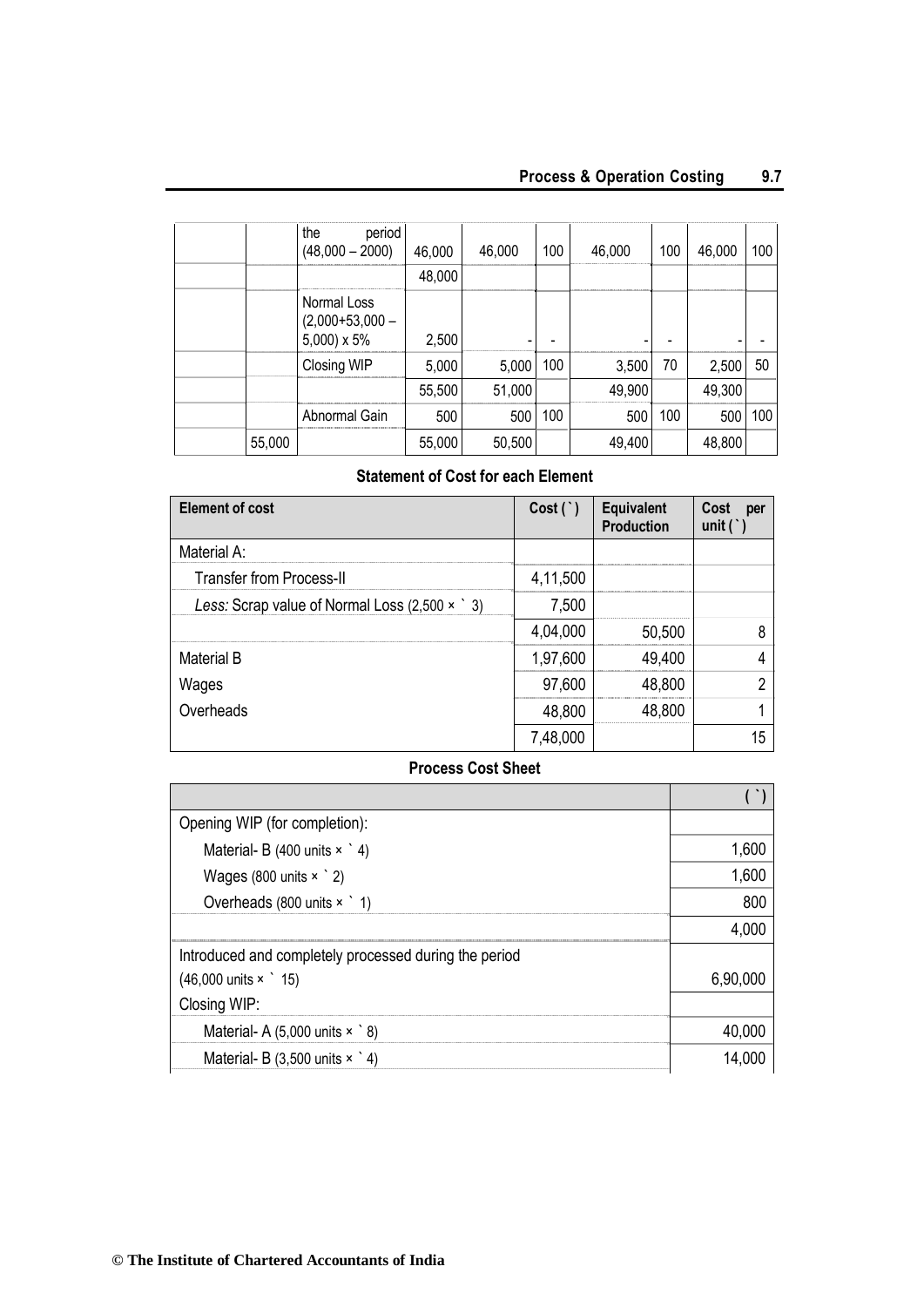|        | the<br>period<br>$(48,000 - 2000)$         | 46,000 | 46,000    | 100 | 46,000 | 100 | 46,000 | 100 |
|--------|--------------------------------------------|--------|-----------|-----|--------|-----|--------|-----|
|        |                                            | 48,000 |           |     |        |     |        |     |
|        | Normal Loss<br>$(2,000+53,000-5,000)$ x 5% | 2,500  |           |     |        |     |        |     |
|        | Closing WIP                                | 5,000  | 5,000 100 |     | 3,500  | 70  | 2,500  | 50  |
|        |                                            | 55,500 | 51,000    |     | 49,900 |     | 49,300 |     |
|        | Abnormal Gain                              | 500    | 500       | 100 | 500    | 100 | 500    | 100 |
| 55,000 |                                            | 55,000 | 50,500    |     | 49,400 |     | 48,800 |     |

#### **Statement of Cost for each Element**

| <b>Element of cost</b>                              | Cost(')  | <b>Equivalent</b><br><b>Production</b> | Cost<br>per<br>unit $($ $)$ |
|-----------------------------------------------------|----------|----------------------------------------|-----------------------------|
| Material A:                                         |          |                                        |                             |
| <b>Transfer from Process-II</b>                     | 4,11,500 |                                        |                             |
| Less: Scrap value of Normal Loss $(2,500 \times 3)$ | 7,500    |                                        |                             |
|                                                     | 4,04,000 | 50,500                                 |                             |
| <b>Material B</b>                                   | 1,97,600 | 49,400                                 |                             |
| Wages                                               | 97,600   | 48,800                                 |                             |
| Overheads                                           | 48,800   | 48,800                                 |                             |
|                                                     | 7,48,000 |                                        | 15                          |

## **Process Cost Sheet**

| Opening WIP (for completion):                         |          |
|-------------------------------------------------------|----------|
| Material- B (400 units $\times$ 4)                    | 1,600    |
| Wages (800 units $\times$ $\degree$ 2)                | 1,600    |
| Overheads (800 units $\times$ 1)                      | 800      |
|                                                       | 4,000    |
| Introduced and completely processed during the period |          |
| $(46,000 \text{ units} \times \degree 15)$            | 6,90,000 |
| Closing WIP:                                          |          |
| Material- A $(5,000 \text{ units} \times \degree 8)$  | 40,000   |
| Material- B $(3,500 \text{ units} \times \degree 4)$  | 14,000   |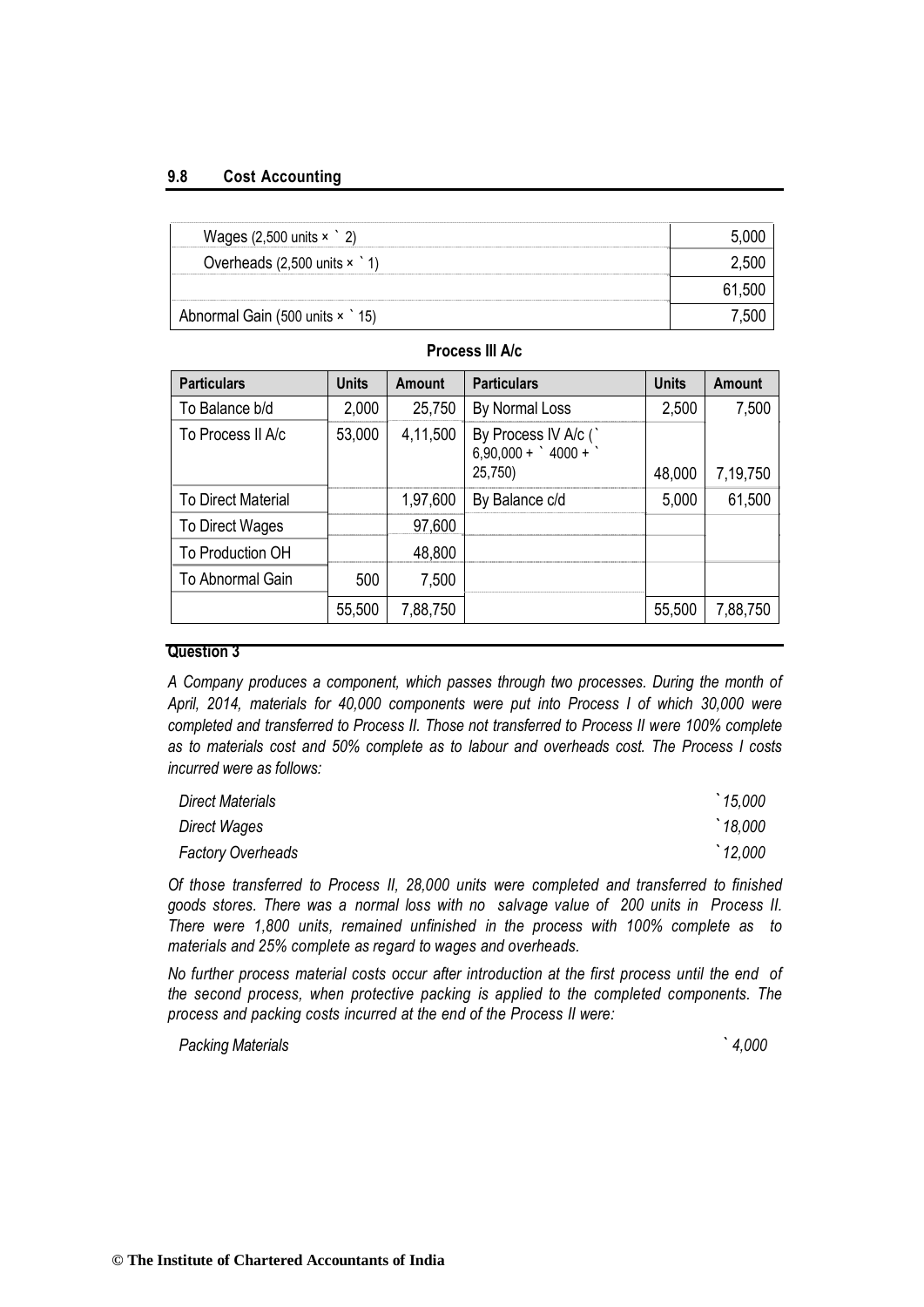#### **9.8 Cost Accounting**

| Wages $(2,500 \text{ units} \times 2)$         |  |
|------------------------------------------------|--|
| Overheads $(2,500 \text{ units} \times 1)$<br> |  |
| -----------                                    |  |
| Abnormal Gain (500 units x 15)                 |  |

## **Process III A/c**

| <b>Particulars</b>        | <b>Units</b> | Amount   | <b>Particulars</b>                                       | <b>Units</b> | Amount   |
|---------------------------|--------------|----------|----------------------------------------------------------|--------------|----------|
| To Balance b/d            | 2,000        | 25,750   | By Normal Loss                                           | 2,500        | 7,500    |
| To Process II A/c         | 53,000       | 4,11,500 | By Process IV A/c (`<br>6,90,000 + ` 4000 + `<br>25,750) | 48,000       | 7,19,750 |
| <b>To Direct Material</b> |              | 1,97,600 | By Balance c/d                                           | 5,000        | 61,500   |
| To Direct Wages           |              | 97,600   |                                                          |              |          |
| To Production OH          |              | 48,800   |                                                          |              |          |
| To Abnormal Gain          | 500          | 7,500    |                                                          |              |          |
|                           | 55,500       | 7,88,750 |                                                          | 55,500       | 7,88,750 |

#### **Question 3**

*A Company produces a component, which passes through two processes. During the month of April, 2014, materials for 40,000 components were put into Process I of which 30,000 were completed and transferred to Process II. Those not transferred to Process II were 100% complete as to materials cost and 50% complete as to labour and overheads cost. The Process I costs incurred were as follows:*

| Direct Materials         | $\hat{}$ 15,000 |
|--------------------------|-----------------|
| Direct Wages             | 18,000          |
| <b>Factory Overheads</b> | '12,000         |

*Of those transferred to Process II, 28,000 units were completed and transferred to finished goods stores. There was a normal loss with no salvage value of 200 units in Process II. There were 1,800 units, remained unfinished in the process with 100% complete as to materials and 25% complete as regard to wages and overheads.*

*No further process material costs occur after introduction at the first process until the end of the second process, when protective packing is applied to the completed components. The process and packing costs incurred at the end of the Process II were:*

*Packing Materials ` 4,000*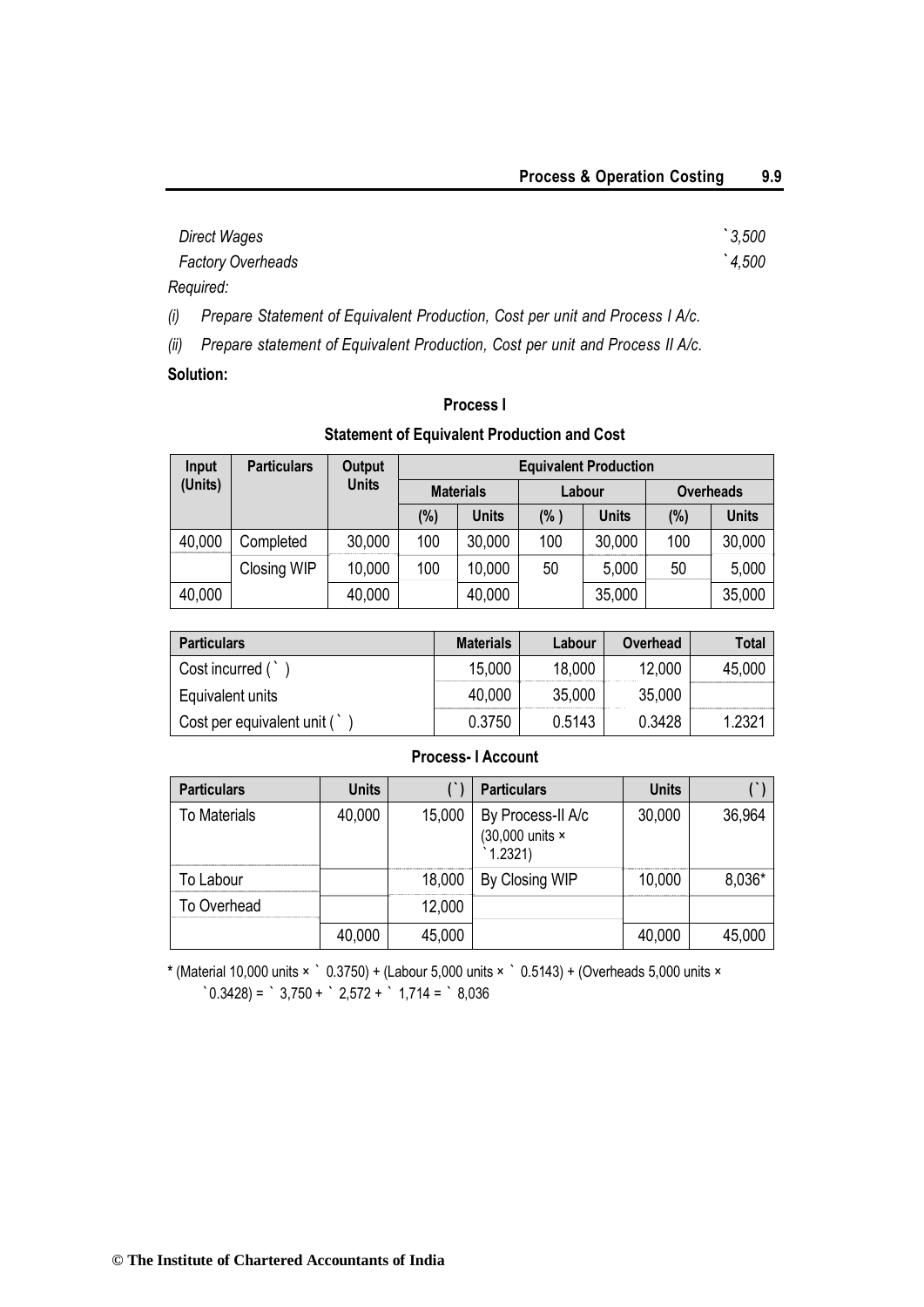| Direct Wages             | $\degree$ 3,500 |
|--------------------------|-----------------|
| <b>Factory Overheads</b> | 4,500           |
| Required:                |                 |

*(i) Prepare Statement of Equivalent Production, Cost per unit and Process I A/c.*

*(ii) Prepare statement of Equivalent Production, Cost per unit and Process II A/c.*

## **Solution:**

## **Process I**

## **Statement of Equivalent Production and Cost**

| Input   | <b>Particulars</b> | Output       | <b>Equivalent Production</b> |              |        |              |                  |              |  |
|---------|--------------------|--------------|------------------------------|--------------|--------|--------------|------------------|--------------|--|
| (Units) |                    | <b>Units</b> | <b>Materials</b>             |              | Labour |              | <b>Overheads</b> |              |  |
|         |                    |              | $(\%)$                       | <b>Units</b> | (% )   | <b>Units</b> | (%)              | <b>Units</b> |  |
| 40,000  | Completed          | 30,000       | 100                          | 30,000       | 100    | 30,000       | 100              | 30,000       |  |
|         | Closing WIP        | 10,000       | 100                          | 10,000       | 50     | 5,000        | 50               | 5,000        |  |
| 40,000  |                    | 40,000       |                              | 40,000       |        | 35,000       |                  | 35,000       |  |

| <b>Particulars</b>         | <b>Materials</b> | Labour | Overhead | <b>Total</b>       |
|----------------------------|------------------|--------|----------|--------------------|
| Cost incurred (            | 15,000           | 18,000 | 12,000   | 45,000             |
| Equivalent units           | 40,000           | 35,000 | 35,000   |                    |
| Cost per equivalent unit ( | 0.3750           | 0.5143 | 0.3428   | 1.232 <sup>4</sup> |

## **Process- I Account**

| <b>Particulars</b>  | <b>Units</b> |        | <b>Particulars</b>                             | <b>Units</b> |        |
|---------------------|--------------|--------|------------------------------------------------|--------------|--------|
| <b>To Materials</b> | 40,000       | 15,000 | By Process-II A/c<br>(30,000 units ×<br>1.2321 | 30,000       | 36,964 |
| To Labour           |              | 18,000 | By Closing WIP                                 | 10,000       | 8,036* |
| To Overhead         |              | 12,000 |                                                |              |        |
|                     | 40,000       | 45,000 |                                                | 40,000       | 45,000 |

**\*** (Material 10,000 units × ` 0.3750) + (Labour 5,000 units × ` 0.5143) + (Overheads 5,000 units ×  $\text{0.3428}$  =  $\text{0.3750} + \text{0.3750} + \text{0.372} + \text{0.3714} = \text{0.36}$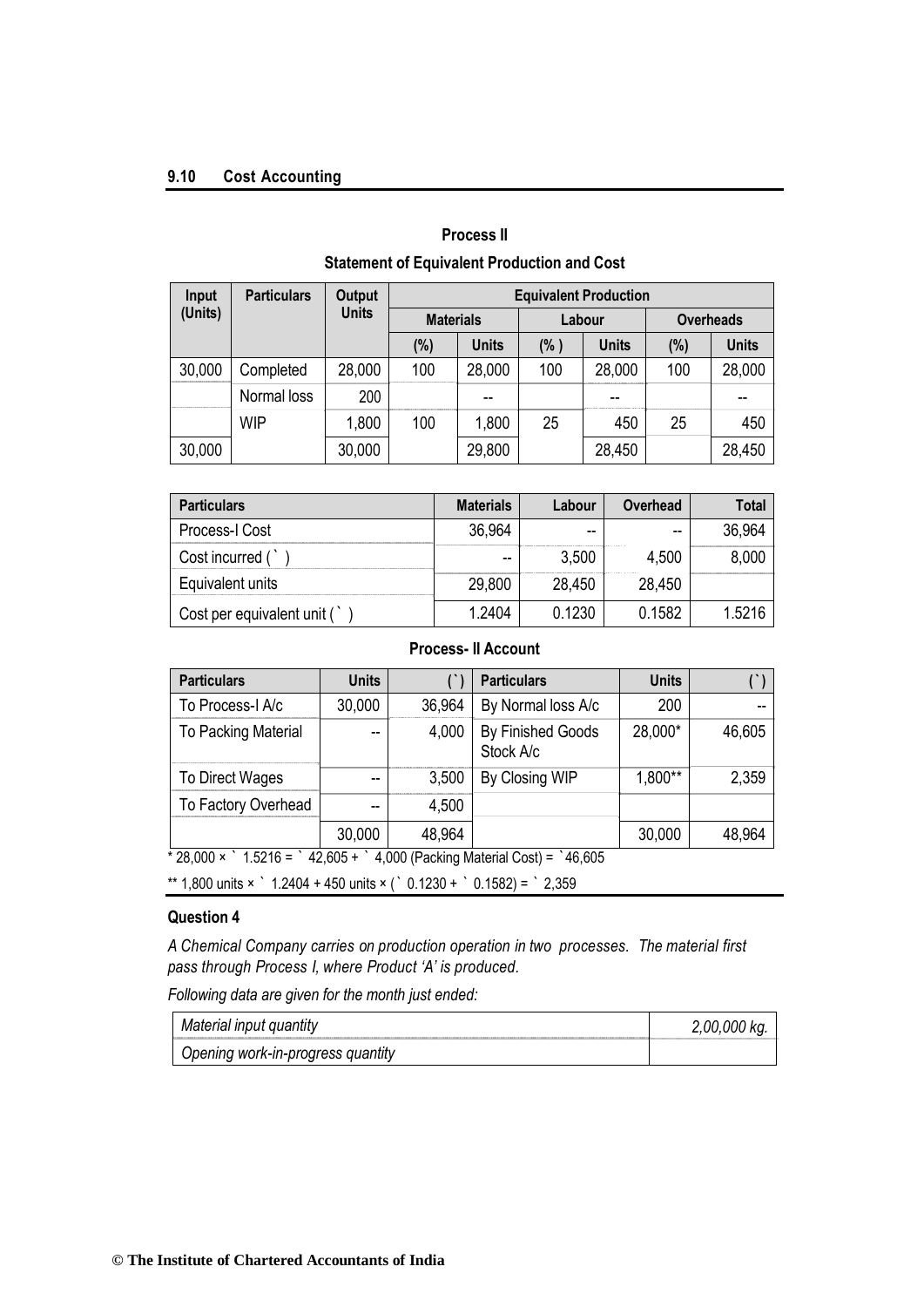#### **9.10 Cost Accounting**

| Statement of Equivalent Production and Cost |                    |               |                              |              |        |              |                  |              |  |  |
|---------------------------------------------|--------------------|---------------|------------------------------|--------------|--------|--------------|------------------|--------------|--|--|
| Input                                       | <b>Particulars</b> | <b>Output</b> | <b>Equivalent Production</b> |              |        |              |                  |              |  |  |
| (Units)                                     |                    | <b>Units</b>  | <b>Materials</b>             |              | Labour |              | <b>Overheads</b> |              |  |  |
|                                             |                    |               | $(\%)$                       | <b>Units</b> | (% )   | <b>Units</b> | (%)              | <b>Units</b> |  |  |
| 30,000                                      | Completed          | 28,000        | 100                          | 28,000       | 100    | 28,000       | 100              | 28,000       |  |  |
|                                             | Normal loss        | 200           |                              | --           |        |              |                  |              |  |  |
|                                             | <b>WIP</b>         | 1,800         | 100                          | 1,800        | 25     | 450          | 25               | 450          |  |  |
| 30,000                                      |                    | 30,000        |                              | 29,800       |        | 28,450       |                  | 28,450       |  |  |

## **Process II Statement of Equivalent Production and Cost**

| <b>Particulars</b>         | <b>Materials</b> | Labour | Overhead | Total  |
|----------------------------|------------------|--------|----------|--------|
| Process-I Cost             | 36,964           | --     | --       | 36.964 |
| Cost incurred (            | --               | 3,500  | 4,500    | 8,000  |
| Equivalent units           | 29,800           | 28,450 | 28,450   |        |
| Cost per equivalent unit ( | 1 2404           | 0.1230 | 0.1582   | 1.5216 |

## **Process- II Account**

| <b>Particulars</b>  | <b>Units</b> |        | <b>Particulars</b>             | <b>Units</b> |        |
|---------------------|--------------|--------|--------------------------------|--------------|--------|
| To Process-I A/c    | 30,000       | 36,964 | By Normal loss A/c             | 200          |        |
| To Packing Material |              | 4,000  | By Finished Goods<br>Stock A/c | 28,000*      | 46,605 |
| To Direct Wages     | --           | 3,500  | By Closing WIP                 | 1,800**      | 2,359  |
| To Factory Overhead | --           | 4,500  |                                |              |        |
|                     | 30,000       | 48,964 |                                | 30,000       | 48,964 |

 $*$  28,000  $\times$   $*$  1.5216 =  $*$  42,605 +  $*$  4,000 (Packing Material Cost) =  $*$  46,605

\*\* 1,800 units  $\times$   $\degree$  1.2404 + 450 units  $\times$  ( $\degree$  0.1230 +  $\degree$  0.1582) =  $\degree$  2,359

#### **Question 4**

*A Chemical Company carries on production operation in two processes. The material first pass through Process I, where Product 'A' is produced.*

*Following data are given for the month just ended:*

| Material input quantity           | 2,00,000 kg. |
|-----------------------------------|--------------|
| Opening work-in-progress quantity |              |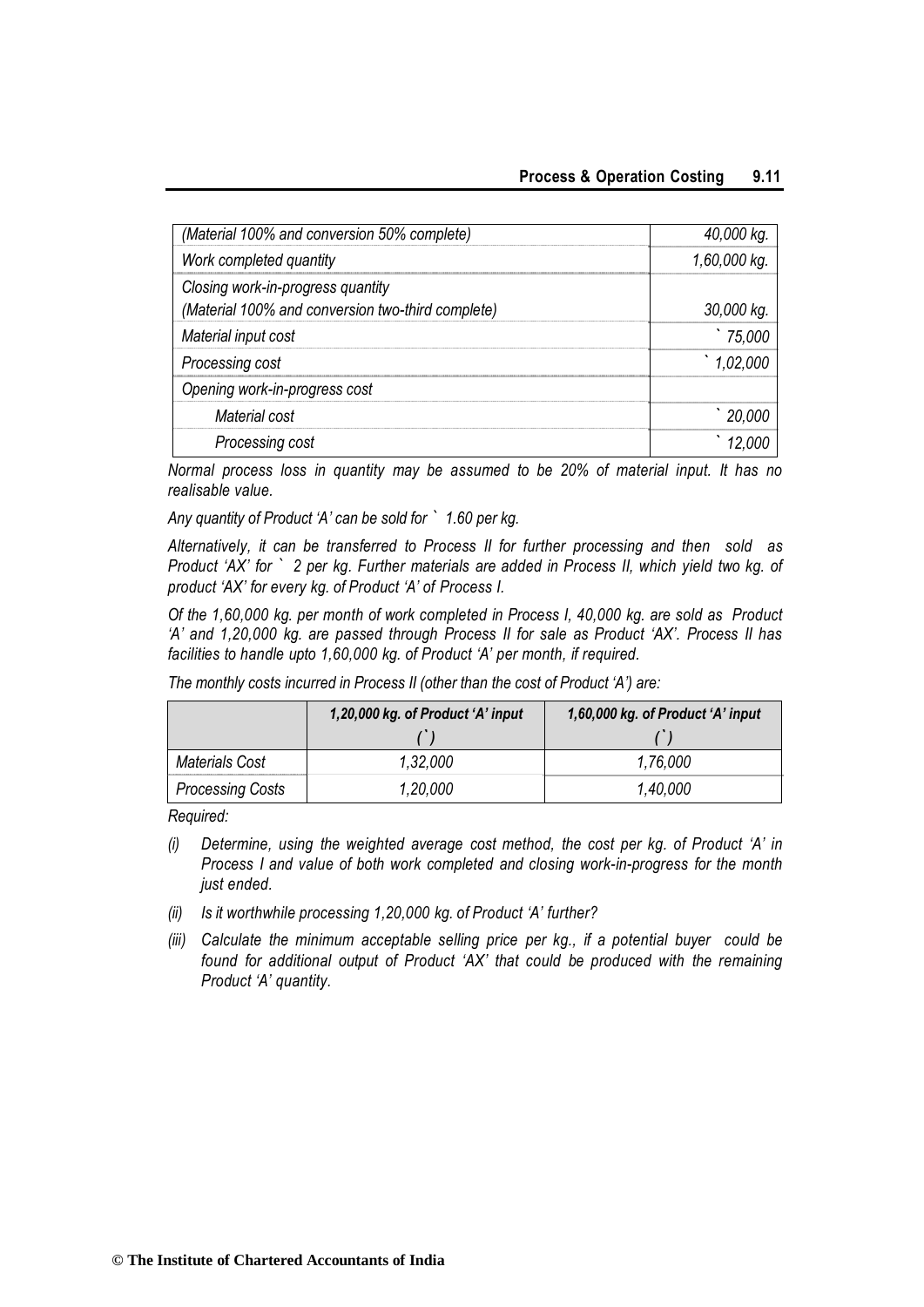| (Material 100% and conversion 50% complete)       | 40,000 kg.   |
|---------------------------------------------------|--------------|
| Work completed quantity                           | 1,60,000 kg. |
| Closing work-in-progress quantity                 |              |
| (Material 100% and conversion two-third complete) | 30,000 kg.   |
| Material input cost                               | 75,000       |
| Processing cost                                   | 1,02,000     |
| Opening work-in-progress cost                     |              |
| Material cost                                     | 20,00C       |
| Processing cost                                   |              |

*Normal process loss in quantity may be assumed to be 20% of material input. It has no realisable value.*

*Any quantity of Product 'A' can be sold for* ` *1.60 per kg.*

*Alternatively, it can be transferred to Process II for further processing and then sold as Product 'AX' for* ` *2 per kg. Further materials are added in Process II, which yield two kg. of product 'AX' for every kg. of Product 'A' of Process I.*

*Of the 1,60,000 kg. per month of work completed in Process I, 40,000 kg. are sold as Product 'A' and 1,20,000 kg. are passed through Process II for sale as Product 'AX'. Process II has facilities to handle upto 1,60,000 kg. of Product 'A' per month, if required.*

|                         | 1,20,000 kg. of Product 'A' input | 1,60,000 kg. of Product 'A' input |
|-------------------------|-----------------------------------|-----------------------------------|
|                         |                                   |                                   |
| <b>Materials Cost</b>   | 1,32,000                          | 1,76,000                          |
| <b>Processing Costs</b> | 1,20,000                          | 1,40,000                          |

*The monthly costs incurred in Process II (other than the cost of Product 'A') are:*

*Required:*

- *(i) Determine, using the weighted average cost method, the cost per kg. of Product 'A' in Process I and value of both work completed and closing work-in-progress for the month just ended.*
- *(ii) Is it worthwhile processing 1,20,000 kg. of Product 'A' further?*
- *(iii) Calculate the minimum acceptable selling price per kg., if a potential buyer could be found for additional output of Product 'AX' that could be produced with the remaining Product 'A' quantity.*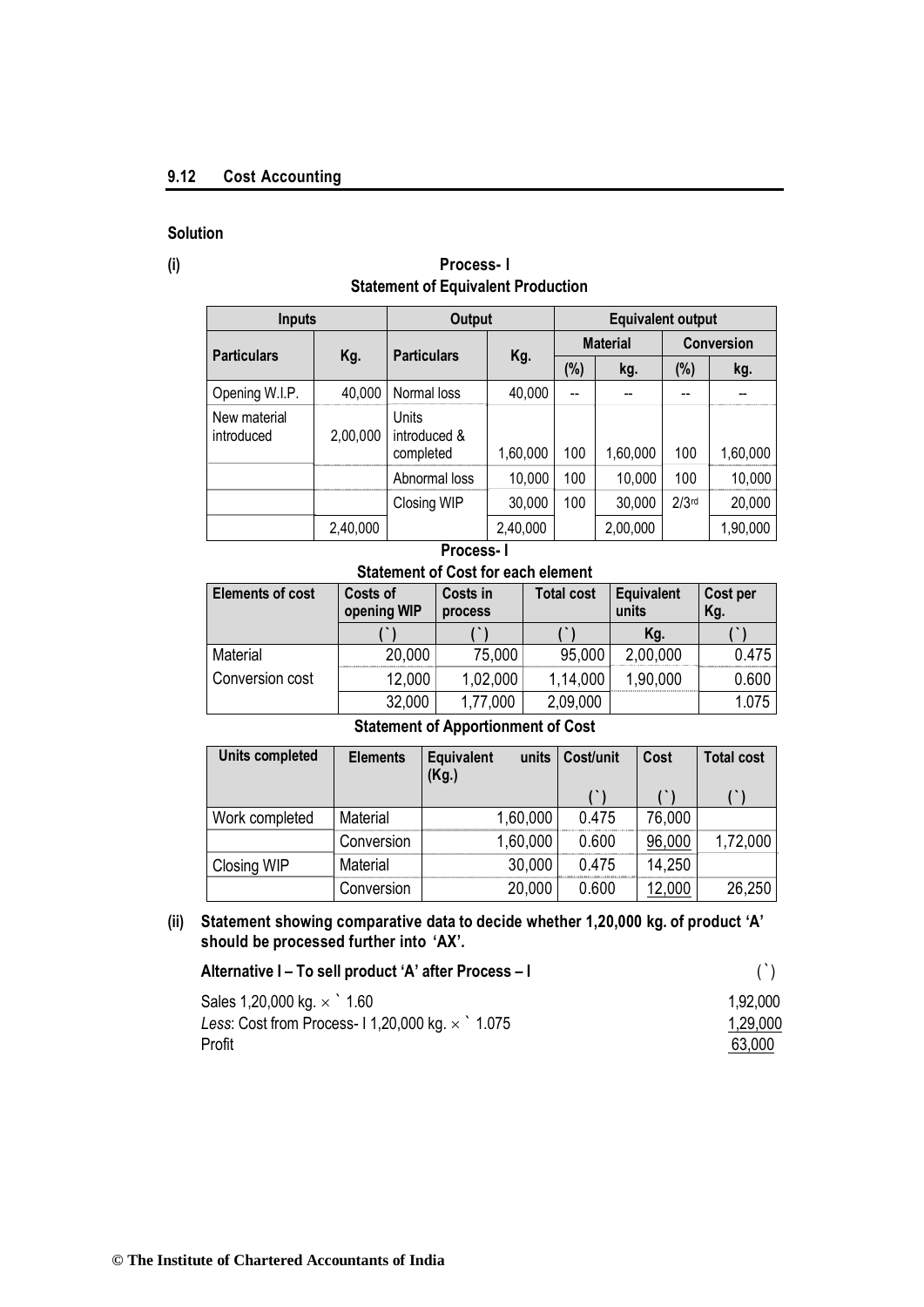## **9.12 Cost Accounting**

## **Solution**

## **(i) Process- I Statement of Equivalent Production**

| <b>Inputs</b>              |          | <b>Output</b>                      |          | <b>Equivalent output</b> |          |                   |          |
|----------------------------|----------|------------------------------------|----------|--------------------------|----------|-------------------|----------|
| <b>Particulars</b>         | Kg.      | <b>Particulars</b>                 |          | <b>Material</b>          |          | <b>Conversion</b> |          |
|                            |          |                                    | Kg.      |                          | kg.      | $(\%)$            | kg.      |
| Opening W.I.P.             | 40,000   | Normal loss                        | 40,000   |                          |          |                   |          |
| New material<br>introduced | 2,00,000 | Units<br>introduced &<br>completed | 1,60,000 | 100                      | 1,60,000 | 100               | 1,60,000 |
|                            |          | Abnormal loss                      | 10,000   | 100                      | 10,000   | 100               | 10,000   |
|                            |          | Closing WIP                        | 30,000   | 100                      | 30,000   | $2/3$ rd          | 20,000   |
|                            | 2,40,000 |                                    | 2,40,000 |                          | 2,00,000 |                   | 1,90,000 |

## **Process- I**

**Statement of Cost for each element**

| <b>Elements of cost</b> | Costs of<br>opening WIP | Costs in<br>process | <b>Total cost</b> | Equivalent<br>units | Cost per<br>Kg. |
|-------------------------|-------------------------|---------------------|-------------------|---------------------|-----------------|
|                         |                         |                     |                   | Kg.                 |                 |
| Material                | 20,000                  | 75,000              | 95,000            | 2,00,000            | 0.475           |
| Conversion cost         | 12,000                  | 1,02,000            | 1,14,000          | 1,90,000            | 0.600           |
|                         | 32,000                  | 1,77,000            | 2,09,000          |                     | 1.075           |

## **Statement of Apportionment of Cost**

| Units completed | <b>Elements</b> | Equivalent<br>(Kg.) | units    | Cost/unit | Cost   | <b>Total cost</b> |
|-----------------|-----------------|---------------------|----------|-----------|--------|-------------------|
|                 |                 |                     |          |           |        |                   |
| Work completed  | Material        |                     | 1,60,000 | 0.475     | 76,000 |                   |
|                 | Conversion      |                     | 1,60,000 | 0.600     | 96,000 | 1,72,000          |
| Closing WIP     | Material        |                     | 30,000   | 0.475     | 14,250 |                   |
|                 | Conversion      |                     | 20,000   | 0.600     | 12,000 | 26,250            |

## **(ii) Statement showing comparative data to decide whether 1,20,000 kg. of product 'A' should be processed further into 'AX'.**

| Alternative I - To sell product 'A' after Process - I |          |
|-------------------------------------------------------|----------|
| Sales 1,20,000 kg. $\times$ 1.60                      | 1.92.000 |
| Less: Cost from Process-11,20,000 kg. $\times$ 1.075  | 1,29,000 |
| Profit                                                | 63,000   |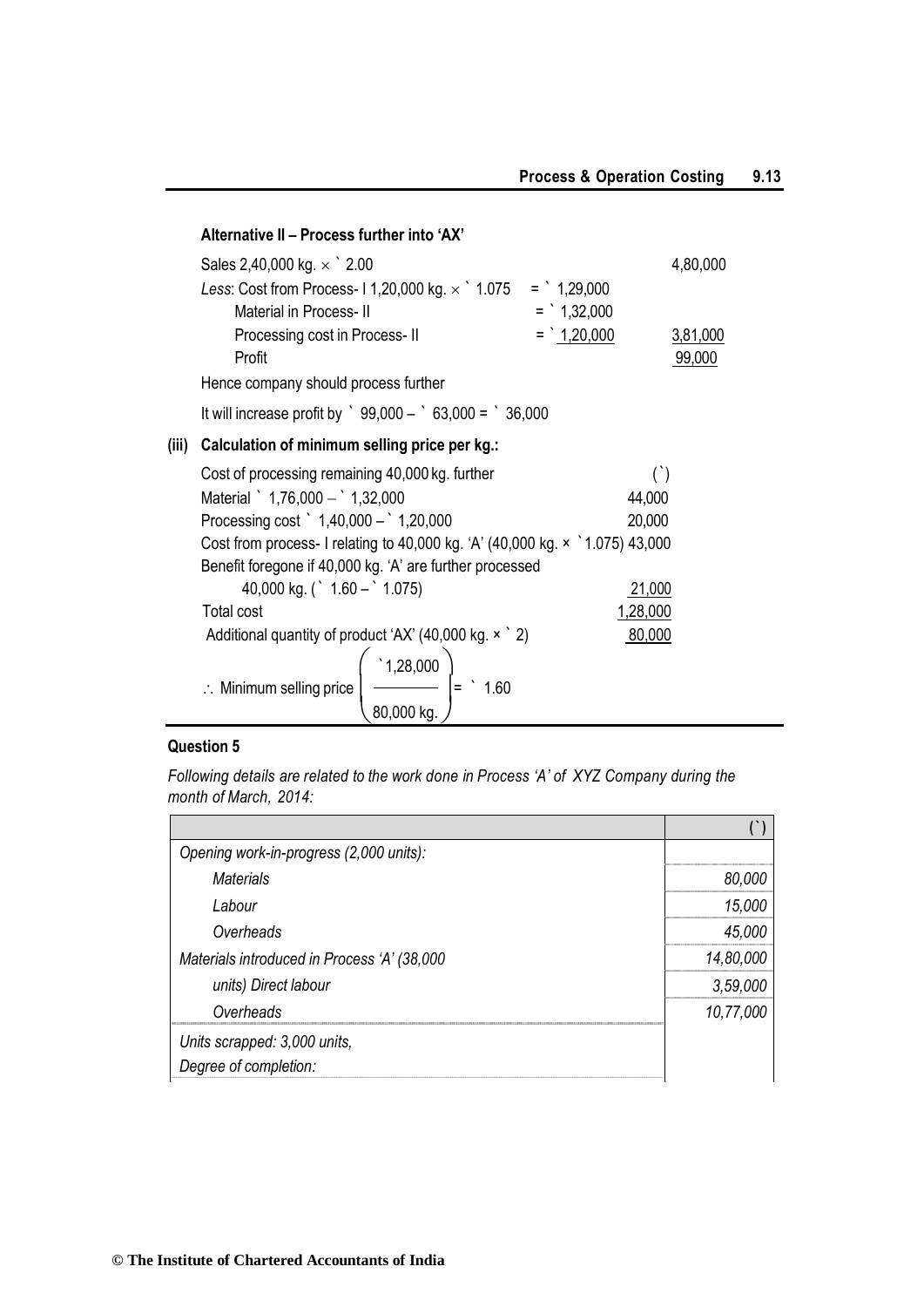|       | Alternative II - Process further into 'AX'                                        |                |          |
|-------|-----------------------------------------------------------------------------------|----------------|----------|
|       | Sales 2,40,000 kg. $\times$ 2.00                                                  |                | 4,80,000 |
|       | Less: Cost from Process-11,20,000 kg. $\times$ 1.075 = 1,29,000                   |                |          |
|       | <b>Material in Process-II</b>                                                     | $=$ 1,32,000   |          |
|       | Processing cost in Process-II                                                     | $=$ $1,20,000$ | 3,81,000 |
|       | Profit                                                                            |                | 99,000   |
|       | Hence company should process further                                              |                |          |
|       | It will increase profit by $\degree$ 99,000 - $\degree$ 63,000 = $\degree$ 36,000 |                |          |
| (iii) | Calculation of minimum selling price per kg.:                                     |                |          |
|       | Cost of processing remaining 40,000 kg. further                                   |                | $($ )    |
|       | Material $\degree$ 1,76,000 - $\degree$ 1,32,000                                  | 44,000         |          |
|       | Processing cost $\degree$ 1,40,000 - $\degree$ 1,20,000                           | 20,000         |          |
|       | Cost from process- I relating to 40,000 kg. 'A' (40,000 kg. x 1.075) 43,000       |                |          |
|       | Benefit foregone if 40,000 kg. 'A' are further processed                          |                |          |
|       | 40,000 kg. ( $\degree$ 1.60 - $\degree$ 1.075)                                    | 21,000         |          |
|       | <b>Total cost</b>                                                                 | 1,28,000       |          |
|       | Additional quantity of product 'AX' (40,000 kg. $\times$ $\degree$ 2)             | 80,000         |          |
|       | $\left(\frac{1,28,000}{\frac{1}{2}}\right) = 1.60$                                |                |          |
|       | $\therefore$ Minimum selling price $\left  \right $                               |                |          |
|       | 80,000 kg.                                                                        |                |          |

## **Question 5**

*Following details are related to the work done in Process 'A' of XYZ Company during the month of March, 2014:*

| Opening work-in-progress (2,000 units):     |           |
|---------------------------------------------|-----------|
| Materials                                   | 80,000    |
| Labour                                      | 15,000    |
| Overheads                                   | 45,000    |
| Materials introduced in Process 'A' (38,000 | 14,80,000 |
| units) Direct labour                        | 3,59,000  |
| Overheads                                   | 10,77,000 |
| Units scrapped: 3,000 units,                |           |
| Degree of completion:                       |           |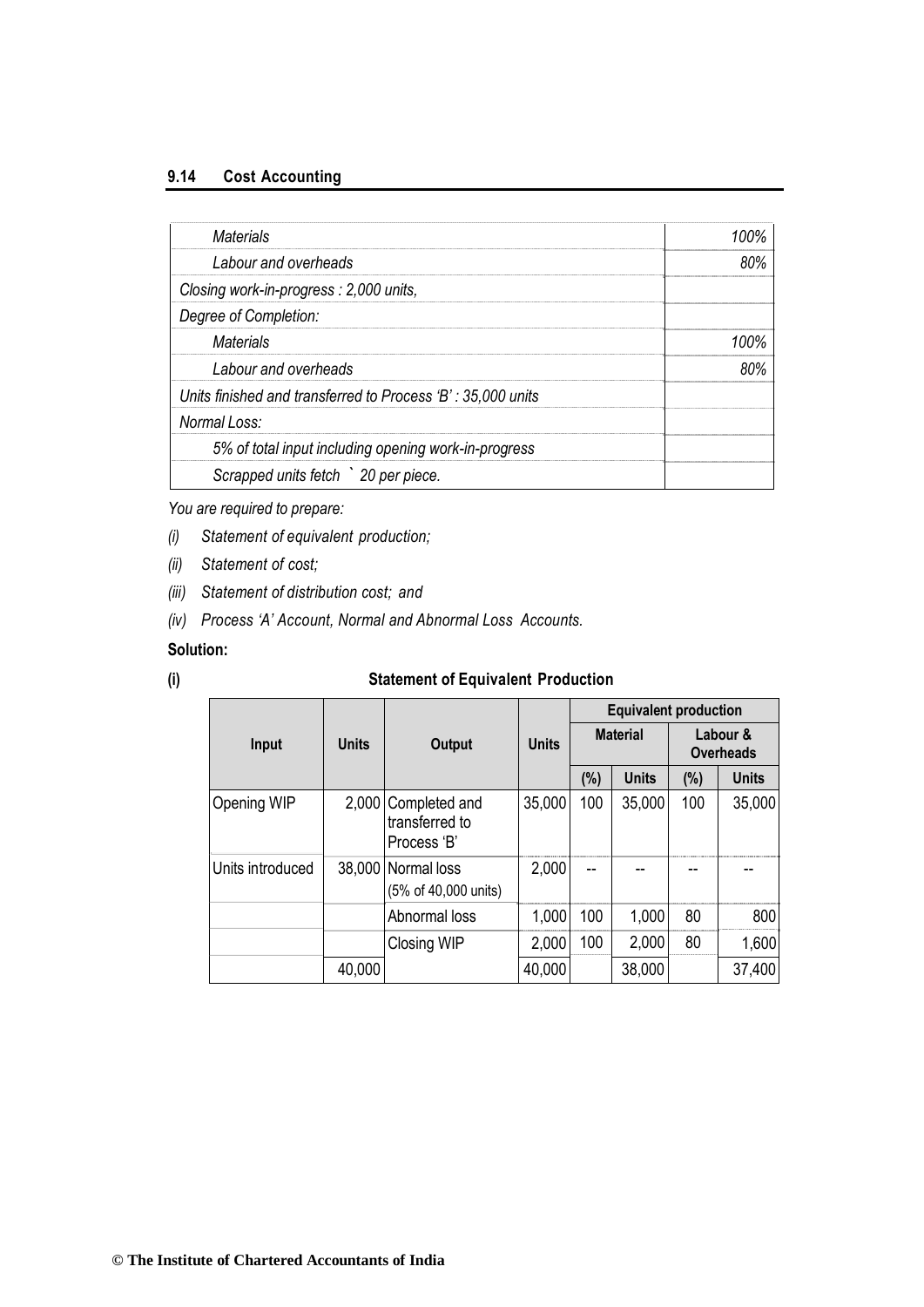## **9.14 Cost Accounting**

| Materials                                                   |      |
|-------------------------------------------------------------|------|
| Labour and overheads                                        | ጸበ%  |
| Closing work-in-progress: 2,000 units,                      |      |
| Degree of Completion:                                       |      |
| Materials                                                   | 100% |
| Labour and overheads                                        |      |
| Units finished and transferred to Process 'B': 35,000 units |      |
| Normal Loss:                                                |      |
| 5% of total input including opening work-in-progress        |      |
| Scrapped units fetch > 20 per piece.                        |      |

*You are required to prepare:*

- *(i) Statement of equivalent production;*
- *(ii) Statement of cost;*
- *(iii) Statement of distribution cost; and*
- *(iv) Process 'A' Account, Normal and Abnormal Loss Accounts.*

## **Solution:**

## **(i) Statement of Equivalent Production**

|                  |              |                                                      |        |                 | <b>Equivalent production</b> |                              |              |
|------------------|--------------|------------------------------------------------------|--------|-----------------|------------------------------|------------------------------|--------------|
| Input            | <b>Units</b> | <b>Output</b>                                        |        | <b>Material</b> |                              | Labour &<br><b>Overheads</b> |              |
|                  |              |                                                      |        | (%)             | <b>Units</b>                 | (%)                          | <b>Units</b> |
| Opening WIP      |              | 2,000 Completed and<br>transferred to<br>Process 'B' | 35,000 | 100             | 35,000                       | 100                          | 35,000       |
| Units introduced |              | 38,000 Normal loss<br>(5% of 40,000 units)           | 2,000  |                 |                              |                              |              |
|                  |              | Abnormal loss                                        | 1,000  | 100             | 1,000                        | 80                           | 800          |
|                  |              | <b>Closing WIP</b>                                   | 2,000  | 100             | 2,000                        | 80                           | 1,600        |
|                  | 40,000       |                                                      | 40,000 |                 | 38,000                       |                              | 37,400       |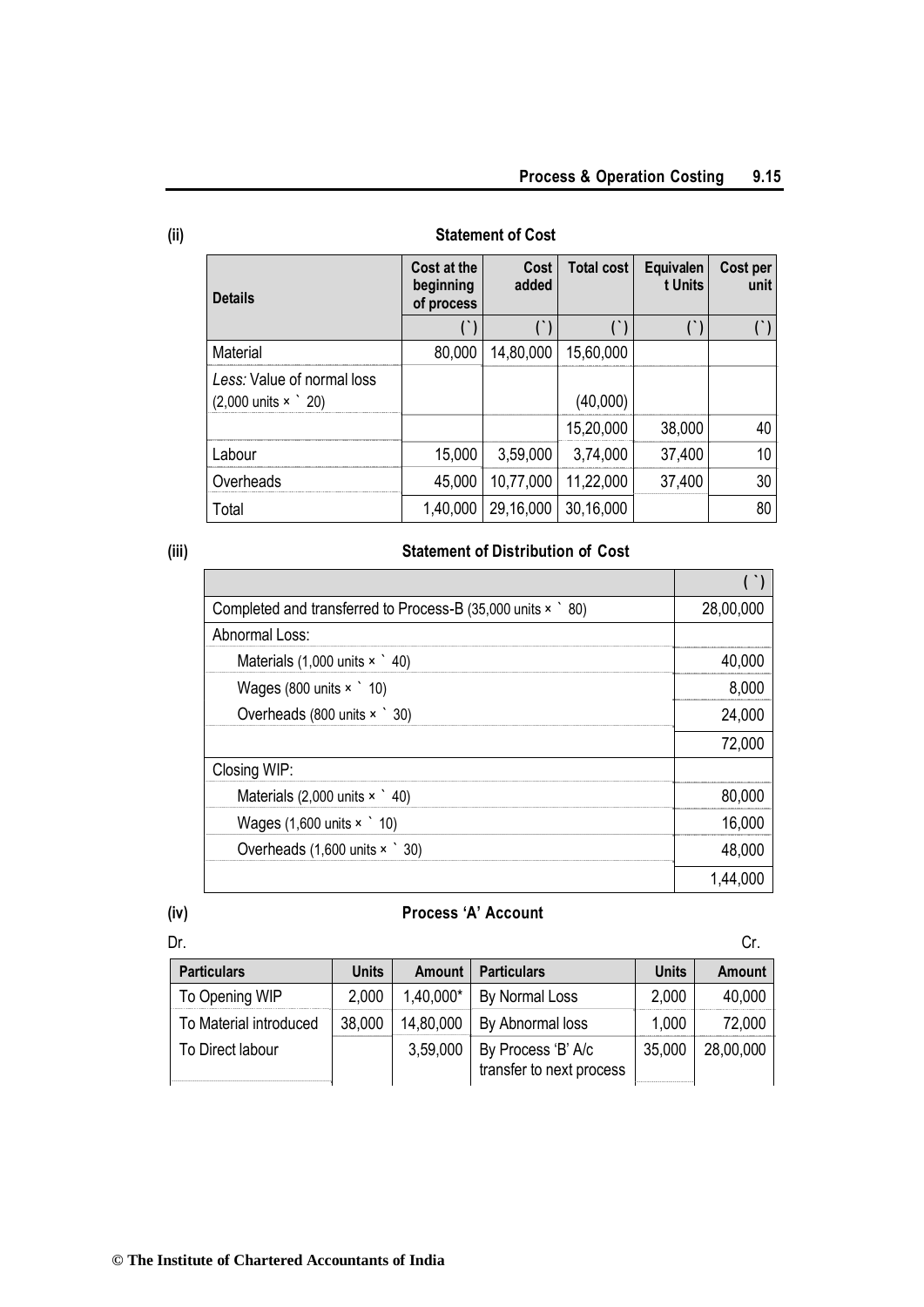| <b>Details</b>                                                          | Cost at the<br>beginning | Cost<br>added | <b>Total cost</b> | Equivalen<br>t Units | Cost per<br>unit |
|-------------------------------------------------------------------------|--------------------------|---------------|-------------------|----------------------|------------------|
|                                                                         | of process               |               |                   |                      |                  |
| Material                                                                | 80,000                   | 14,80,000     | 15,60,000         |                      |                  |
| Less: Value of normal loss<br>$(2,000 \text{ units} \times \degree 20)$ |                          |               | (40,000)          |                      |                  |
|                                                                         |                          |               | 15,20,000         | 38,000               | 40               |
| ⊥abour                                                                  | 15,000                   | 3,59,000      | 3,74,000          | 37,400               | 10               |
| Overheads                                                               | 45,000                   | 10,77,000     | 11,22,000         | 37,400               | 30               |
| Total                                                                   | 1,40,000                 | 29,16,000     | 30,16,000         |                      | 80               |

## **(ii) Statement of Cost**

#### **(iii) Statement of Distribution of Cost**

| Completed and transferred to Process-B (35,000 units x ` 80) | 28,00,000 |
|--------------------------------------------------------------|-----------|
| Abnormal Loss:                                               |           |
| Materials $(1,000 \text{ units} \times \degree 40)$          | 40,000    |
| Wages (800 units $\times$ 10)                                | 8,000     |
| Overheads (800 units × ` 30)                                 | 24,000    |
|                                                              | 72,000    |
| Closing WIP:                                                 |           |
| Materials $(2,000 \text{ units} \times \degree 40)$          | 80,000    |
| Wages $(1,600 \text{ units} \times 10)$                      | 16,000    |
| Overheads (1,600 units × ` 30)                               | 48,000    |
|                                                              | 1,44,0    |

## **(iv) Process 'A' Account**

| Dr.                    |              |           |                                                |              |               |
|------------------------|--------------|-----------|------------------------------------------------|--------------|---------------|
| <b>Particulars</b>     | <b>Units</b> | Amount    | <b>Particulars</b>                             | <b>Units</b> | <b>Amount</b> |
| To Opening WIP         | 2,000        | 1,40,000* | By Normal Loss                                 | 2,000        | 40,000        |
| To Material introduced | 38,000       | 14,80,000 | By Abnormal loss                               | 1,000        | 72,000        |
| To Direct labour       |              | 3,59,000  | By Process 'B' A/c<br>transfer to next process | 35,000       | 28,00,000     |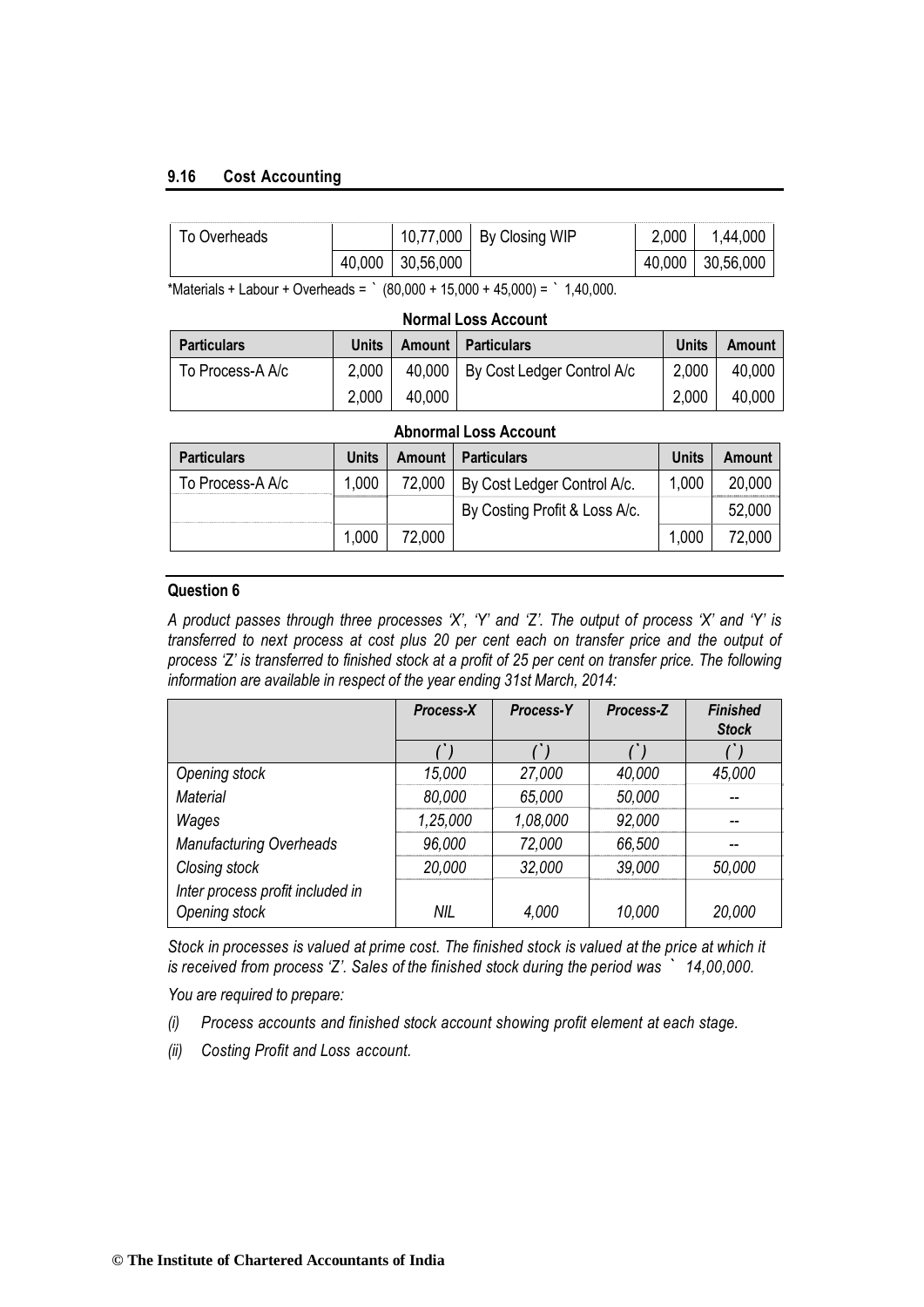## **9.16 Cost Accounting**

| To Overheads |        |           | 10,77,000   By Closing WIP | 2,000  | ,44,000   |
|--------------|--------|-----------|----------------------------|--------|-----------|
|              | 40,000 | 30,56,000 |                            | 40,000 | 30,56,000 |

\*Materials + Labour + Overheads =  $\degree$  (80,000 + 15,000 + 45,000) =  $\degree$  1,40,000.

| <b>Normal Loss Account</b>                                                           |       |  |                                     |       |        |  |  |  |  |  |  |
|--------------------------------------------------------------------------------------|-------|--|-------------------------------------|-------|--------|--|--|--|--|--|--|
| <b>Units</b><br>Units<br><b>Amount   Particulars</b><br><b>Particulars</b><br>Amount |       |  |                                     |       |        |  |  |  |  |  |  |
| To Process-A A/c                                                                     | 2,000 |  | 40,000   By Cost Ledger Control A/c | 2,000 | 40,000 |  |  |  |  |  |  |
| 2.000<br>2.000<br>40,000<br>40.000                                                   |       |  |                                     |       |        |  |  |  |  |  |  |

| <b>Abnormal Loss Account</b>                                                                 |       |        |                               |       |        |  |  |  |  |
|----------------------------------------------------------------------------------------------|-------|--------|-------------------------------|-------|--------|--|--|--|--|
| <b>Units</b><br><b>Units</b><br><b>Particulars</b><br><b>Particulars</b><br>Amount<br>Amount |       |        |                               |       |        |  |  |  |  |
| To Process-A A/c                                                                             | 1,000 | 72,000 | By Cost Ledger Control A/c.   | 1,000 | 20,000 |  |  |  |  |
|                                                                                              |       |        | By Costing Profit & Loss A/c. |       | 52,000 |  |  |  |  |
|                                                                                              | 1,000 | 72.000 |                               | 1,000 | 72,000 |  |  |  |  |

#### **Question 6**

*A product passes through three processes 'X', 'Y' and 'Z'. The output of process 'X' and 'Y' is transferred to next process at cost plus 20 per cent each on transfer price and the output of process 'Z' is transferred to finished stock at a profit of 25 per cent on transfer price. The following information are available in respect of the year ending 31st March, 2014:*

|                                                   | Process-X | Process-Y | Process-Z | <b>Finished</b><br><b>Stock</b> |
|---------------------------------------------------|-----------|-----------|-----------|---------------------------------|
|                                                   |           |           |           |                                 |
| Opening stock                                     | 15,000    | 27,000    | 40,000    | 45,000                          |
| <b>Material</b>                                   | 80,000    | 65,000    | 50,000    |                                 |
| Wages                                             | 1,25,000  | 1,08,000  | 92,000    |                                 |
| <b>Manufacturing Overheads</b>                    | 96,000    | 72,000    | 66,500    | --                              |
| Closing stock                                     | 20,000    | 32,000    | 39,000    | 50,000                          |
| Inter process profit included in<br>Opening stock | NIL.      | 4,000     | 10,000    | 20,000                          |

*Stock in processes is valued at prime cost. The finished stock is valued at the price at which it is received from process 'Z'. Sales of the finished stock during the period was ` 14,00,000.*

*You are required to prepare:*

- *(i) Process accounts and finished stock account showing profit element at each stage.*
- *(ii) Costing Profit and Loss account.*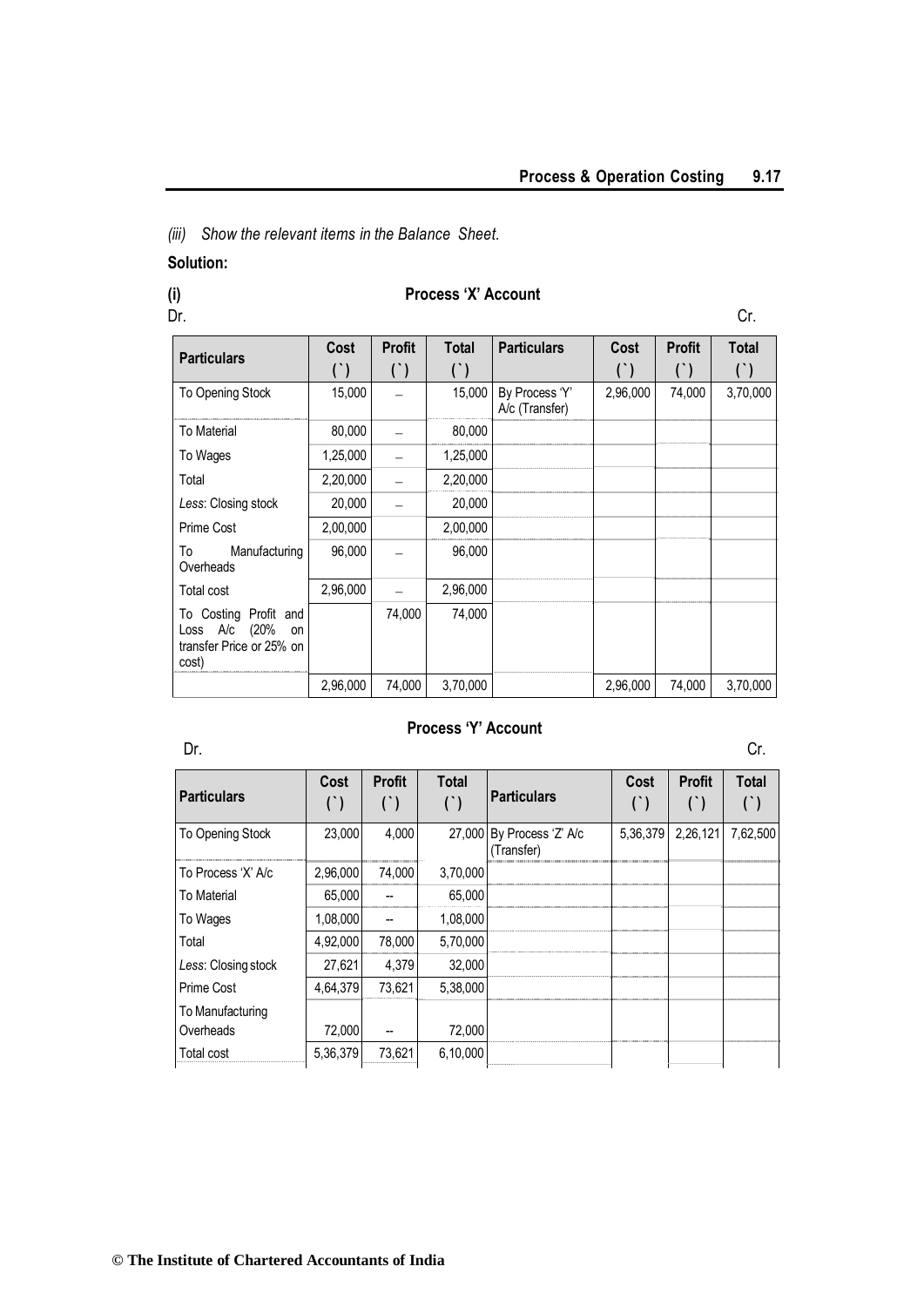*(iii) Show the relevant items in the Balance Sheet.*

## **Solution:**

## **(i) Process 'X' Account**

Dr. Cr. **Cr.** Cr. 2006. The contract of the contract of the contract of the contract of the contract of the contract of the contract of the contract of the contract of the contract of the contract of the contract of the co

| <b>Particulars</b>                                                                | Cost     | <b>Profit</b><br>$($ ) | <b>Total</b> | <b>Particulars</b>               | Cost     | <b>Profit</b> | <b>Total</b><br>$(\dot{\ })$ |
|-----------------------------------------------------------------------------------|----------|------------------------|--------------|----------------------------------|----------|---------------|------------------------------|
| To Opening Stock                                                                  | 15,000   |                        | 15,000       | By Process 'Y'<br>A/c (Transfer) | 2,96,000 | 74,000        | 3,70,000                     |
| <b>To Material</b>                                                                | 80,000   |                        | 80,000       |                                  |          |               |                              |
| To Wages                                                                          | 1,25,000 |                        | 1,25,000     |                                  |          |               |                              |
| Total                                                                             | 2,20,000 |                        | 2,20,000     |                                  |          |               |                              |
| Less: Closing stock                                                               | 20,000   |                        | 20,000       |                                  |          |               |                              |
| Prime Cost                                                                        | 2,00,000 |                        | 2,00,000     |                                  |          |               |                              |
| Manufacturing<br>To<br>Overheads                                                  | 96,000   |                        | 96,000       |                                  |          |               |                              |
| Total cost                                                                        | 2,96,000 |                        | 2,96,000     |                                  |          |               |                              |
| To Costing Profit and<br>Loss A/c (20%<br>on<br>transfer Price or 25% on<br>cost) |          | 74,000                 | 74,000       |                                  |          |               |                              |
|                                                                                   | 2,96,000 | 74,000                 | 3,70,000     |                                  | 2,96,000 | 74,000        | 3,70,000                     |

## **Process 'Y' Account**

Dr. Cr.

| Particulars         | Cost     | <b>Profit</b> | <b>Total</b> | <b>Particulars</b>                      | Cost | <b>Profit</b>     | <b>Total</b> |
|---------------------|----------|---------------|--------------|-----------------------------------------|------|-------------------|--------------|
| To Opening Stock    | 23.000   | 4.000         |              | 27,000 By Process 'Z' A/c<br>(Transfer) |      | 5,36,379 2,26,121 | 7,62,500     |
| To Process 'X' A/c  | 2,96,000 | 74.000        | 3,70,000     |                                         |      |                   |              |
| To Material         | 65,000   |               | 65,000       |                                         |      |                   |              |
| To Wages            | 1,08,000 |               | 1,08,000     |                                         |      |                   |              |
| Total               | 4,92,000 | 78,000        | 5,70,000     |                                         |      |                   |              |
| Less: Closing stock | 27,621   | 4,379         | 32,000       |                                         |      |                   |              |
| <b>Prime Cost</b>   | 4,64,379 | 73.621        | 5.38.000     |                                         |      |                   |              |
| To Manufacturing    |          |               |              |                                         |      |                   |              |
| Overheads           | 72,000   |               | 72,000       |                                         |      |                   |              |
| Total cost          | 5.36.379 | 73,621        | 6.10.000     |                                         |      |                   |              |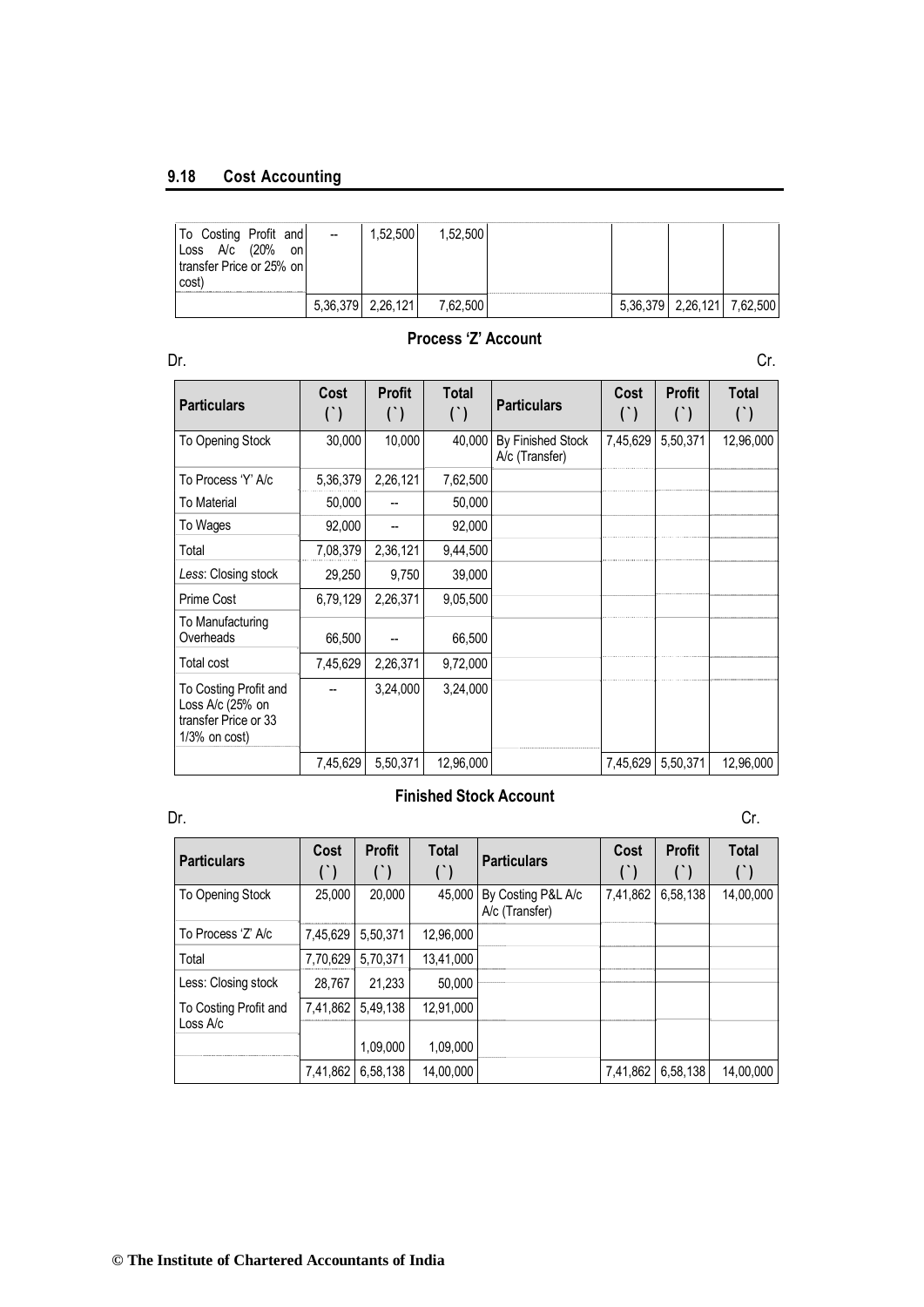## **9.18 Cost Accounting**

| To Costing Profit and<br>(20%<br>Loss A/c<br>on<br>transfer Price or 25% on<br>cost | $\overline{\phantom{a}}$ | 1.52.500          | .52.500 |  |                            |  |
|-------------------------------------------------------------------------------------|--------------------------|-------------------|---------|--|----------------------------|--|
|                                                                                     |                          | 5,36,379 2,26,121 | 62.50C  |  | 5,36,379 2,26,121 7,62,500 |  |

## **Process 'Z' Account**

| Dr.                                                                                   |               |                        |                       |                                     |               |                        | Cr.                   |
|---------------------------------------------------------------------------------------|---------------|------------------------|-----------------------|-------------------------------------|---------------|------------------------|-----------------------|
| <b>Particulars</b>                                                                    | Cost<br>$($ ) | <b>Profit</b><br>$($ ) | <b>Total</b><br>$($ ) | <b>Particulars</b>                  | Cost<br>$($ ) | <b>Profit</b><br>$($ ) | <b>Total</b><br>$($ ) |
| To Opening Stock                                                                      | 30,000        | 10,000                 | 40,000                | By Finished Stock<br>A/c (Transfer) | 7,45,629      | 5,50,371               | 12,96,000             |
| To Process 'Y' A/c                                                                    | 5,36,379      | 2,26,121               | 7,62,500              |                                     |               |                        |                       |
| To Material                                                                           | 50,000        |                        | 50,000                |                                     |               |                        |                       |
| To Wages                                                                              | 92,000        |                        | 92,000                |                                     |               |                        |                       |
| Total                                                                                 | 7,08,379      | 2,36,121               | 9,44,500              |                                     |               |                        |                       |
| Less: Closing stock                                                                   | 29,250        | 9,750                  | 39,000                |                                     |               |                        |                       |
| Prime Cost                                                                            | 6,79,129      | 2,26,371               | 9,05,500              |                                     |               |                        |                       |
| To Manufacturing<br>Overheads                                                         | 66,500        |                        | 66,500                |                                     |               |                        |                       |
| Total cost                                                                            | 7,45,629      | 2,26,371               | 9,72,000              |                                     |               |                        |                       |
| To Costing Profit and<br>Loss A/c (25% on<br>transfer Price or 33<br>$1/3\%$ on cost) |               | 3,24,000               | 3,24,000              |                                     |               |                        |                       |
|                                                                                       | 7,45,629      | 5,50,371               | 12,96,000             |                                     | 7,45,629      | 5,50,371               | 12,96,000             |

## **Finished Stock Account**

| Dr.                               |          |                        |                       |                                      |               |               | Cr.          |
|-----------------------------------|----------|------------------------|-----------------------|--------------------------------------|---------------|---------------|--------------|
| <b>Particulars</b>                | Cost     | <b>Profit</b><br>$($ ) | Total<br>$(\dot{\ })$ | <b>Particulars</b>                   | Cost<br>$($ ) | <b>Profit</b> | <b>Total</b> |
| To Opening Stock                  | 25.000   | 20,000                 | 45.000                | By Costing P&L A/c<br>A/c (Transfer) | 7,41,862      | 6,58,138      | 14,00,000    |
| To Process 'Z' A/c                | 7,45,629 | 5,50,371               | 12,96,000             |                                      |               |               |              |
| Total                             | 7,70,629 | 5,70,371               | 13.41.000             |                                      |               |               |              |
| Less: Closing stock               | 28.767   | 21.233                 | 50,000                |                                      |               |               |              |
| To Costing Profit and<br>Loss A/c | 7,41,862 | 5.49.138               | 12,91,000             |                                      |               |               |              |
|                                   |          | 1,09,000               | 1,09,000              |                                      |               |               |              |
|                                   | 7,41,862 | 6,58,138               | 14,00,000             |                                      | 7,41,862      | 6,58,138      | 14.00.000    |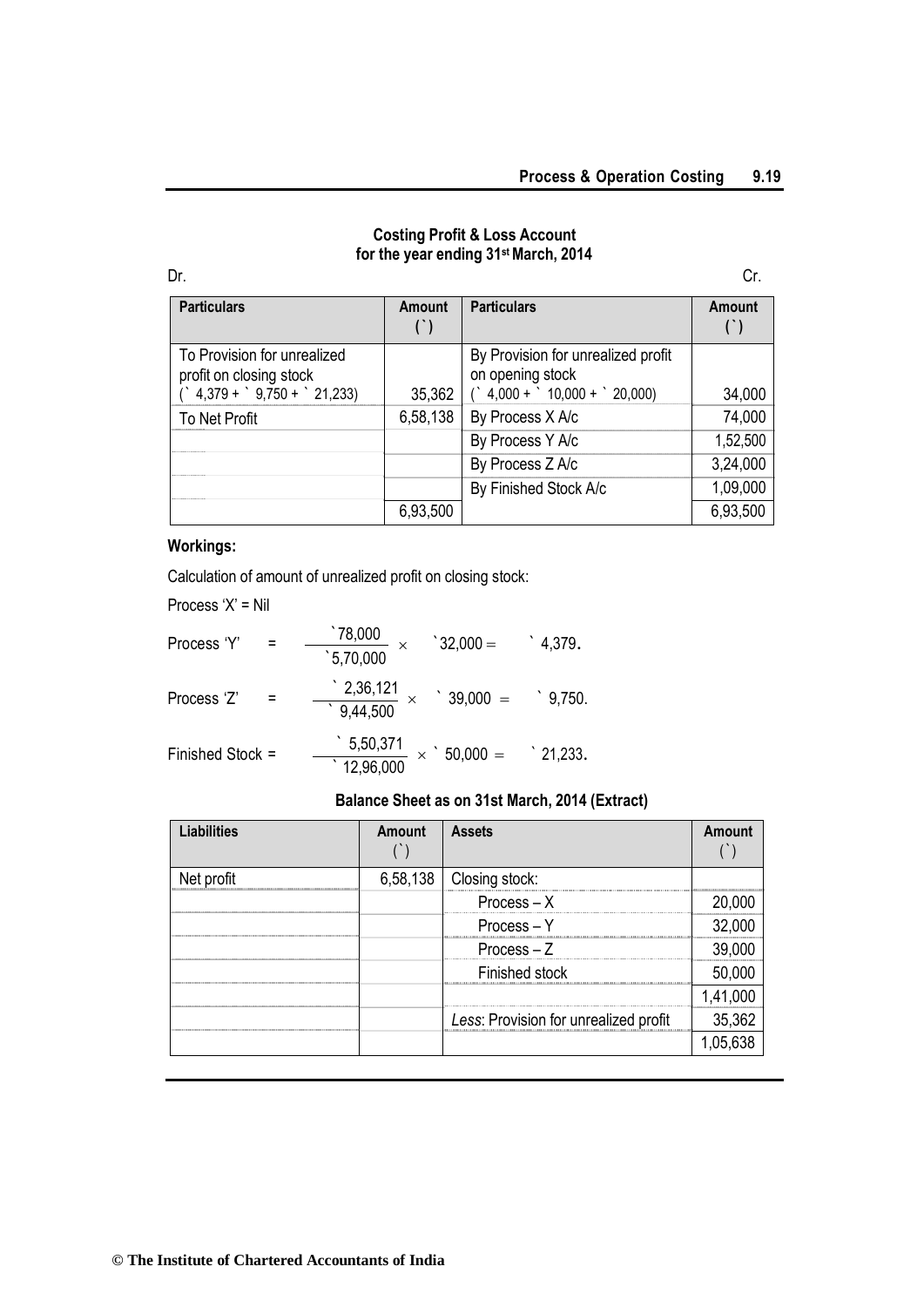## **Costing Profit & Loss Account for the year ending 31st March, 2014**

| .<br>. ار |
|-----------|
|           |

| <b>Particulars</b>                                                                                              | Amount   | <b>Particulars</b>                                                                           | Amount   |
|-----------------------------------------------------------------------------------------------------------------|----------|----------------------------------------------------------------------------------------------|----------|
| To Provision for unrealized<br>profit on closing stock<br>$\degree$ 4,379 + $\degree$ 9,750 + $\degree$ 21,233) | 35,362   | By Provision for unrealized profit<br>on opening stock<br>$($ $4,000 +$ $10,000 +$ $20,000)$ | 34,000   |
| To Net Profit                                                                                                   | 6,58,138 | By Process X A/c                                                                             | 74,000   |
|                                                                                                                 |          | By Process Y A/c                                                                             | 1,52,500 |
|                                                                                                                 |          | By Process Z A/c                                                                             | 3,24,000 |
|                                                                                                                 |          | By Finished Stock A/c                                                                        | 1,09,000 |
|                                                                                                                 | 6,93,500 |                                                                                              | 6,93,500 |

## **Workings:**

Calculation of amount of unrealized profit on closing stock:

Process 'X' = Nil

| Process 'Y'      | 78,000`<br>5,70,000                                            | $32,000 =$ | $^{\circ}$ 4,379. |
|------------------|----------------------------------------------------------------|------------|-------------------|
| Process 'Z'      | $\frac{2,36,121}{9,44,500}$                                    | $39,000 =$ | $^{\circ}$ 9.750. |
| Finished Stock = | $\frac{5,50,371}{ } \times$ 50,000 =<br>$\overline{12,96,000}$ |            | $\degree$ 21,233. |

## **Balance Sheet as on 31st March, 2014 (Extract)**

| <b>Liabilities</b> | Amount | <b>Assets</b>                         | Amount |
|--------------------|--------|---------------------------------------|--------|
| Net profit         |        | 6,58,138   Closing stock:             |        |
|                    |        | $Process - X$                         |        |
|                    |        | $Process - Y$                         |        |
|                    |        | $Process - Z$                         | 39(    |
|                    |        | Finished stock                        |        |
|                    |        |                                       |        |
|                    |        | Less: Provision for unrealized profit | 35,362 |
|                    |        |                                       |        |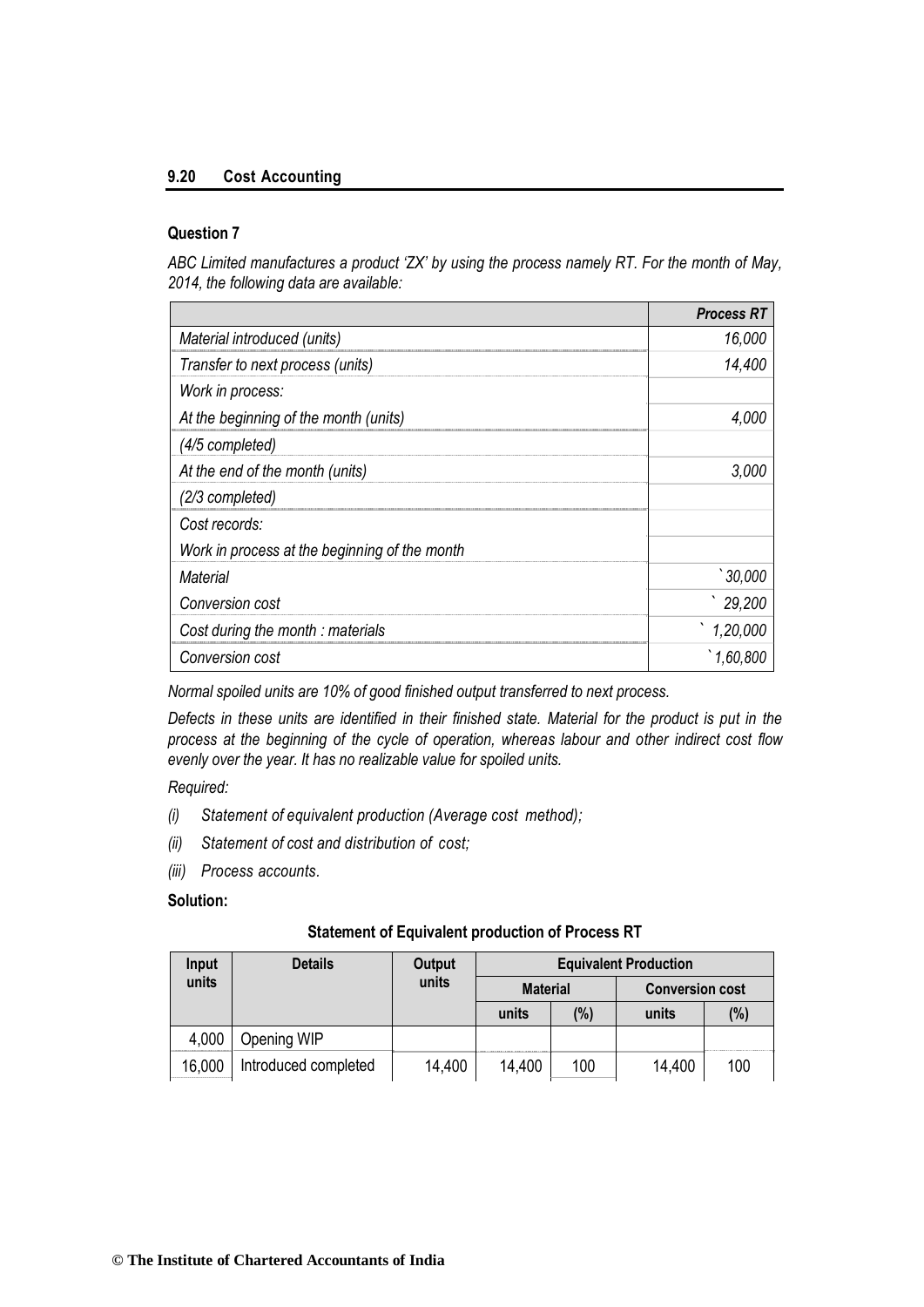## **9.20 Cost Accounting**

## **Question 7**

ABC Limited manufactures a product 'ZX' by using the process namely RT. For the month of May, *2014, the following data are available:*

|                                               | <b>Process RT</b> |
|-----------------------------------------------|-------------------|
| Material introduced (units)                   | 16,000            |
| Transfer to next process (units)              | 14,400            |
| Work in process:                              |                   |
| At the beginning of the month (units)         | 4.000             |
| (4/5 completed)                               |                   |
| At the end of the month (units)               | 3.000             |
| (2/3 completed)                               |                   |
| Cost records:                                 |                   |
| Work in process at the beginning of the month |                   |
| Material                                      | 30,000            |
| Conversion cost                               | 29,200            |
| Cost during the month: materials              | 1,20,000          |
| Conversion cost                               | 1.60.800          |

*Normal spoiled units are 10% of good finished output transferred to next process.*

*Defects in these units are identified in their finished state. Material for the product is put in the process at the beginning of the cycle of operation, whereas labour and other indirect cost flow evenly over the year. It has no realizable value for spoiled units.*

*Required:*

- *(i) Statement of equivalent production (Average cost method);*
- *(ii) Statement of cost and distribution of cost;*
- *(iii) Process accounts.*

## **Solution:**

| <b>Details</b><br>Input |                      | Output |                 |     | <b>Equivalent Production</b> |     |  |  |
|-------------------------|----------------------|--------|-----------------|-----|------------------------------|-----|--|--|
| units                   |                      | units  | <b>Material</b> |     | <b>Conversion cost</b>       |     |  |  |
|                         |                      |        | units           | (%) | units                        | (%) |  |  |
| 4,000                   | Opening WIP          |        |                 |     |                              |     |  |  |
| 16,000                  | Introduced completed | 14,400 | 14,400          | 100 | 14,400                       | 100 |  |  |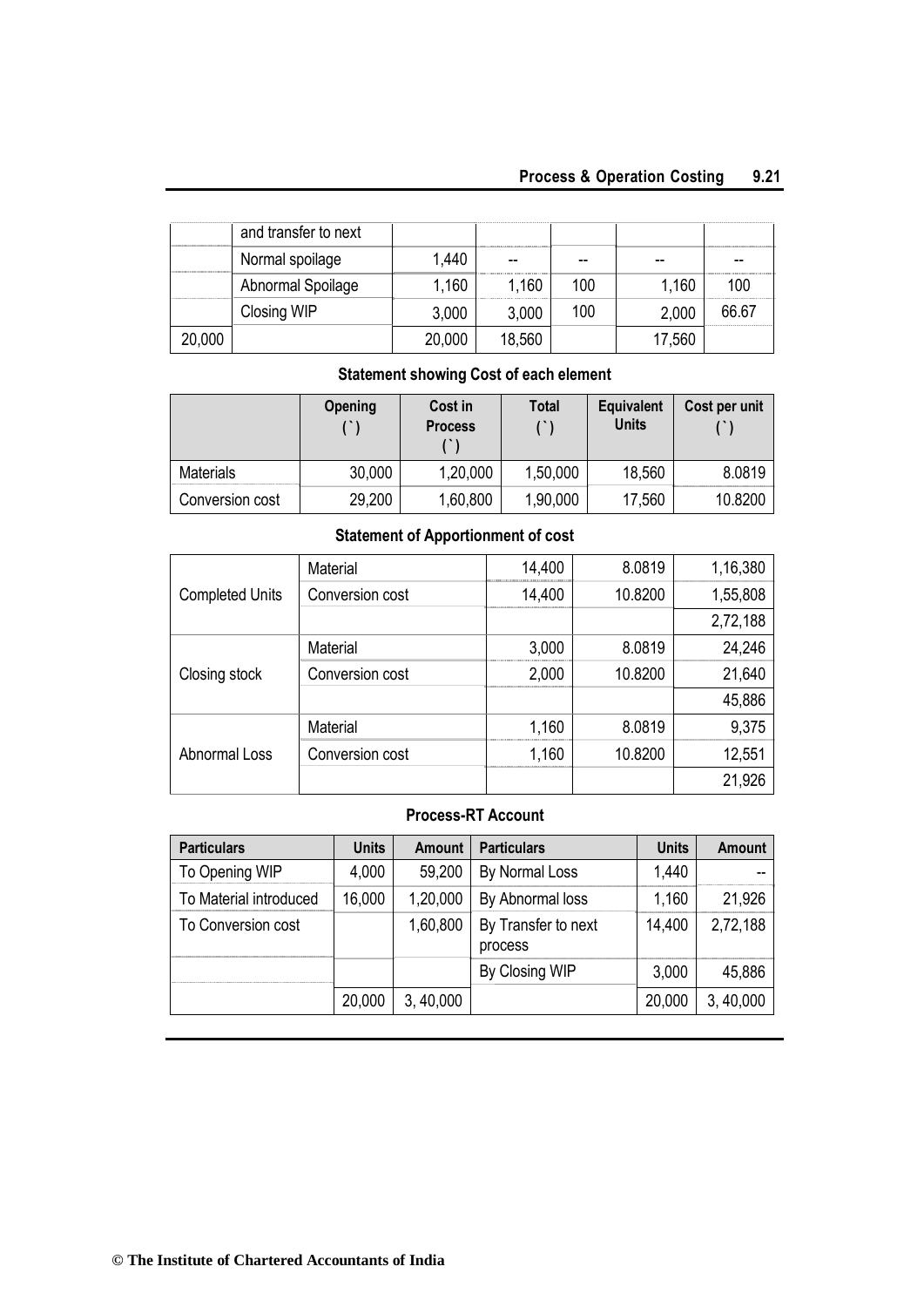## **Process & Operation Costing 9.21**

|      | and transfer to next |        |        |     |       |       |
|------|----------------------|--------|--------|-----|-------|-------|
|      | Normal spoilage      | 1.440  | --     |     | --    |       |
|      | Abnormal Spoilage    | .160   | 1.160  | 100 | 1,160 | 100   |
|      | Closing WIP          | 3,000  | 3,000  | 100 | 2,000 | 66.67 |
| ,000 |                      | 20,000 | 18,560 |     |       |       |

## **Statement showing Cost of each element**

|                  | Opening | Cost in<br><b>Process</b> | Total    | Equivalent<br><b>Units</b> | Cost per unit |
|------------------|---------|---------------------------|----------|----------------------------|---------------|
| <b>Materials</b> | 30,000  | 1,20,000                  | 1,50,000 | 18,560                     | 8.0819        |
| Conversion cost  | 29,200  | 1,60,800                  | 1,90,000 | 17,560                     | 10.8200       |

## **Statement of Apportionment of cost**

| <b>Completed Units</b> | <b>Material</b> | 14,400 | 8.0819  | 1,16,380 |
|------------------------|-----------------|--------|---------|----------|
|                        | Conversion cost | 14,400 | 10.8200 | 1,55,808 |
|                        |                 |        |         | 2,72,188 |
| Closing stock          | <b>Material</b> | 3,000  | 8.0819  | 24,246   |
|                        | Conversion cost | 2,000  | 10.8200 | 21,640   |
|                        |                 |        |         | 45,886   |
|                        | <b>Material</b> | 1,160  | 8.0819  | 9,375    |
| <b>Abnormal Loss</b>   | Conversion cost | 1,160  | 10.8200 | 12,551   |
|                        |                 |        |         | 21,926   |

## **Process-RT Account**

| <b>Particulars</b>     | <b>Units</b> | Amount    | <b>Particulars</b>             | <b>Units</b> | <b>Amount</b> |
|------------------------|--------------|-----------|--------------------------------|--------------|---------------|
| To Opening WIP         | 4,000        | 59,200    | By Normal Loss                 | 1,440        |               |
| To Material introduced | 16,000       | 1,20,000  | By Abnormal loss               | 1,160        | 21,926        |
| To Conversion cost     |              | 1,60,800  | By Transfer to next<br>process | 14,400       | 2,72,188      |
|                        |              |           | By Closing WIP                 | 3,000        | 45,886        |
|                        | 20,000       | 3, 40,000 |                                | 20,000       | 3,40,000      |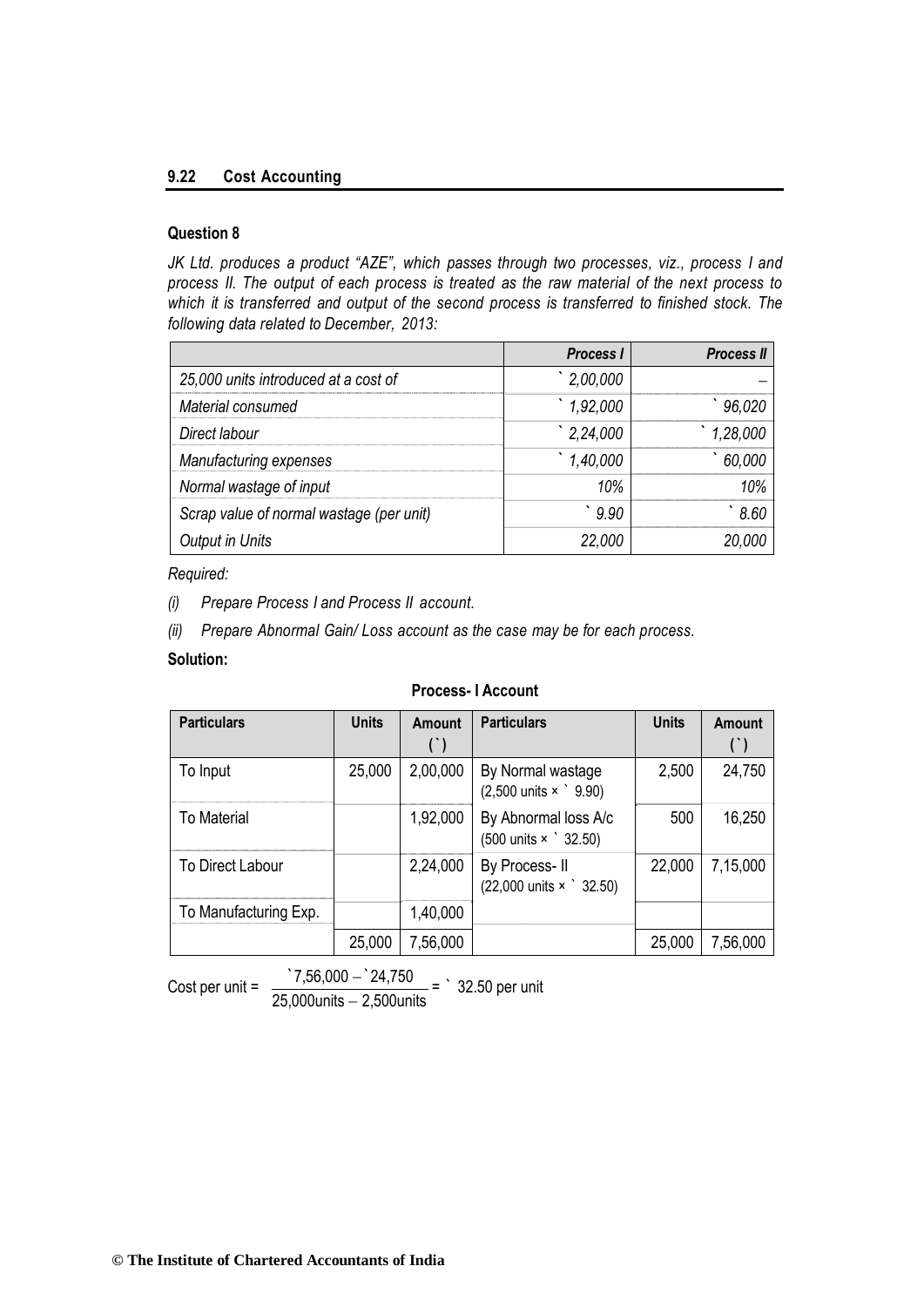## **9.22 Cost Accounting**

## **Question 8**

*JK Ltd. produces a product "AZE", which passes through two processes, viz., process I and process II. The output of each process is treated as the raw material of the next process to which it is transferred and output of the second process is transferred to finished stock. The following data related to December, 2013:*

|                                          | <b>Process I</b> | <b>Process II</b> |
|------------------------------------------|------------------|-------------------|
| 25,000 units introduced at a cost of     | 2,00,000         |                   |
| Material consumed                        | 1,92,000         | 96,020            |
| Direct labour                            | 2,24,000         | 1,28,000          |
| Manufacturing expenses                   | 1,40,000         | 60,000            |
| Normal wastage of input                  | 10%              | 10%               |
| Scrap value of normal wastage (per unit) | 9.90             | 8.60              |
| <b>Output in Units</b>                   | 22,000           | 20.000            |

*Required:*

*(i) Prepare Process I and Process II account.*

*(ii) Prepare Abnormal Gain/ Loss account as the case may be for each process.*

## **Solution:**

#### **Process- I Account**

| <b>Particulars</b>    | <b>Units</b> | <b>Amount</b> | <b>Particulars</b>                                                 | <b>Units</b> | <b>Amount</b> |
|-----------------------|--------------|---------------|--------------------------------------------------------------------|--------------|---------------|
|                       |              |               |                                                                    |              |               |
| To Input              | 25,000       | 2,00,000      | By Normal wastage<br>$(2,500 \text{ units} \times \degree 9.90)$   | 2,500        | 24,750        |
| <b>To Material</b>    |              | 1,92,000      | By Abnormal loss A/c<br>$(500 \text{ units} \times \degree 32.50)$ | 500          | 16,250        |
| To Direct Labour      |              | 2,24,000      | By Process-II<br>$(22,000 \text{ units} \times \degree 32.50)$     | 22,000       | 7,15,000      |
| To Manufacturing Exp. |              | 1,40,000      |                                                                    |              |               |
|                       | 25,000       | 7,56,000      |                                                                    | 25,000       | 7,56,000      |

Cost per unit =  $\frac{7,56,000 - 24,750}{25,000 - 24}$ 

 $25,000$ units  $-2,500$ units = ` 32.50 per unit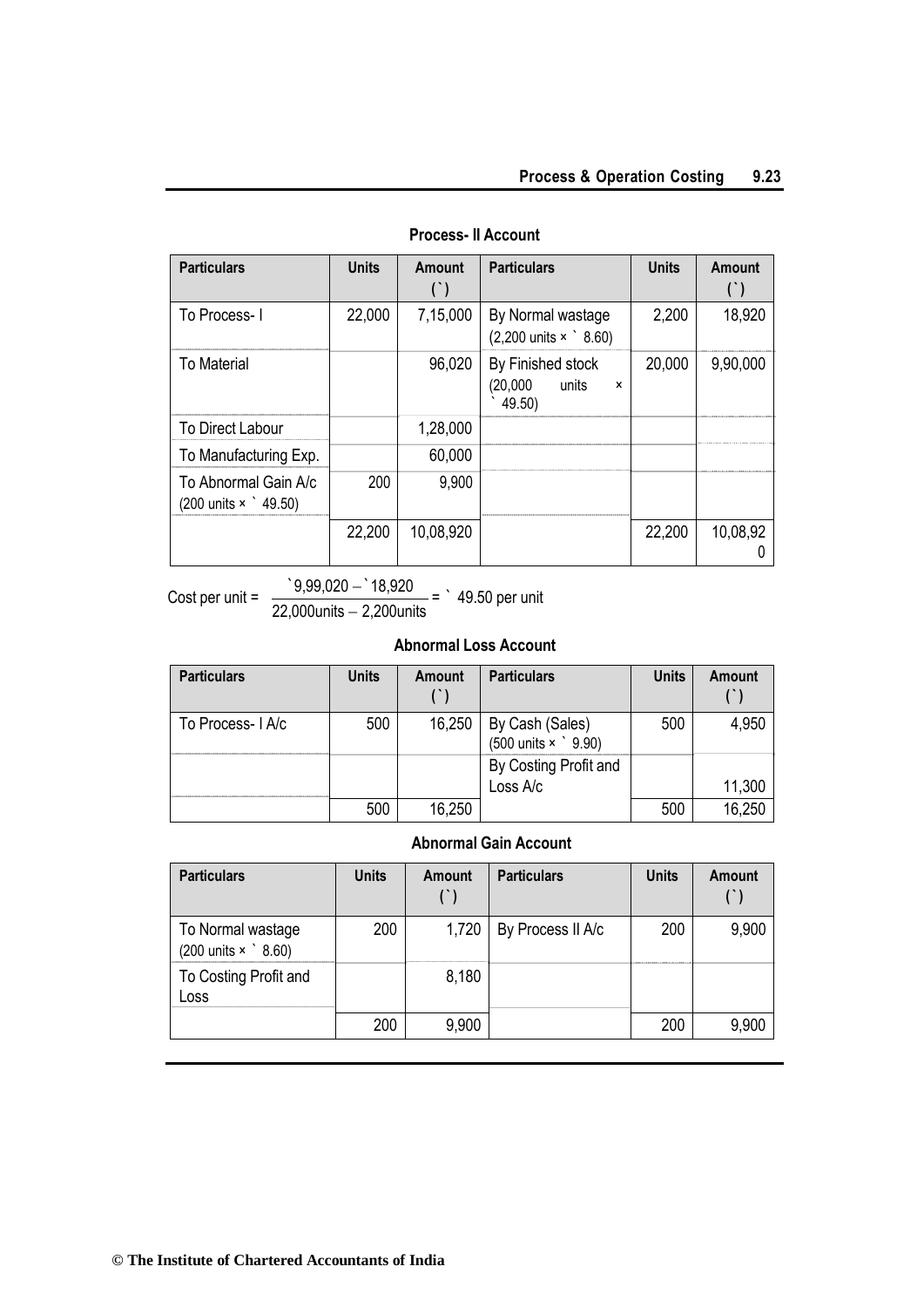| <b>Particulars</b>                          | <b>Units</b> | Amount    | <b>Particulars</b>                                                            | <b>Units</b> | <b>Amount</b> |
|---------------------------------------------|--------------|-----------|-------------------------------------------------------------------------------|--------------|---------------|
| To Process-1                                | 22,000       | 7,15,000  | By Normal wastage<br>$(2,200 \text{ units} \times \degree 8.60)$              | 2,200        | 18,920        |
| <b>To Material</b>                          |              | 96,020    | By Finished stock<br>(20,000)<br>units<br>$\boldsymbol{\mathsf{x}}$<br>49.50) | 20,000       | 9,90,000      |
| <b>To Direct Labour</b>                     |              | 1,28,000  |                                                                               |              |               |
| To Manufacturing Exp.                       |              | 60,000    |                                                                               |              |               |
| To Abnormal Gain A/c<br>(200 units x 19.50) | 200          | 9,900     |                                                                               |              |               |
|                                             | 22,200       | 10,08,920 |                                                                               | 22,200       | 10,08,92      |

## **Process- II Account**

Cost per unit =  $\frac{9,99,020 - 18,920}{20,000}$ 22,000units 2,200units = ` 49.50 per unit

## **Abnormal Loss Account**

| <b>Particulars</b> | <b>Units</b> | Amount | <b>Particulars</b>                                     | <b>Units</b> | Amount |
|--------------------|--------------|--------|--------------------------------------------------------|--------------|--------|
| To Process- LA/c   | 500          | 16,250 | By Cash (Sales)<br>(500 units $\times$ $\degree$ 9.90) | 500          | 4,950  |
|                    |              |        | By Costing Profit and<br>Loss A/c                      |              |        |
|                    |              |        |                                                        |              | 11,300 |
|                    | 500          | 16,250 |                                                        | 500          | 16,250 |

## **Abnormal Gain Account**

| <b>Particulars</b>                                             | <b>Units</b> | <b>Amount</b> | <b>Particulars</b> | <b>Units</b> | <b>Amount</b> |
|----------------------------------------------------------------|--------------|---------------|--------------------|--------------|---------------|
| To Normal wastage<br>$(200 \text{ units} \times \degree 8.60)$ | 200          | 1,720         | By Process II A/c  | 200          | 9,900         |
| To Costing Profit and<br>Loss                                  |              | 8,180         |                    |              |               |
|                                                                | 200          | 9,900         |                    | 200          | 9,900         |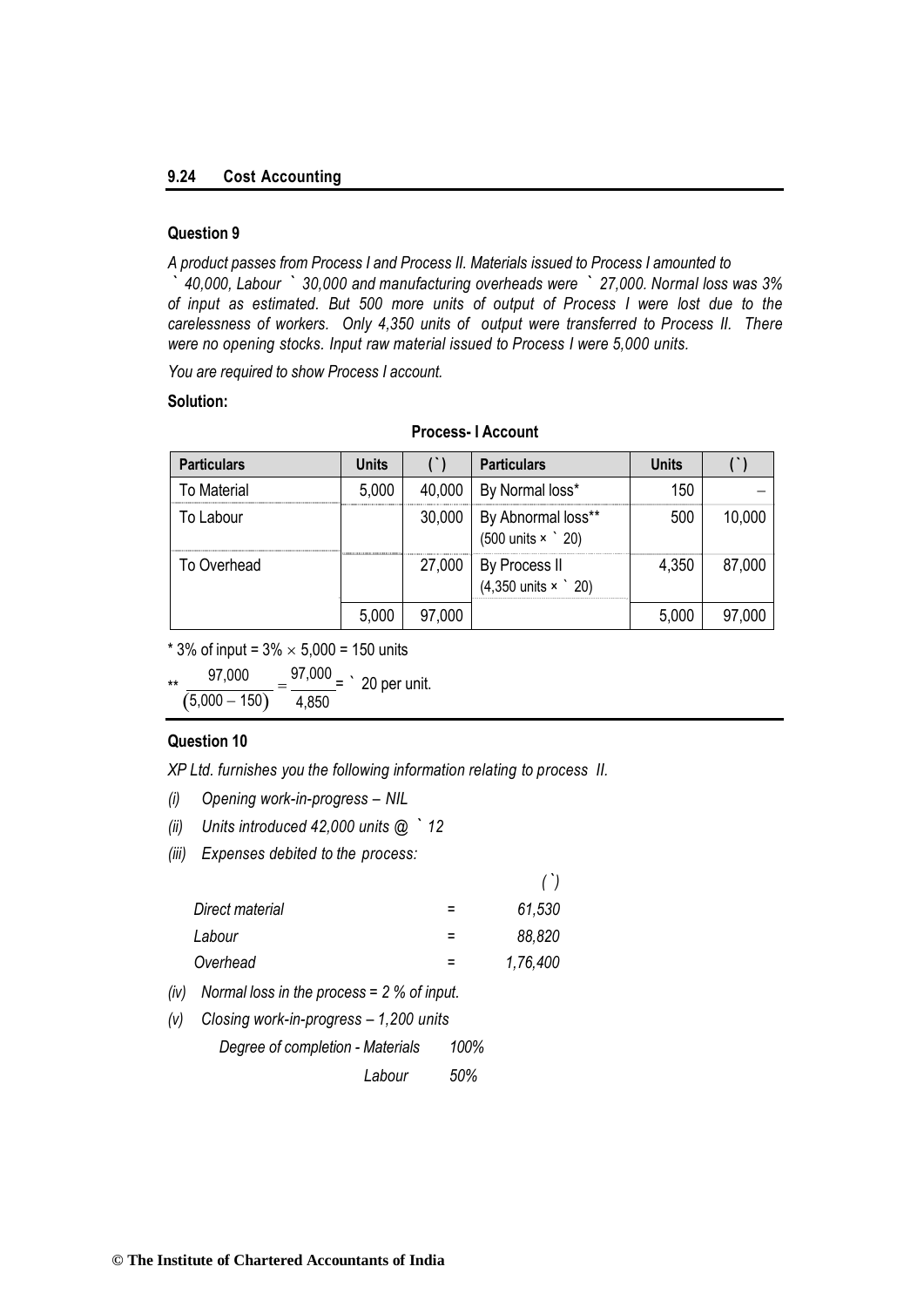#### **9.24 Cost Accounting**

#### **Question 9**

*A product passes from Process I and Process II. Materials issued to Process I amounted to*

*` 40,000, Labour ` 30,000 and manufacturing overheads were ` 27,000. Normal loss was 3% of input as estimated. But 500 more units of output of Process I were lost due to the carelessness of workers. Only 4,350 units of output were transferred to Process II. There were no opening stocks. Input raw material issued to Process I were 5,000 units.*

*You are required to show Process I account.*

#### **Solution:**

| <b>Particulars</b> | <b>Units</b> |        | <b>Particulars</b>                                            | Units |        |
|--------------------|--------------|--------|---------------------------------------------------------------|-------|--------|
| <b>To Material</b> | 5,000        | 40,000 | By Normal loss*                                               | 150   |        |
| To Labour          |              | 30,000 | By Abnormal loss**<br>$(500 \text{ units} \times \degree 20)$ | 500   | 10,000 |
| To Overhead        |              | 27,000 | By Process II<br>(4,350 units $\times$ $\degree$ 20)          | 4,350 | 87,000 |
|                    | 5,000        | 97,000 |                                                               | 5,000 | 97,000 |

## **Process- I Account**

\* 3% of input =  $3\% \times 5,000 = 150$  units

\*\*  $\frac{97,000}{(5,000 - 150)} = \frac{97,000}{4,850} =$  ` 20 per unit. 4,850

#### **Question 10**

*XP Ltd. furnishes you the following information relating to process II.*

- *(i) Opening work-in-progress – NIL*
- *(ii) Units introduced 42,000 units @ ` 12*
- *(iii) Expenses debited to the process:*

|                 |   | $^{\prime})$ |
|-----------------|---|--------------|
| Direct material |   | 61,530       |
| Labour          | = | 88,820       |
| Overhead        |   | 1,76,400     |
|                 |   |              |

- *(iv) Normal loss in the process = 2 % of input.*
- *(v) Closing work-in-progress – 1,200 units* 
	- *Degree of completion - Materials 100%*

*Labour 50%*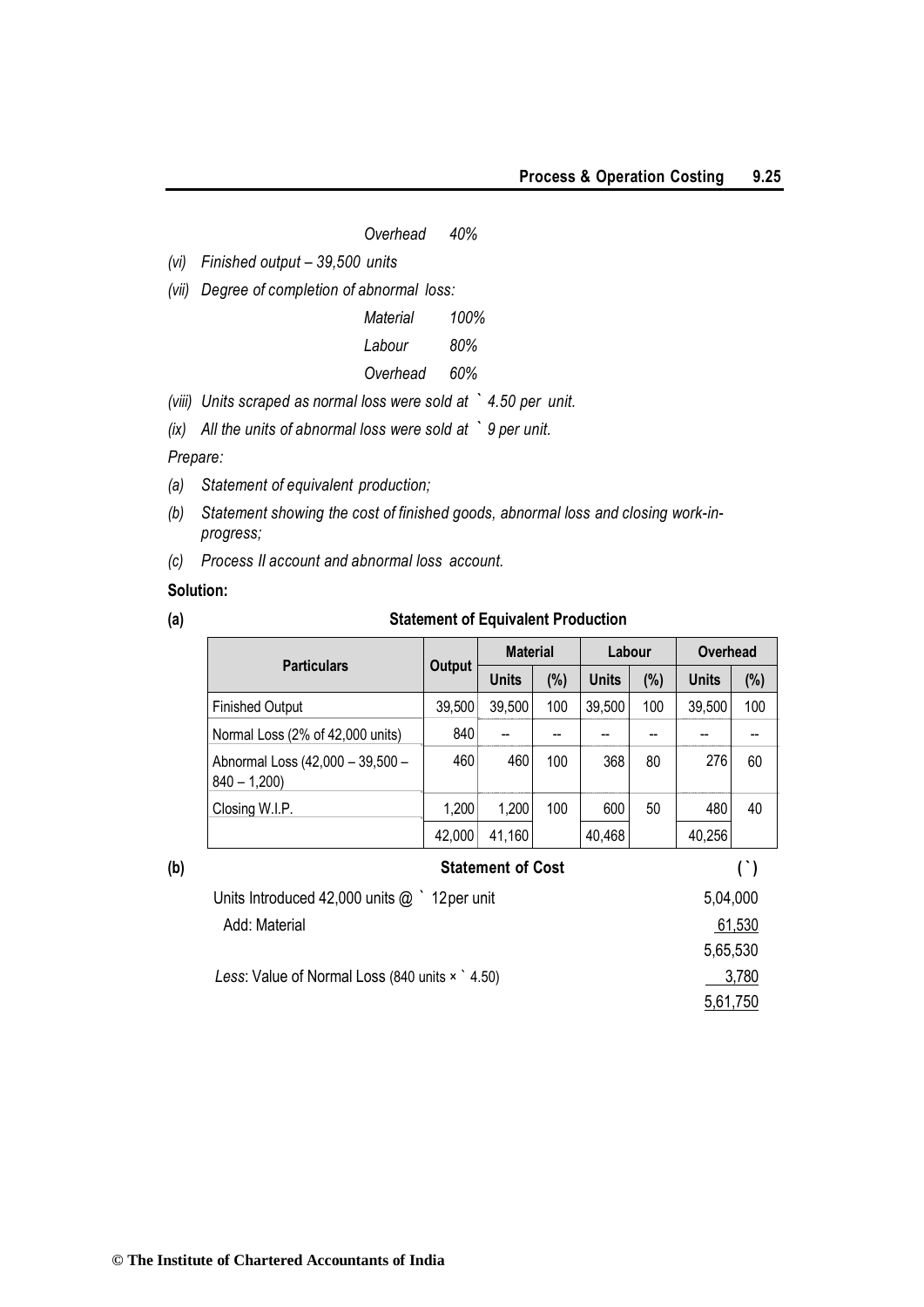#### *Overhead 40%*

*(vi) Finished output – 39,500 units*

*(vii) Degree of completion of abnormal loss:*

*Material 100%*

*Labour 80%*

## *Overhead 60%*

*(viii) Units scraped as normal loss were sold at ` 4.50 per unit.*

*(ix) All the units of abnormal loss were sold at ` 9 per unit.* 

*Prepare:*

- *(a) Statement of equivalent production;*
- *(b) Statement showing the cost of finished goods, abnormal loss and closing work-inprogress;*
- *(c) Process II account and abnormal loss account.*

#### **Solution:**

#### **(a) Statement of Equivalent Production**

|     |                                                   |               | <b>Material</b>          |     | Labour |     | Overhead |        |
|-----|---------------------------------------------------|---------------|--------------------------|-----|--------|-----|----------|--------|
| (b) | <b>Particulars</b>                                | <b>Output</b> | <b>Units</b>             | (%) | Units  | (%) | Units    | (%)    |
|     | <b>Finished Output</b>                            | 39,500        | 39,500                   | 100 | 39,500 | 100 | 39,500   | 100    |
|     | Normal Loss (2% of 42,000 units)                  | 840           |                          |     |        |     |          |        |
|     | Abnormal Loss (42,000 - 39,500 -<br>$840 - 1,200$ | 460           | 460                      | 100 | 368    | 80  | 276      | 60     |
|     | Closing W.I.P.                                    | 1,200         | 1,200                    | 100 | 600    | 50  | 480      | 40     |
|     |                                                   | 42,000        | 41,160                   |     | 40,468 |     | 40,256   |        |
|     |                                                   |               | <b>Statement of Cost</b> |     |        |     |          | $($ )  |
|     | Units Introduced 42,000 units $@$ $'$ 12 per unit |               |                          |     |        |     | 5,04,000 |        |
|     | Add: Material                                     |               |                          |     |        |     |          | 61,530 |
|     |                                                   |               |                          |     |        |     | 5,65,530 |        |
|     | Less: Value of Normal Loss (840 units x 1.50)     |               |                          |     |        |     |          | 3,780  |
|     |                                                   |               |                          |     |        |     | 5,61,750 |        |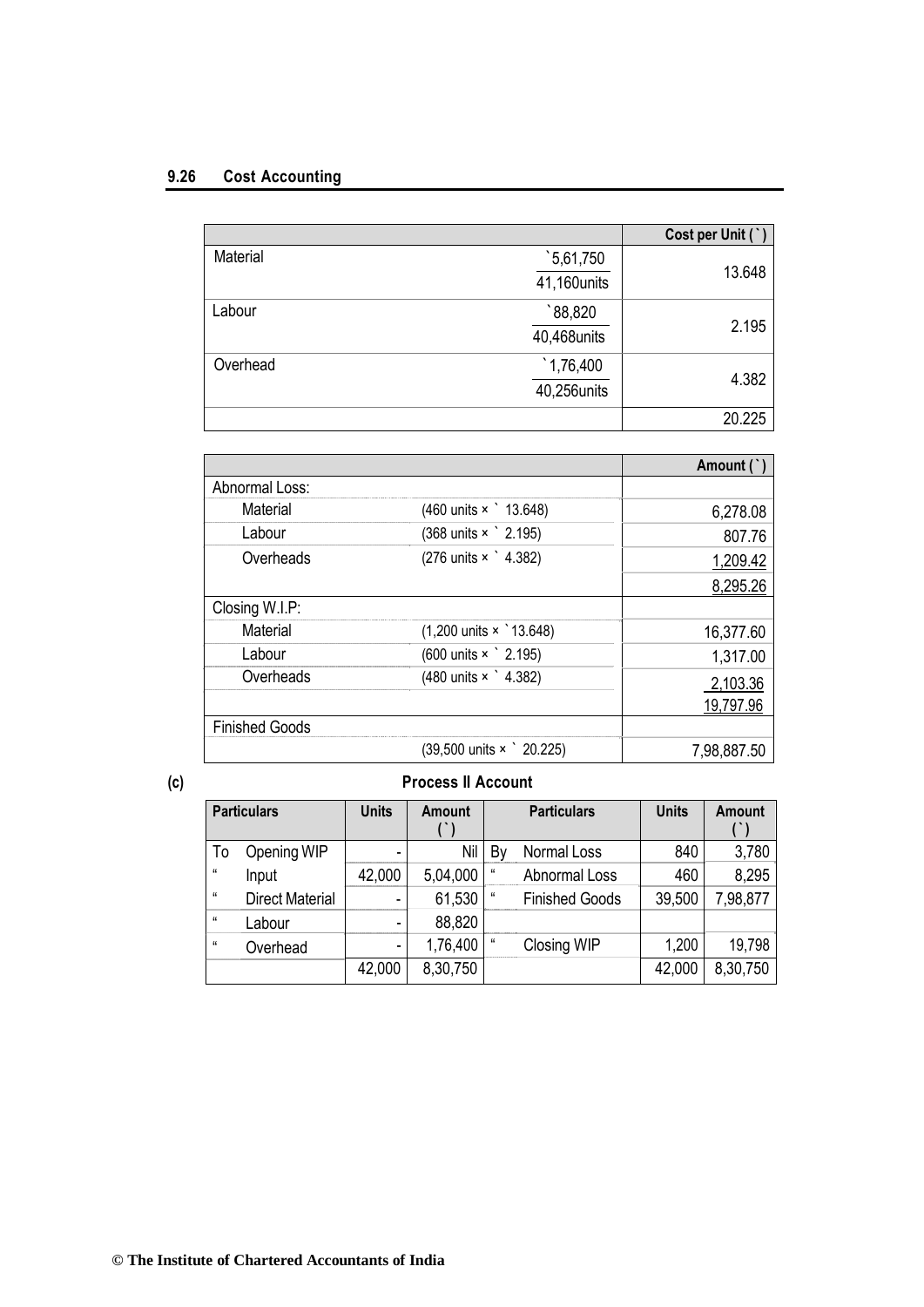## **9.26 Cost Accounting**

|          |                    | Cost per Unit (`) |
|----------|--------------------|-------------------|
| Material | $\degree$ 5,61,750 |                   |
|          | 41,160units        | 13.648            |
| Labour   | 88,820             |                   |
|          | 40,468units        | 2.195             |
| Overhead | 1,76,400           |                   |
|          | 40,256units        | 4.382             |
|          |                    | 20.225            |

|                       |                                                | Amount (`)  |
|-----------------------|------------------------------------------------|-------------|
| Abnormal Loss:        |                                                |             |
| Material              | (460 units x 13.648)                           | 6,278.08    |
| Labour                | (368 units × 2.195)                            | 807.76      |
| Overheads             | (276 units × 1.382)                            | 1,209.42    |
|                       |                                                | 8,295.26    |
| Closing W.I.P:        |                                                |             |
| Material              | $(1,200 \text{ units} \times 13.648)$          | 16,377.60   |
| Labour                | (600 units × ` 2.195)                          | 1,317.00    |
| Overheads             | (480 units × 1.382)                            | 2,103.36    |
|                       |                                                | 19,797.96   |
| <b>Finished Goods</b> |                                                |             |
|                       | $(39,500 \text{ units} \times \degree 20.225)$ | 7,98,887.50 |

## **(c) Process II Account**

|            | <b>Particulars</b>     | <b>Units</b> | <b>Amount</b> |                | <b>Particulars</b>    | <b>Units</b> | <b>Amount</b> |
|------------|------------------------|--------------|---------------|----------------|-----------------------|--------------|---------------|
| To         | Opening WIP            |              | Nil           | Βv             | Normal Loss           | 840          | 3,780         |
| и          | Input                  | 42,000       | 5,04,000      | u              | <b>Abnormal Loss</b>  | 460          | 8,295         |
| $\epsilon$ | <b>Direct Material</b> |              | 61,530        | "              | <b>Finished Goods</b> | 39,500       | 7,98,877      |
| $\epsilon$ | Labour                 |              | 88,820        |                |                       |              |               |
| $\epsilon$ | Overhead               |              | 1,76,400      | $\mathfrak{c}$ | Closing WIP           | 1,200        | 19,798        |
|            |                        | 42,000       | 8,30,750      |                |                       | 42,000       | 8,30,750      |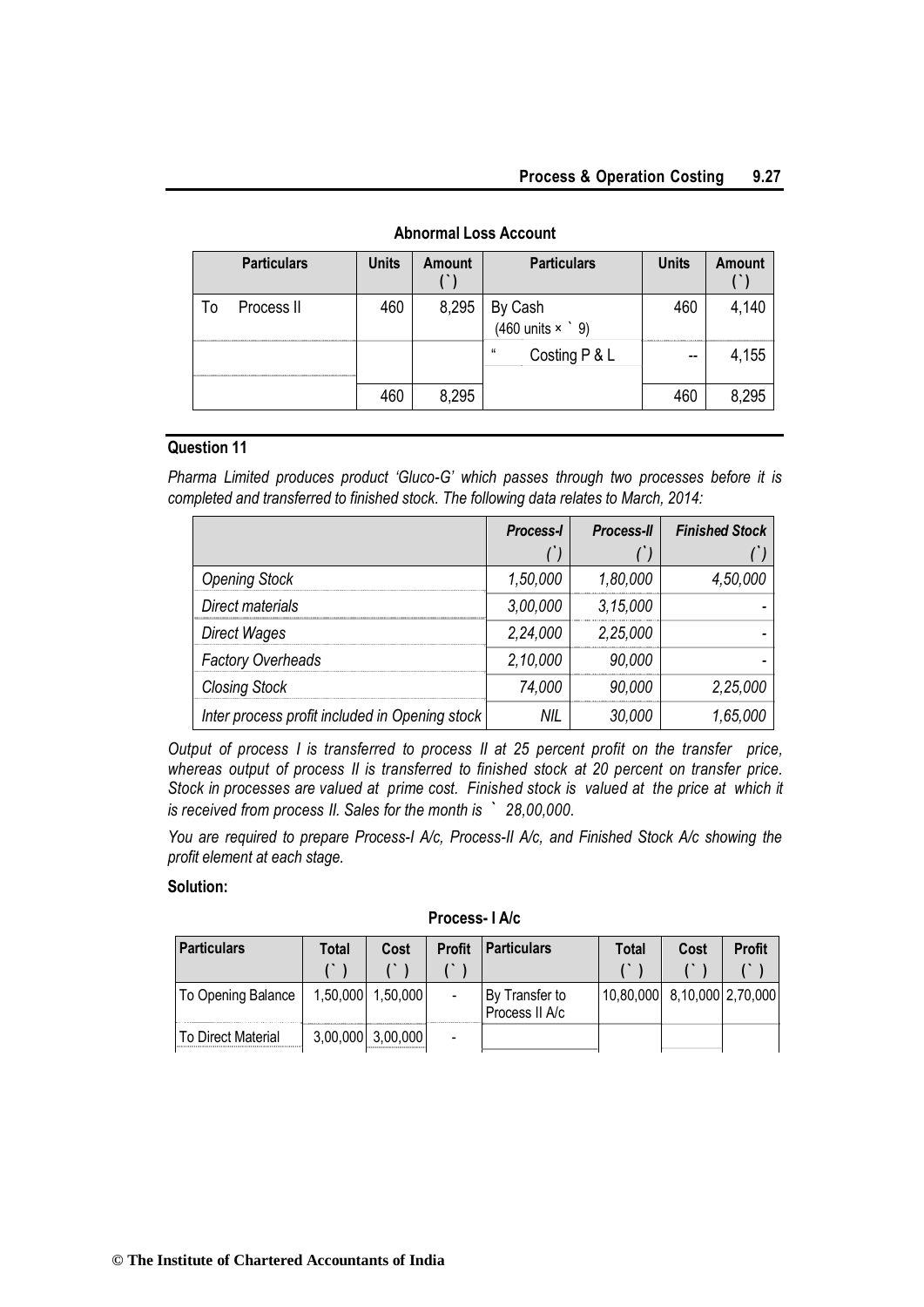|    | <b>Particulars</b> | <b>Units</b> | <b>Amount</b> | <b>Particulars</b>                  | <b>Units</b> | <b>Amount</b> |
|----|--------------------|--------------|---------------|-------------------------------------|--------------|---------------|
| T٥ | Process II         | 460          | 8,295         | By Cash<br>(460 units $\times$ ` 9) | 460          | 4,140         |
|    |                    |              |               | $\epsilon$<br>Costing P & L         | --           | 4,155         |
|    |                    | 460          | 8,295         |                                     | 460          | 8,295         |

## **Abnormal Loss Account**

#### **Question 11**

*Pharma Limited produces product 'Gluco-G' which passes through two processes before it is completed and transferred to finished stock. The following data relates to March, 2014:*

|                                                | Process-I | <b>Process-II</b> | <b>Finished Stock</b> |
|------------------------------------------------|-----------|-------------------|-----------------------|
|                                                |           |                   |                       |
| <b>Opening Stock</b>                           | 1,50,000  | 1,80,000          | 4,50,000              |
| Direct materials                               | 3,00,000  | 3,15,000          |                       |
| <b>Direct Wages</b>                            | 2,24,000  | 2,25,000          |                       |
| <b>Factory Overheads</b>                       | 2,10,000  | 90,000            |                       |
| <b>Closing Stock</b>                           | 74,000    | 90,000            | 2,25,000              |
| Inter process profit included in Opening stock | NIL       | 30,000            | 1,65,000              |

*Output of process I is transferred to process II at 25 percent profit on the transfer price, whereas output of process II is transferred to finished stock at 20 percent on transfer price. Stock in processes are valued at prime cost. Finished stock is valued at the price at which it is received from process II. Sales for the month is ` 28,00,000.*

*You are required to prepare Process-I A/c, Process-II A/c, and Finished Stock A/c showing the profit element at each stage.*

#### **Solution:**

| <b>Particulars</b>        | Total    | Cost              | <b>Profit</b>  | <b>Particulars</b>               | Total                       | Cost | <b>Profit</b> |
|---------------------------|----------|-------------------|----------------|----------------------------------|-----------------------------|------|---------------|
|                           |          |                   |                |                                  |                             |      |               |
| To Opening Balance        | 1,50,000 | 1,50,000          |                | By Transfer to<br>Process II A/c | 10,80,000 8,10,000 2,70,000 |      |               |
| <b>To Direct Material</b> |          | 3,00,000 3,00,000 | $\blacksquare$ |                                  |                             |      |               |

**Process- I A/c**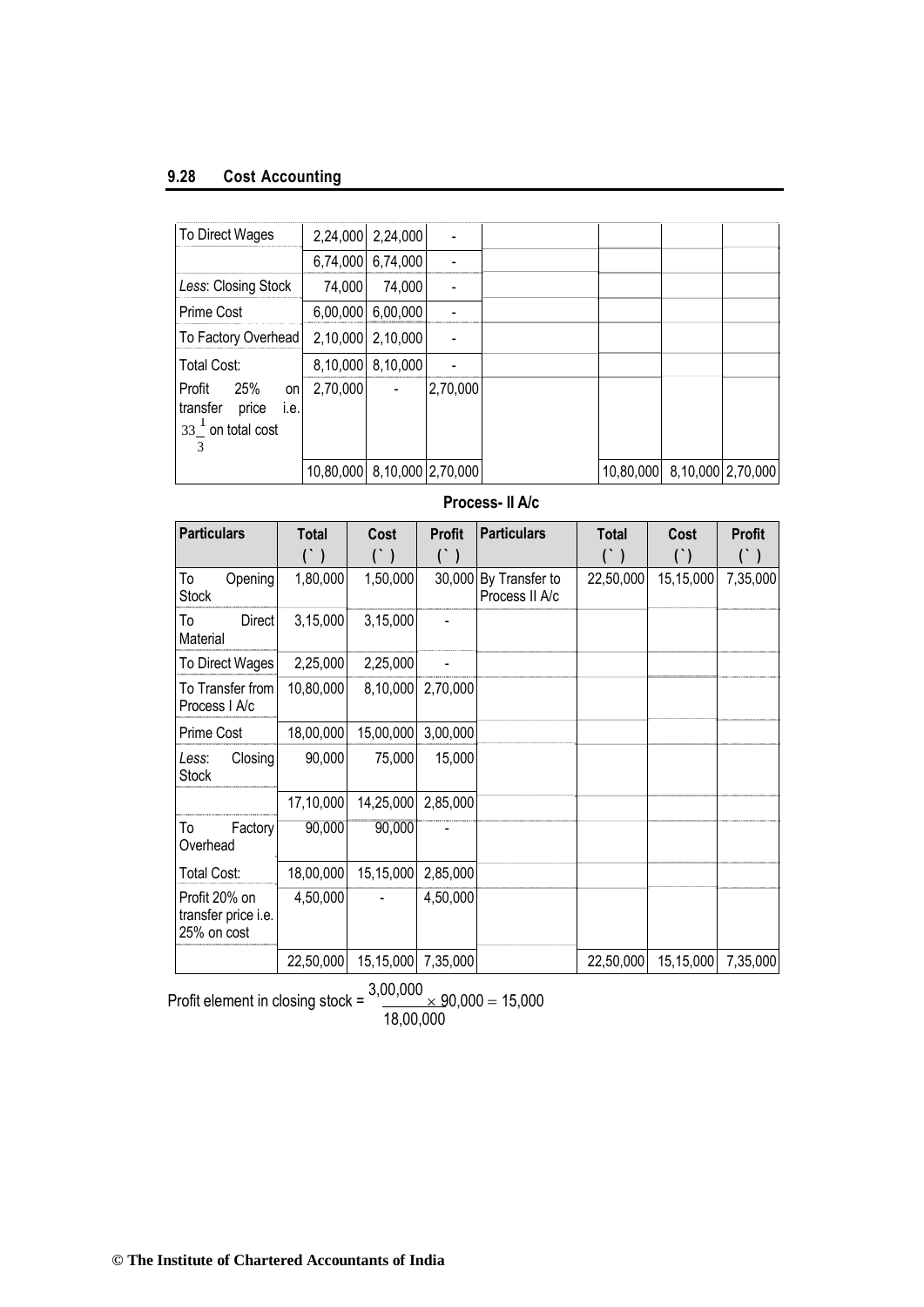## **9.28 Cost Accounting**

| To Direct Wages                                                               |                             | 2,24,000 2,24,000 | L,             |                             |  |
|-------------------------------------------------------------------------------|-----------------------------|-------------------|----------------|-----------------------------|--|
|                                                                               |                             | 6,74,000 6,74,000 |                |                             |  |
| Less: Closing Stock                                                           | 74,000                      | 74,000            |                |                             |  |
| Prime Cost                                                                    |                             | 6,00,000 6,00,000 |                |                             |  |
| To Factory Overhead                                                           |                             | 2,10,000 2,10,000 | $\blacksquare$ |                             |  |
| <b>Total Cost:</b>                                                            |                             | 8,10,000 8,10,000 |                |                             |  |
| 25%<br>Profit<br>on<br>transfer<br>price<br>i.e.<br>$33^1$ on total cost<br>3 | 2,70,000                    |                   | 2,70,000       |                             |  |
|                                                                               | 10,80,000 8,10,000 2,70,000 |                   |                | 10,80,000 8,10,000 2,70,000 |  |

## **Process- II A/c**

| <b>Particulars</b>                                  | <b>Total</b>          | Cost                                  | <b>Profit</b>         | <b>Particulars</b>               | <b>Total</b> | Cost      | <b>Profit</b> |
|-----------------------------------------------------|-----------------------|---------------------------------------|-----------------------|----------------------------------|--------------|-----------|---------------|
|                                                     | $(\dot{\phantom{a}})$ | $\begin{pmatrix} 1 & 1 \end{pmatrix}$ | $(\dot{\phantom{0}})$ |                                  | $($ )        | $($ )     |               |
| То<br>Opening<br><b>Stock</b>                       | 1,80,000              | 1,50,000                              | 30,000                | By Transfer to<br>Process II A/c | 22,50,000    | 15,15,000 | 7,35,000      |
| To<br><b>Direct</b><br>Material                     | 3,15,000              | 3,15,000                              |                       |                                  |              |           |               |
| To Direct Wages                                     | 2,25,000              | 2,25,000                              |                       |                                  |              |           |               |
| To Transfer from<br>Process I A/c                   | 10,80,000             | 8,10,000                              | 2,70,000              |                                  |              |           |               |
| Prime Cost                                          | 18,00,000             | 15,00,000                             | 3,00,000              |                                  |              |           |               |
| Closing<br>Less:<br>Stock                           | 90,000                | 75,000                                | 15,000                |                                  |              |           |               |
|                                                     | 17,10,000             | 14,25,000                             | 2,85,000              |                                  |              |           |               |
| To<br>Factory<br>Overhead                           | 90,000                | 90,000                                |                       |                                  |              |           |               |
| <b>Total Cost:</b>                                  | 18,00,000             | 15,15,000                             | 2,85,000              |                                  |              |           |               |
| Profit 20% on<br>transfer price i.e.<br>25% on cost | 4,50,000              |                                       | 4,50,000              |                                  |              |           |               |
|                                                     | 22,50,000             | 15,15,000                             | 7,35,000              |                                  | 22,50,000    | 15,15,000 | 7,35,000      |

Profit element in closing stock =  $\frac{3,00,000}{\times}$  90,000 = 15,000 18,00,000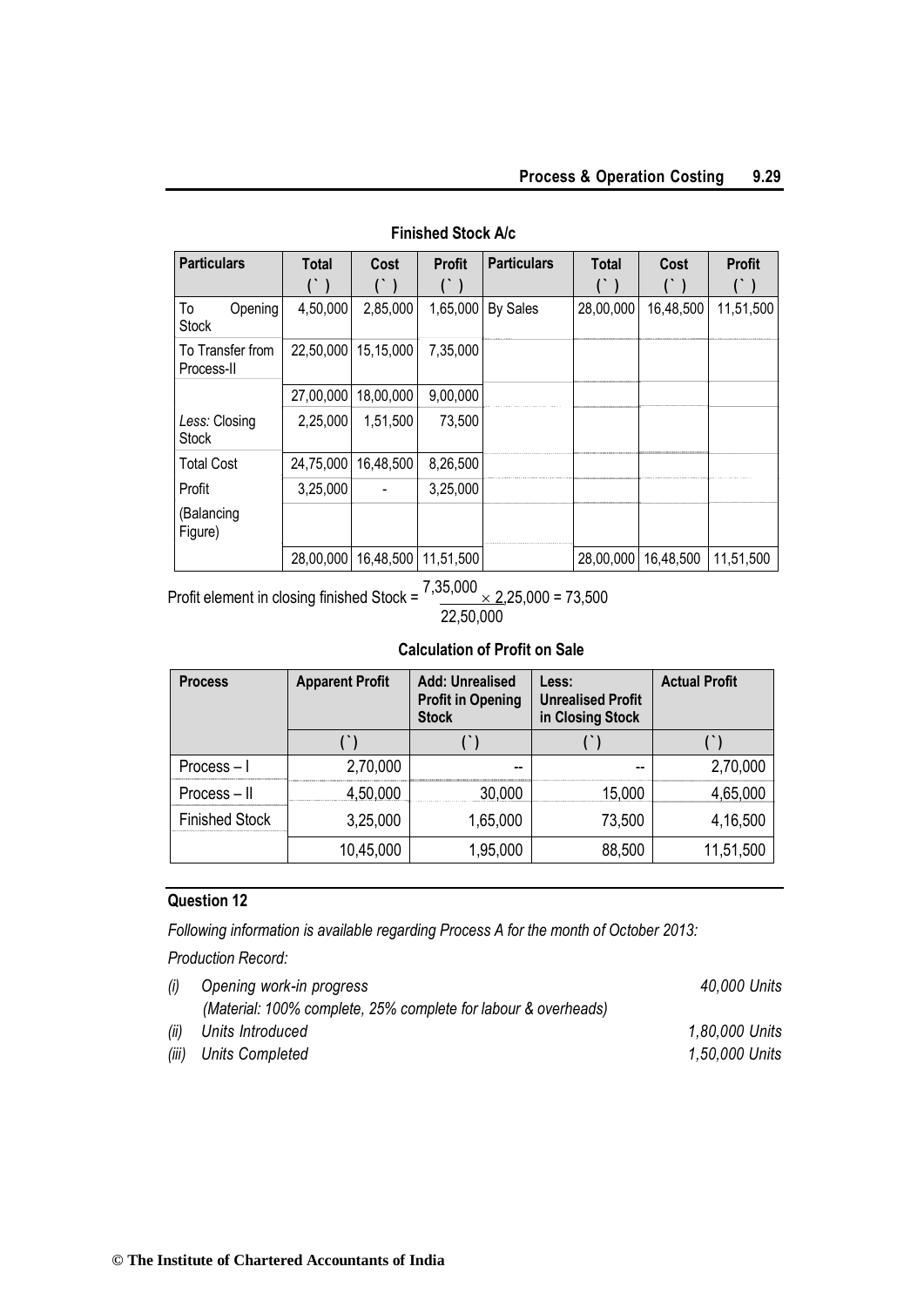| <b>Particulars</b>             | <b>Total</b> | Cost                          | <b>Profit</b> | <b>Particulars</b> | <b>Total</b> | Cost      | <b>Profit</b> |
|--------------------------------|--------------|-------------------------------|---------------|--------------------|--------------|-----------|---------------|
|                                |              |                               |               |                    |              |           |               |
| To<br>Opening<br><b>Stock</b>  | 4,50,000     | 2,85,000                      | 1,65,000      | <b>By Sales</b>    | 28,00,000    | 16,48,500 | 11,51,500     |
| To Transfer from<br>Process-II | 22,50,000    | 15,15,000                     | 7,35,000      |                    |              |           |               |
|                                | 27,00,000    | 18,00,000                     | 9,00,000      |                    |              |           |               |
| Less: Closing<br><b>Stock</b>  | 2,25,000     | 1,51,500                      | 73,500        |                    |              |           |               |
| <b>Total Cost</b>              | 24,75,000    | 16,48,500                     | 8,26,500      |                    |              |           |               |
| Profit                         | 3,25,000     |                               | 3,25,000      |                    |              |           |               |
| (Balancing<br>Figure)          |              |                               |               |                    |              |           |               |
|                                |              | 28,00,000 16,48,500 11,51,500 |               |                    | 28,00,000    | 16,48,500 | 11,51,500     |

## **Finished Stock A/c**

Profit element in closing finished Stock =  $7,35,000 \times 2,25,000 = 73,500$ 22,50,000

## **Calculation of Profit on Sale**

| <b>Process</b>        | <b>Apparent Profit</b> | <b>Add: Unrealised</b><br><b>Profit in Opening</b><br><b>Stock</b> | Less:<br><b>Unrealised Profit</b><br>in Closing Stock | <b>Actual Profit</b> |
|-----------------------|------------------------|--------------------------------------------------------------------|-------------------------------------------------------|----------------------|
|                       |                        |                                                                    |                                                       |                      |
| Process-I             | 2,70,000               | --                                                                 | --                                                    | 2,70,000             |
| $Process - II$        | 4,50,000               | 30,000                                                             | 15,000                                                | 4,65,000             |
| <b>Finished Stock</b> | 3,25,000               | 1,65,000                                                           | 73,500                                                | 4,16,500             |
|                       | 10,45,000              | 1,95,000                                                           | 88,500                                                | 11,51,500            |

## **Question 12**

*Following information is available regarding Process A for the month of October 2013:* 

*Production Record:*

| (i) | Opening work-in progress                                       | 40,000 Units   |
|-----|----------------------------------------------------------------|----------------|
|     | (Material: 100% complete, 25% complete for labour & overheads) |                |
|     | (ii) Units Introduced                                          | 1,80,000 Units |
|     | (iii) Units Completed                                          | 1,50,000 Units |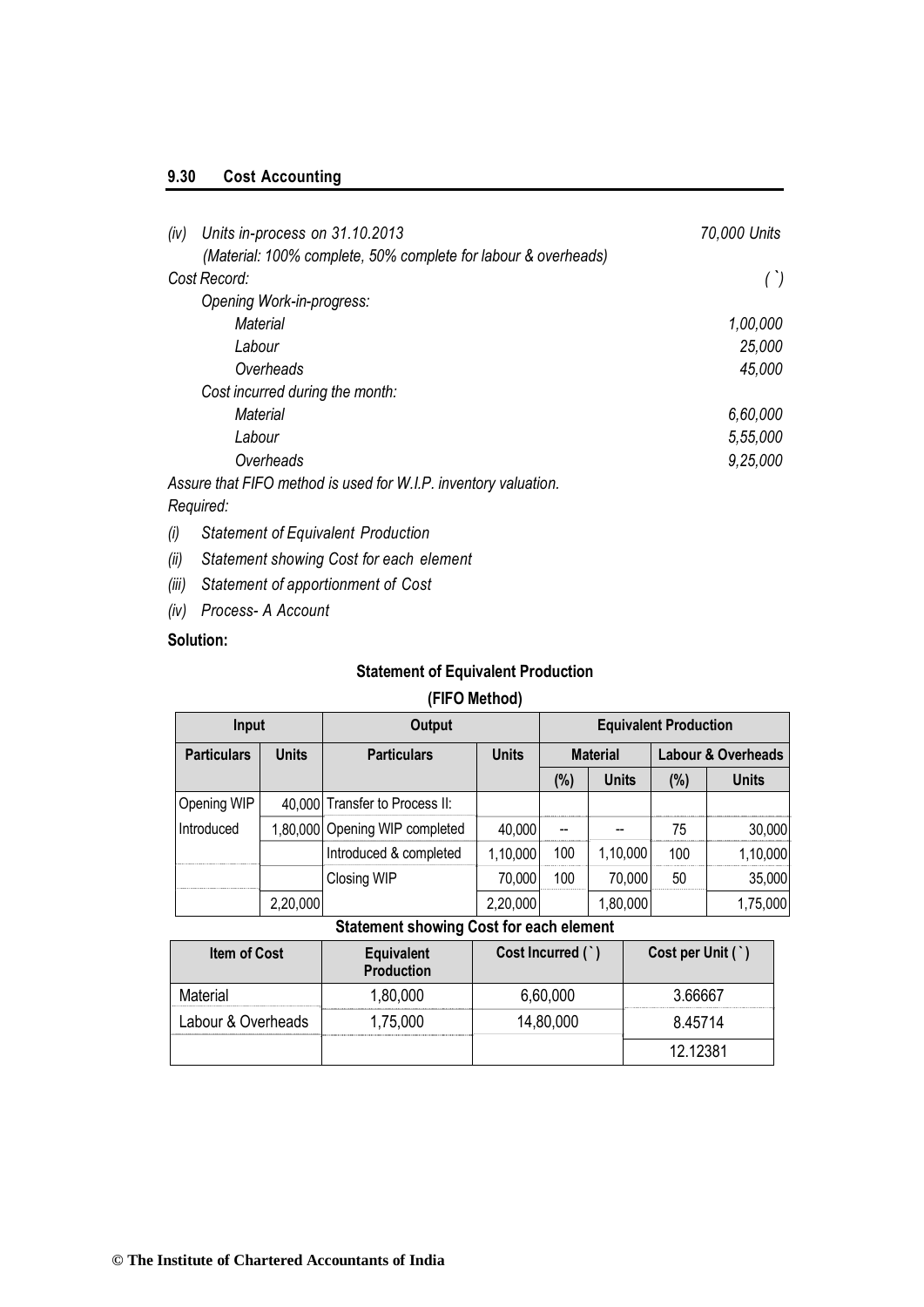## **9.30 Cost Accounting**

| (iv) | Units in-process on 31.10.2013                                  | 70,000 Units |
|------|-----------------------------------------------------------------|--------------|
|      | (Material: 100% complete, 50% complete for labour & overheads)  |              |
|      | Cost Record:                                                    | $^{\prime})$ |
|      | Opening Work-in-progress:                                       |              |
|      | Material                                                        | 1,00,000     |
|      | Labour                                                          | 25,000       |
|      | Overheads                                                       | 45,000       |
|      | Cost incurred during the month:                                 |              |
|      | Material                                                        | 6,60,000     |
|      | Labour                                                          | 5,55,000     |
|      | Overheads                                                       | 9,25,000     |
|      | Assure that FIFO method is used for W.I.P. inventory valuation. |              |
|      |                                                                 |              |

## *Required:*

- *(i) Statement of Equivalent Production*
- *(ii) Statement showing Cost for each element*
- *(iii) Statement of apportionment of Cost*
- *(iv) Process- A Account*

## **Solution:**

## **Statement of Equivalent Production**

## **(FIFO Method)**

| Input              |              | Output                         |                                 | <b>Equivalent Production</b> |              |        |                               |
|--------------------|--------------|--------------------------------|---------------------------------|------------------------------|--------------|--------|-------------------------------|
| <b>Particulars</b> | <b>Units</b> | <b>Particulars</b>             | <b>Units</b><br><b>Material</b> |                              |              |        | <b>Labour &amp; Overheads</b> |
|                    |              |                                |                                 | (%)                          | <b>Units</b> | $(\%)$ | <b>Units</b>                  |
| Opening WIP        |              | 40,000 Transfer to Process II: |                                 |                              |              |        |                               |
| Introduced         |              | 1,80,000 Opening WIP completed | 40,000                          | --                           |              | 75     | 30,000                        |
|                    |              | Introduced & completed         | 1,10,000                        | 100                          | 1,10,000     | 100    | 1,10,000                      |
|                    |              | Closing WIP                    | 70,000                          | 100                          | 70,000       | 50     | 35,000                        |
|                    | 2,20,000     |                                | 2,20,000                        |                              | 1,80,000     |        | 1,75,000                      |

## **Statement showing Cost for each element**

| <b>Item of Cost</b> | <b>Equivalent</b><br><b>Production</b> | Cost Incurred (`) | Cost per Unit $( )$ |
|---------------------|----------------------------------------|-------------------|---------------------|
| Material            | 1,80,000                               | 6,60,000          | 3.66667             |
| Labour & Overheads  | 1,75,000                               | 14,80,000         | 8.45714             |
|                     |                                        |                   | 12.12381            |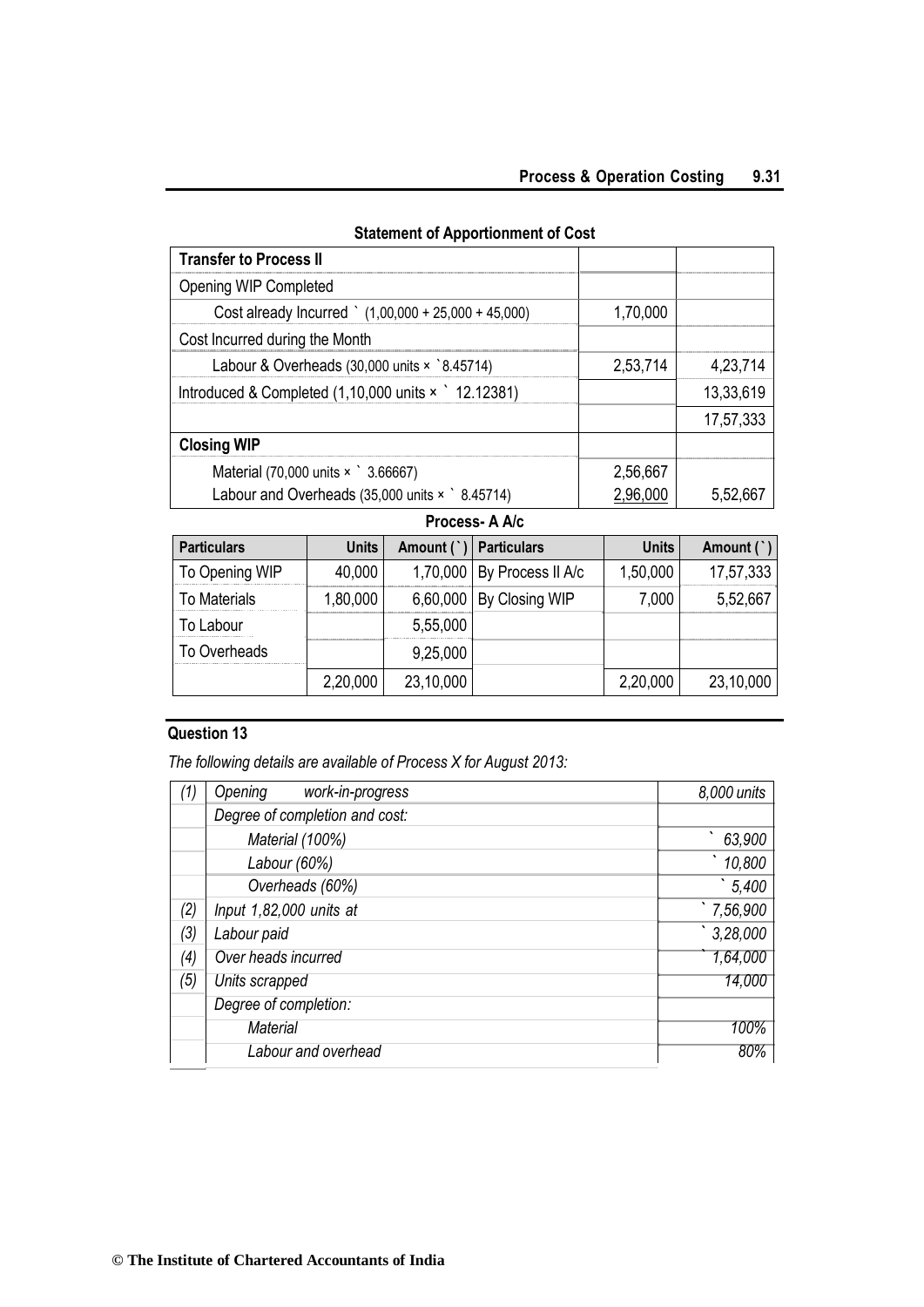|  | <b>Statement of Apportionment of Cost</b> |  |
|--|-------------------------------------------|--|
|--|-------------------------------------------|--|

| <b>Transfer to Process II</b>                                             |          |           |
|---------------------------------------------------------------------------|----------|-----------|
| Opening WIP Completed                                                     |          |           |
| Cost already Incurred $(1,00,000 + 25,000 + 45,000)$                      | 1,70,000 |           |
| Cost Incurred during the Month                                            |          |           |
| Labour & Overheads $(30,000 \text{ units} \times \degree 8.45714)$        | 2,53,714 | 4,23,714  |
| Introduced & Completed $(1,10,000 \text{ units} \times \degree 12.12381)$ |          | 13,33,619 |
|                                                                           |          | 17,57,333 |
| <b>Closing WIP</b>                                                        |          |           |
| Material (70,000 units x 3.66667)                                         | 2,56,667 |           |
| Labour and Overheads $(35,000 \text{ units} \times \degree 8.45714)$      |          | 5.52.667  |

**Process- A A/c**

| <b>Particulars</b>  | <b>Units</b> | Amount (`) | <b>Particulars</b>           | <b>Units</b> | Amount (`) |
|---------------------|--------------|------------|------------------------------|--------------|------------|
| To Opening WIP      | 40,000       |            | 1,70,000   By Process II A/c | 1,50,000     | 17,57,333  |
| <b>To Materials</b> | 1,80,000     | 6,60,000   | By Closing WIP               | 7,000        | 5,52,667   |
| To Labour           |              | 5,55,000   |                              |              |            |
| To Overheads        |              | 9,25,000   |                              |              |            |
|                     | 2,20,000     | 23,10,000  |                              | 2,20,000     | 23,10,000  |

## **Question 13**

*The following details are available of Process X for August 2013:*

| (1) | Opening<br>work-in-progress    | 8,000 units |
|-----|--------------------------------|-------------|
|     | Degree of completion and cost: |             |
|     | Material (100%)                | 63,900      |
|     | Labour (60%)                   | 10,800      |
|     | Overheads (60%)                | 5,400       |
| (2) | Input 1,82,000 units at        | $7,56,900$  |
| (3) | Labour paid                    | 3,28,000    |
| (4) | Over heads incurred            | 1,64,000    |
| (5) | Units scrapped                 | 14,000      |
|     | Degree of completion:          |             |
|     | <b>Material</b>                | 100%        |
|     | Labour and overhead            | 80%         |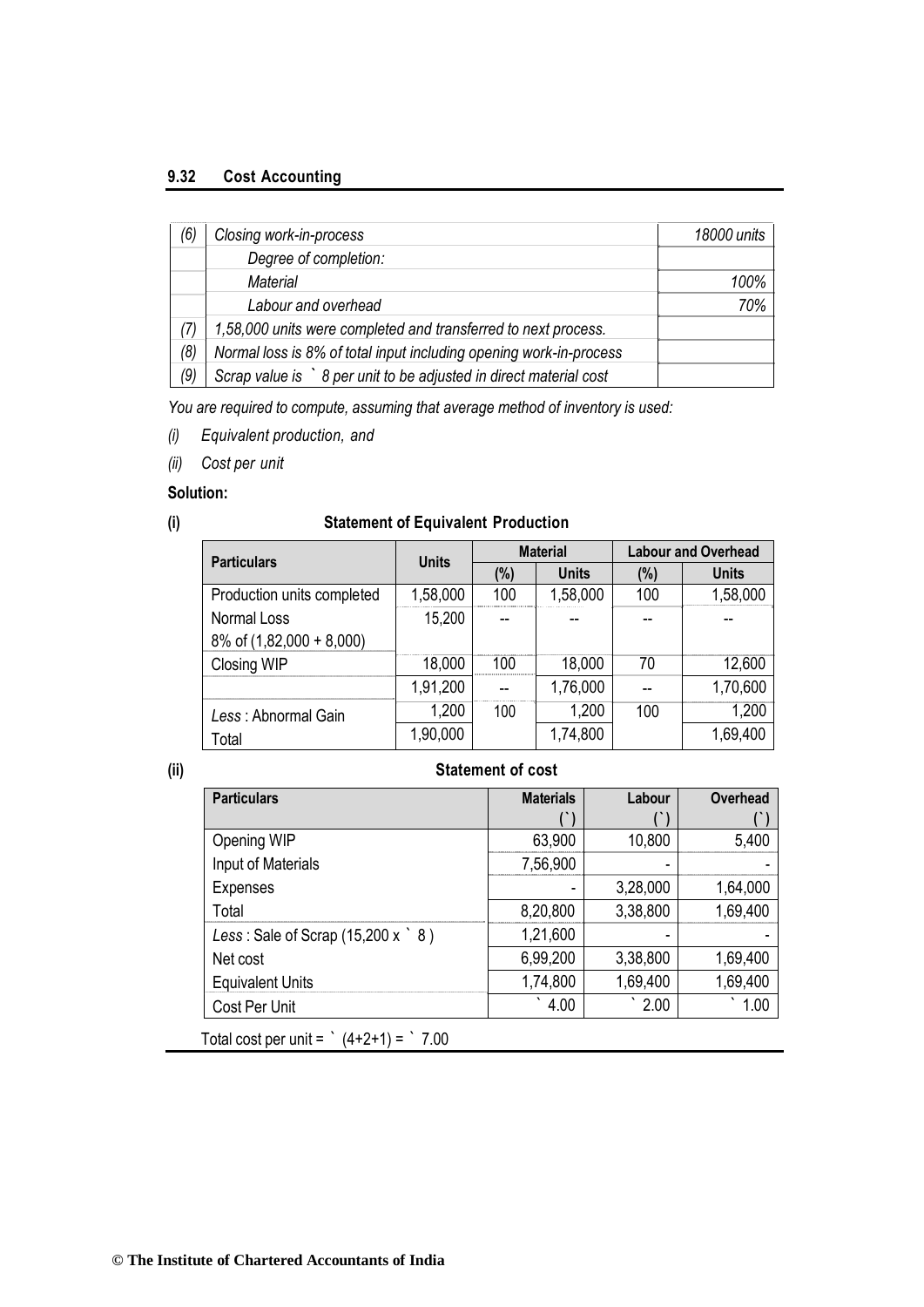## **9.32 Cost Accounting**

| (6  | Closing work-in-process                                            | 18000 units |
|-----|--------------------------------------------------------------------|-------------|
|     | Degree of completion:                                              |             |
|     | Material                                                           | 100%        |
|     | Labour and overhead                                                | 70%         |
|     | 1,58,000 units were completed and transferred to next process.     |             |
| (8) | Normal loss is 8% of total input including opening work-in-process |             |
| (9) | Scrap value is > 8 per unit to be adjusted in direct material cost |             |

*You are required to compute, assuming that average method of inventory is used:*

- *(i) Equivalent production, and*
- *(ii) Cost per unit*

## **Solution:**

## **(i) Statement of Equivalent Production**

| <b>Particulars</b>         | <b>Units</b> | <b>Material</b> |              | <b>Labour and Overhead</b> |              |
|----------------------------|--------------|-----------------|--------------|----------------------------|--------------|
|                            |              | (%)             | <b>Units</b> | $(\%)$                     | <b>Units</b> |
| Production units completed | 1,58,000     | 100             | 1,58,000     | 100                        | 1,58,000     |
| Normal Loss                | 15,200       |                 |              |                            |              |
| 8% of (1,82,000 + 8,000)   |              |                 |              |                            |              |
| Closing WIP                | 18,000       | 100             | 18,000       | 70                         | 12,600       |
|                            | 1,91,200     |                 | 1,76,000     |                            | 1,70,600     |
| Less: Abnormal Gain        | 1,200        | 100             | 1,200        | 100                        | 1,200        |
| Total                      | 1,90,000     |                 | 1,74,800     |                            | 1,69,400     |

## **(ii) Statement of cost**

| <b>Particulars</b>                              | <b>Materials</b> | Labour   | Overhead |
|-------------------------------------------------|------------------|----------|----------|
|                                                 |                  |          |          |
| Opening WIP                                     | 63,900           | 10,800   | 5,400    |
| Input of Materials                              | 7,56,900         |          |          |
| <b>Expenses</b>                                 |                  | 3,28,000 | 1,64,000 |
| Total                                           | 8,20,800         | 3,38,800 | 1,69,400 |
| Less: Sale of Scrap $(15,200 \times \degree 8)$ | 1,21,600         | -        |          |
| Net cost                                        | 6,99,200         | 3,38,800 | 1,69,400 |
| <b>Equivalent Units</b>                         | 1,74,800         | 1,69,400 | 1,69,400 |
| Cost Per Unit                                   | 4.00             | 2.00     | 1.00     |

Total cost per unit =  $(4+2+1) = 7.00$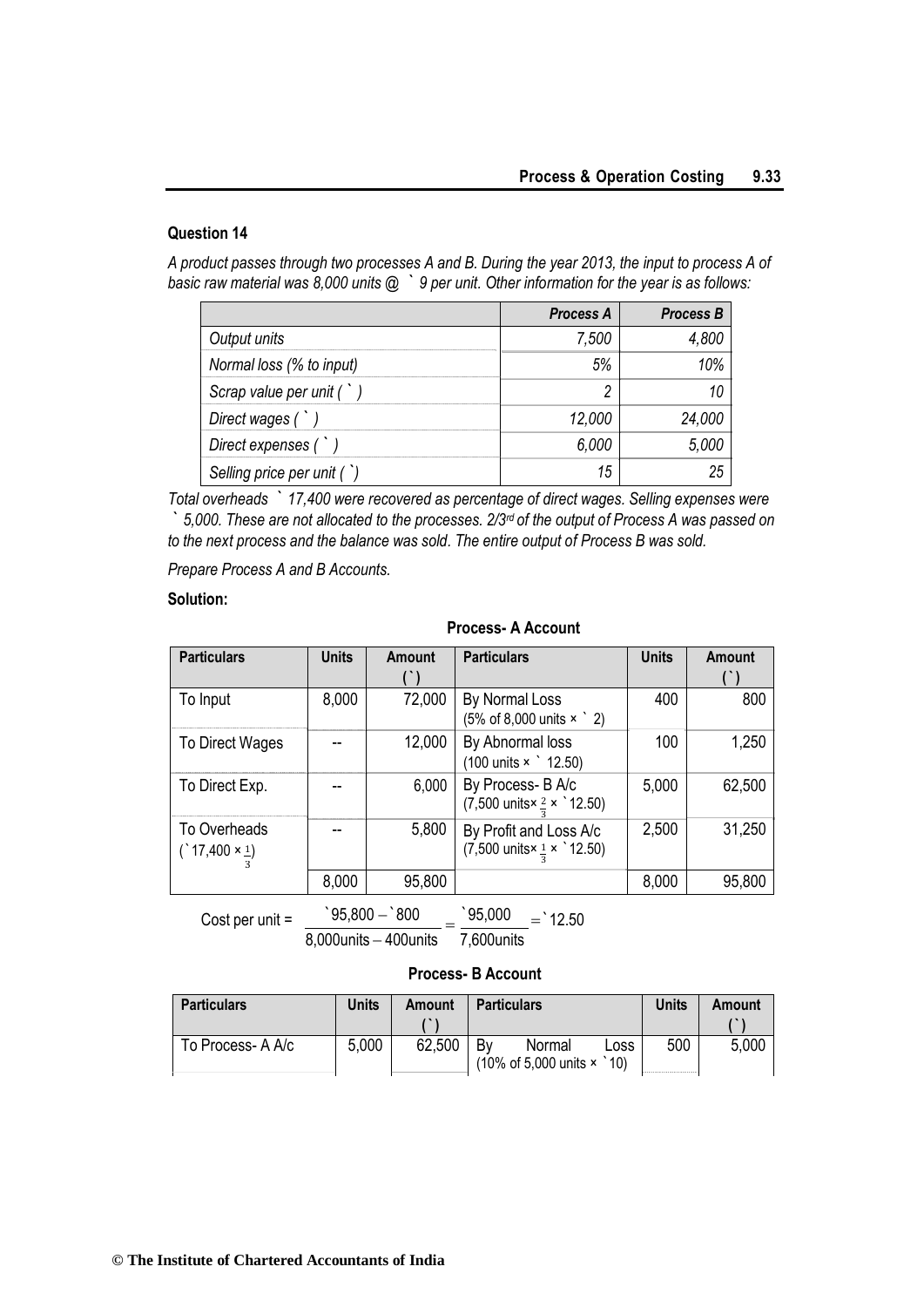## **Question 14**

*A product passes through two processes A and B. During the year 2013, the input to process A of basic raw material was 8,000 units @ ` 9 per unit. Other information for the year is as follows:*

|                            | <b>Process A</b> | <b>Process B</b> |
|----------------------------|------------------|------------------|
| Output units               | 7,500            | 4.800            |
| Normal loss (% to input)   | 5%               | 10%              |
| Scrap value per unit $( )$ |                  | 10               |
| Direct wages (             | 12,000           | 24,000           |
| Direct expenses (          | 6.000            | 5.000            |
| Selling price per unit (`) | 15               | 25               |

*Total overheads ` 17,400 were recovered as percentage of direct wages. Selling expenses were ` 5,000. These are not allocated to the processes. 2/3rd of the output of Process A was passed on to the next process and the balance was sold. The entire output of Process B was sold.*

*Prepare Process A and B Accounts.*

#### **Solution:**

| <b>Particulars</b>                  | <b>Units</b> | Amount        | <b>Particulars</b>                                                                | <b>Units</b> | Amount |
|-------------------------------------|--------------|---------------|-----------------------------------------------------------------------------------|--------------|--------|
| To Input                            | 8,000        | 72,000        | By Normal Loss<br>$(5\% \text{ of } 8,000 \text{ units } \times$ 2)               | 400          | 800    |
| To Direct Wages                     |              | 12,000        | By Abnormal loss<br>$(100 \text{ units} \times \degree 12.50)$                    | 100          | 1,250  |
| To Direct Exp.                      |              | 6,000         | By Process- B A/c<br>$(7,500 \text{ units} \times \frac{2}{2} \times 12.50)$      | 5,000        | 62,500 |
| To Overheads<br>$(17,400 \times 1)$ |              | 5,800         | By Profit and Loss A/c<br>$(7,500 \text{ units} \times \frac{1}{2} \times 12.50)$ | 2,500        | 31,250 |
|                                     | 8,000        | 95,800        |                                                                                   | 8,000        | 95,800 |
| Cost per unit $=$                   |              | `95.800 —`800 | 95,000<br>$=$ 12.50                                                               |              |        |

## **Process- A Account**

**Process- B Account**

8,000units 400units 7,600units

| <b>Particulars</b> | Units | Amount | <b>Particulars</b>                                                         | <b>Units</b> | Amount |
|--------------------|-------|--------|----------------------------------------------------------------------------|--------------|--------|
|                    |       |        |                                                                            |              |        |
| To Process- A A/c  | 5,000 | 62,500 | Bv<br>Normal<br>Loss<br>$(10\% \text{ of } 5,000 \text{ units} \times 10)$ | 500          | 5,000  |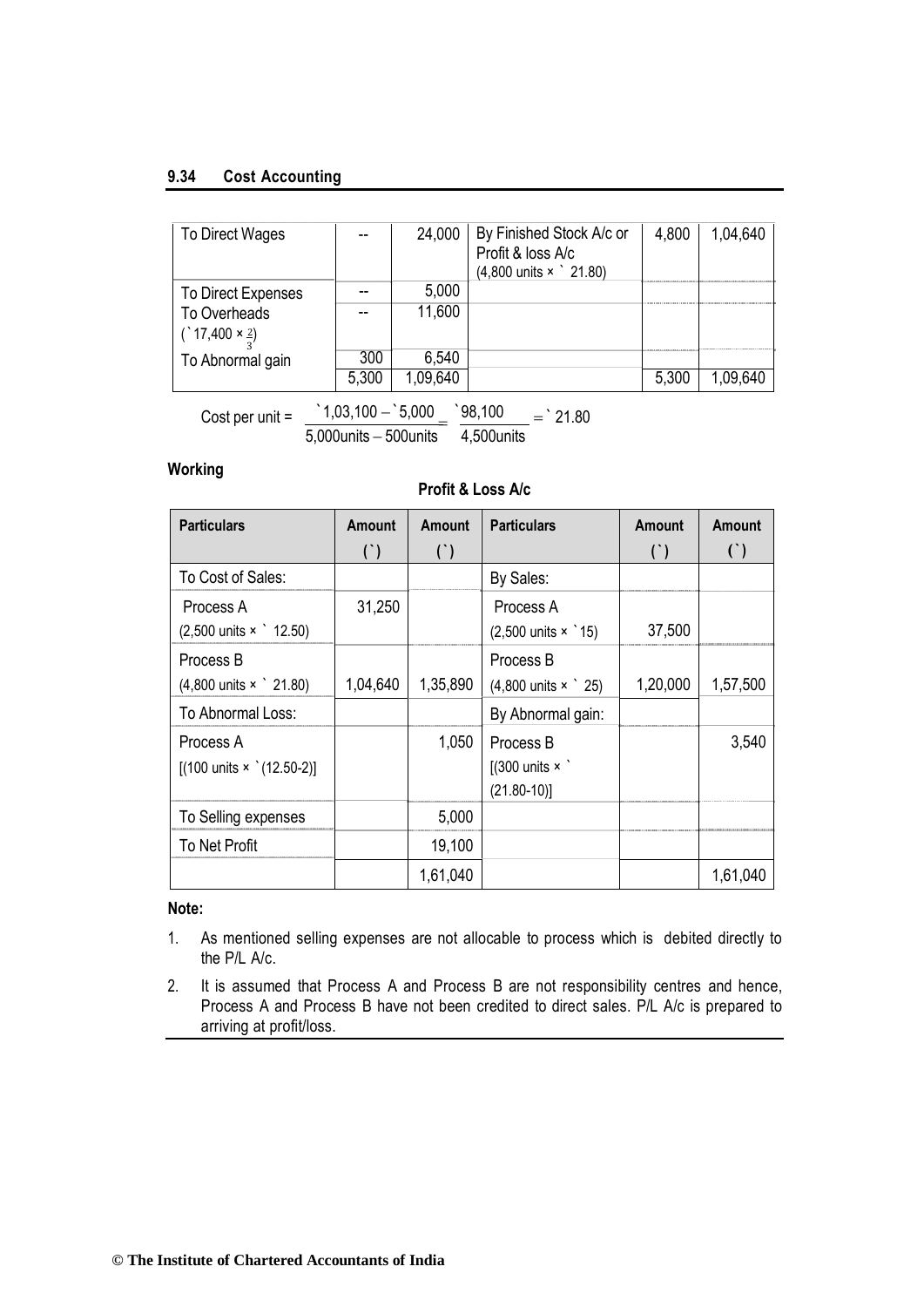## **9.34 Cost Accounting**

| To Direct Wages                                                |       | 24,000   | By Finished Stock A/c or<br>Profit & loss A/c<br>$(4,800 \text{ units} \times \degree 21.80)$ | 4,800 | 1,04,640 |
|----------------------------------------------------------------|-------|----------|-----------------------------------------------------------------------------------------------|-------|----------|
| To Direct Expenses                                             |       | 5,000    |                                                                                               |       |          |
| <b>To Overheads</b><br>$(^{4}17,400 \times \frac{2}{2})$       |       | 11,600   |                                                                                               |       |          |
| To Abnormal gain                                               | 300   | 6,540    |                                                                                               |       |          |
|                                                                | 5,300 | 1,09,640 |                                                                                               | 5,300 | 1,09,640 |
| $1,03,100 - 5,000$<br>98,100<br>$=$ 21.80<br>Cost per unit $=$ |       |          |                                                                                               |       |          |

**Working**

## **Profit & Loss A/c**

5,000units 500units 4,500units

| <b>Particulars</b>                                            | <b>Amount</b><br>$($ ) | Amount<br>$($ ) | <b>Particulars</b>                                            | <b>Amount</b><br>$($ ) | Amount<br>$($ ) |
|---------------------------------------------------------------|------------------------|-----------------|---------------------------------------------------------------|------------------------|-----------------|
| To Cost of Sales:                                             |                        |                 | By Sales:                                                     |                        |                 |
| Process A<br>$(2,500 \text{ units} \times \degree 12.50)$     | 31,250                 |                 | Process A<br>$(2,500 \text{ units} \times \degree 15)$        | 37,500                 |                 |
| Process B<br>$(4,800 \text{ units} \times \degree 21.80)$     | 1,04,640               | 1,35,890        | Process B<br>$(4,800 \text{ units} \times \degree 25)$        | 1,20,000               | 1,57,500        |
| To Abnormal Loss:                                             |                        |                 | By Abnormal gain:                                             |                        |                 |
| Process A<br>$[(100 \text{ units} \times \text{ (12.50-2)})]$ |                        | 1,050           | Process B<br>$[(300 \text{ units} \times )$<br>$(21.80 - 10)$ |                        | 3,540           |
| To Selling expenses                                           |                        | 5,000           |                                                               |                        |                 |
| <b>To Net Profit</b>                                          |                        | 19,100          |                                                               |                        |                 |
|                                                               |                        | 1,61,040        |                                                               |                        | 1,61,040        |

## **Note:**

- 1. As mentioned selling expenses are not allocable to process which is debited directly to the P/L A/c.
- 2. It is assumed that Process A and Process B are not responsibility centres and hence, Process A and Process B have not been credited to direct sales. P/L A/c is prepared to arriving at profit/loss.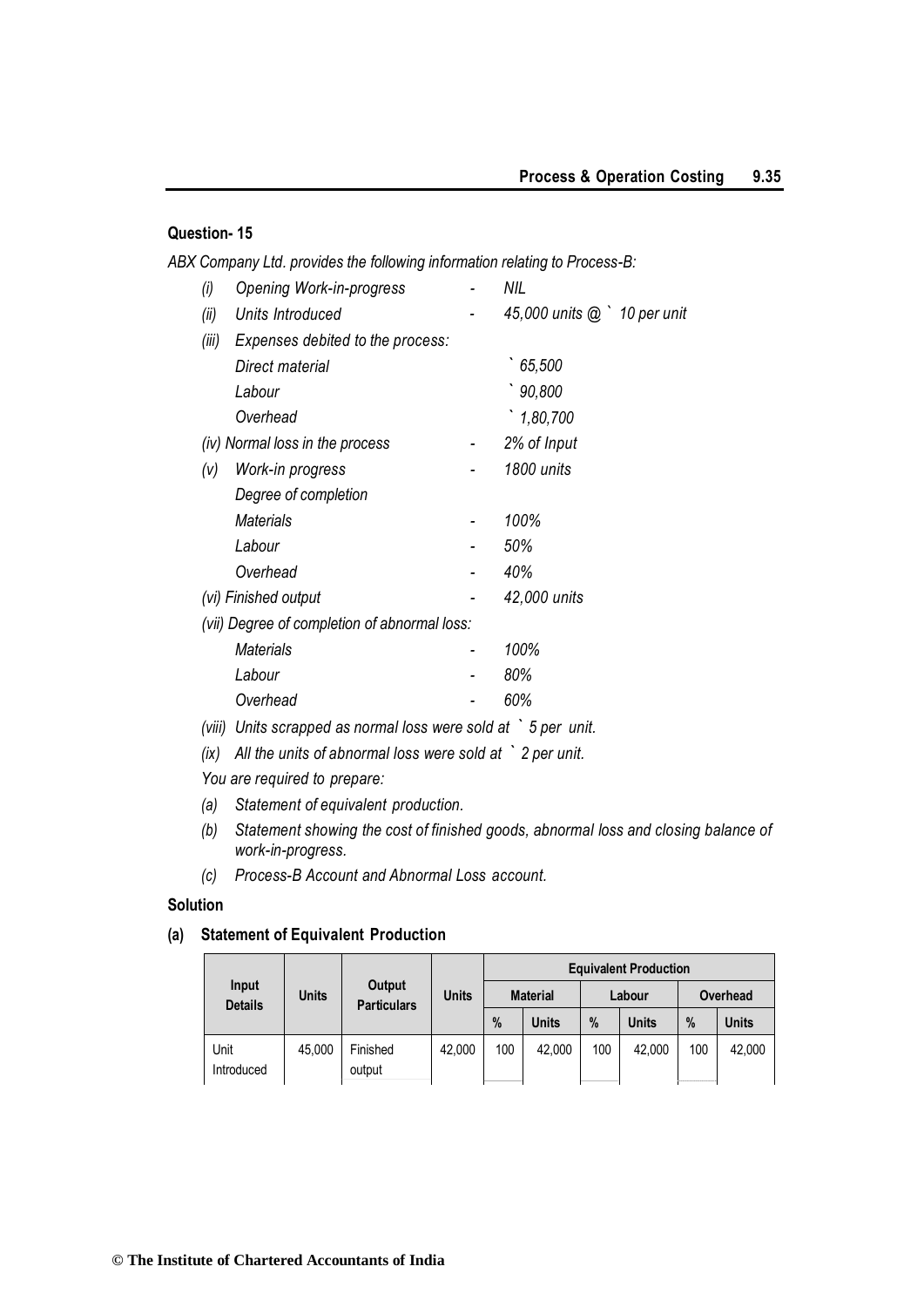## **Question- 15**

*ABX Company Ltd. provides the following information relating to Process-B:*

| (i)    | Opening Work-in-progress                                                   | NIL                          |  |
|--------|----------------------------------------------------------------------------|------------------------------|--|
| (ii)   | Units Introduced                                                           | 45,000 units @ ` 10 per unit |  |
| (iii)  | Expenses debited to the process:                                           |                              |  |
|        | Direct material                                                            | 65,500                       |  |
|        | Labour                                                                     | 90,800                       |  |
|        | Overhead                                                                   | 1,80,700                     |  |
|        | (iv) Normal loss in the process                                            | 2% of Input                  |  |
| (V)    | Work-in progress                                                           | 1800 units                   |  |
|        | Degree of completion                                                       |                              |  |
|        | <b>Materials</b>                                                           | 100%                         |  |
|        | Labour                                                                     | 50%                          |  |
|        | Overhead                                                                   | 40%                          |  |
|        | (vi) Finished output                                                       | 42,000 units                 |  |
|        | (vii) Degree of completion of abnormal loss:                               |                              |  |
|        | <b>Materials</b>                                                           | 100%                         |  |
|        | Labour                                                                     | 80%                          |  |
|        | Overhead                                                                   | 60%                          |  |
| (viii) | Units scrapped as normal loss were sold at $\dot{\phantom{1}}$ 5 per unit. |                              |  |

- *(ix) All the units of abnormal loss were sold at ` 2 per unit.*
- *You are required to prepare:*
- *(a) Statement of equivalent production.*
- *(b) Statement showing the cost of finished goods, abnormal loss and closing balance of work-in-progress.*
- *(c) Process-B Account and Abnormal Loss account.*

#### **Solution**

## **(a) Statement of Equivalent Production**

|                         |              |                              |              | <b>Equivalent Production</b> |                 |      |              |     |              |  |  |
|-------------------------|--------------|------------------------------|--------------|------------------------------|-----------------|------|--------------|-----|--------------|--|--|
| Input<br><b>Details</b> | <b>Units</b> | Output<br><b>Particulars</b> | <b>Units</b> |                              | <b>Material</b> |      | Labour       |     | Overhead     |  |  |
|                         |              |                              |              | $\%$                         | <b>Units</b>    | $\%$ | <b>Units</b> | %   | <b>Units</b> |  |  |
| Unit<br>Introduced      | 45,000       | Finished<br>output           | 42,000       | 100                          | 42.000          | 100  | 42,000       | 100 | 42,000       |  |  |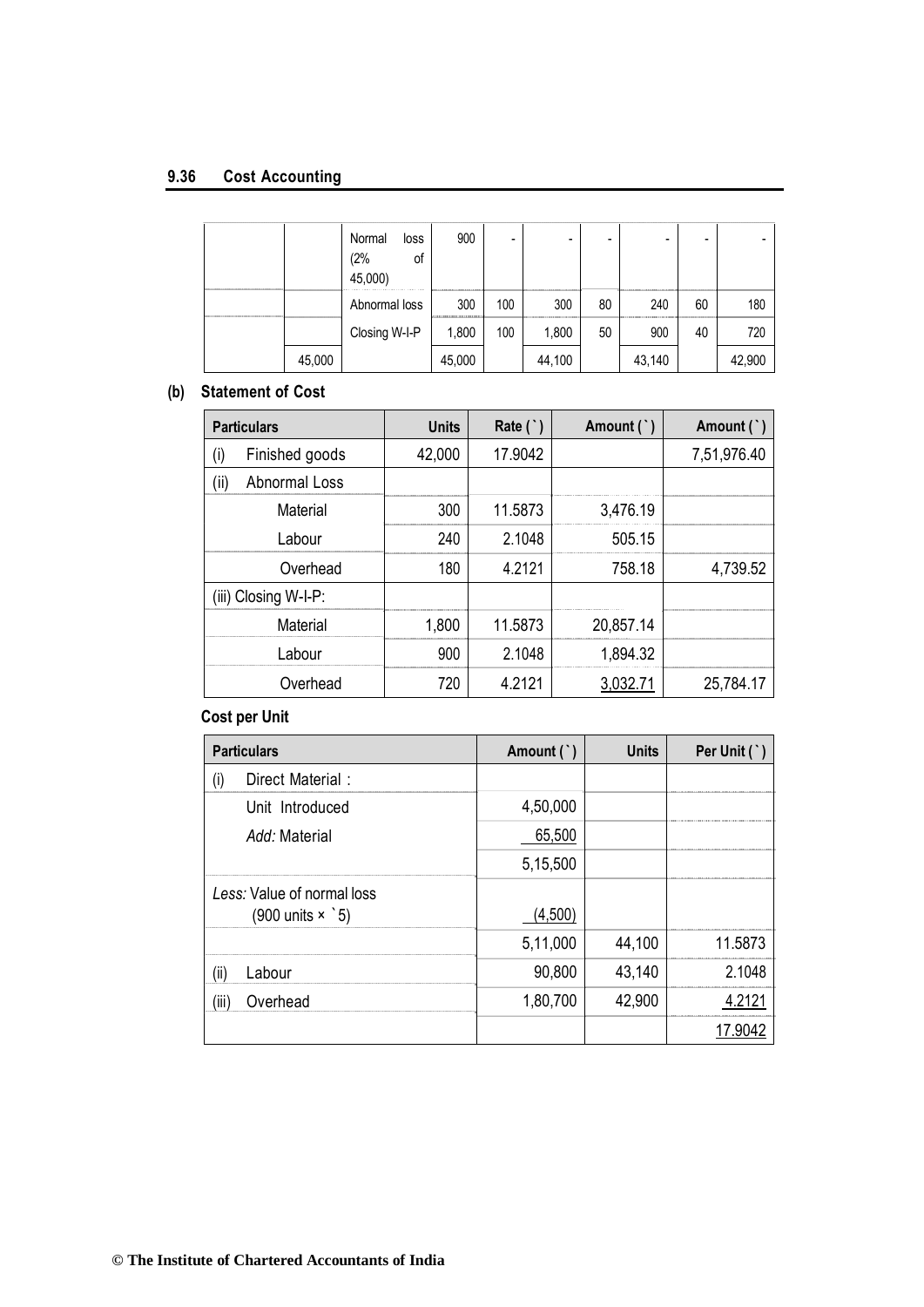## **9.36 Cost Accounting**

|        | Normal<br>loss<br>(2%<br>οf<br>45,000) | 900    |     |        |    | $\overline{\phantom{a}}$ |    |        |
|--------|----------------------------------------|--------|-----|--------|----|--------------------------|----|--------|
|        | Abnormal loss                          | 300    | 100 | 300    | 80 | 240                      | 60 | 180    |
|        | Closing W-I-P                          | 1,800  | 100 | 1,800  | 50 | 900                      | 40 | 720    |
| 45,000 |                                        | 45,000 |     | 44,100 |    | 43,140                   |    | 42,900 |

## **(b) Statement of Cost**

| <b>Particulars</b>          | <b>Units</b> | Rate $($ $)$ | Amount (`) | Amount (`)  |
|-----------------------------|--------------|--------------|------------|-------------|
| (i)<br>Finished goods       | 42,000       | 17.9042      |            | 7,51,976.40 |
| (i)<br><b>Abnormal Loss</b> |              |              |            |             |
| Material                    | 300          | 11.5873      | 3,476.19   |             |
| Labour                      | 240          | 2.1048       | 505.15     |             |
| Overhead                    | 180          | 4.2121       | 758.18     | 4,739.52    |
| (iii) Closing W-I-P:        |              |              |            |             |
| <b>Material</b>             | 1,800        | 11.5873      | 20,857.14  |             |
| Labour                      | 900          | 2.1048       | 1,894.32   |             |
| Overhead                    | 720          | 4.2121       | 3,032.71   | 25,784.17   |

## **Cost per Unit**

| <b>Particulars</b>                                                   | Amount (`) | <b>Units</b> | Per Unit (`) |
|----------------------------------------------------------------------|------------|--------------|--------------|
| Direct Material:<br>(i)                                              |            |              |              |
| Unit Introduced                                                      | 4,50,000   |              |              |
| Add: Material                                                        | 65,500     |              |              |
|                                                                      | 5,15,500   |              |              |
| Less: Value of normal loss<br>$(900 \text{ units} \times \degree 5)$ | (4,500)    |              |              |
|                                                                      | 5,11,000   | 44,100       | 11.5873      |
| (ii)<br>Labour                                                       | 90,800     | 43,140       | 2 1048       |
| (iii)<br>Overhead                                                    | 1,80,700   | 42,900       | 4 2121       |
|                                                                      |            |              | 17.9042      |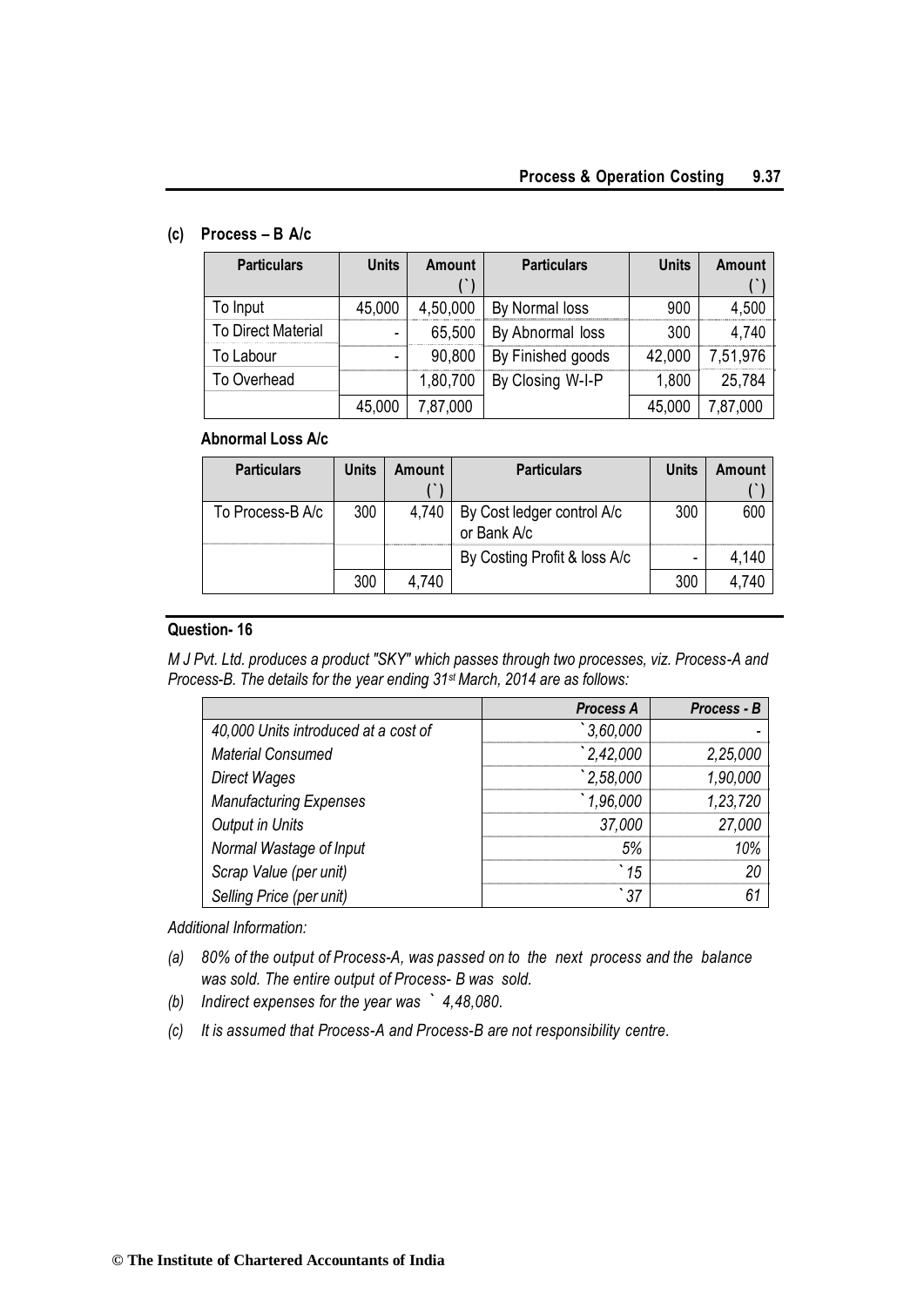## **(c) Process – B A/c**

| <b>Particulars</b>        | <b>Units</b>             | <b>Amount</b> | <b>Particulars</b> | <b>Units</b> | Amount   |
|---------------------------|--------------------------|---------------|--------------------|--------------|----------|
|                           |                          |               |                    |              |          |
| To Input                  | 45,000                   | 4,50,000      | By Normal loss     | 900          | 4,500    |
| <b>To Direct Material</b> | $\overline{\phantom{0}}$ | 65,500        | By Abnormal loss   | 300          | 4,740    |
| To Labour                 |                          | 90,800        | By Finished goods  | 42,000       | 7,51,976 |
| To Overhead               |                          | 1,80,700      | By Closing W-I-P   | 1,800        | 25,784   |
|                           | 45,000                   | 7,87,000      |                    | 45,000       | ,87,000  |

## **Abnormal Loss A/c**

| <b>Particulars</b> | <b>Units</b> | Amount | <b>Particulars</b>                        | Units | Amount |
|--------------------|--------------|--------|-------------------------------------------|-------|--------|
|                    |              |        |                                           |       |        |
| To Process-B A/c   | 300          | 4,740  | By Cost ledger control A/c<br>or Bank A/c | 300   | 600    |
|                    |              |        | By Costing Profit & loss A/c              | -     | 4,140  |
|                    | 300          | 4.740  |                                           | 300   |        |

## **Question- 16**

*M J Pvt. Ltd. produces a product "SKY" which passes through two processes, viz. Process-A and Process-B. The details for the year ending 31st March, 2014 are as follows:*

|                                      | <b>Process A</b> | Process - B |
|--------------------------------------|------------------|-------------|
| 40,000 Units introduced at a cost of | 3,60,000         |             |
| <b>Material Consumed</b>             | 2,42,000         | 2,25,000    |
| Direct Wages                         | 2,58,000         | 1,90,000    |
| <b>Manufacturing Expenses</b>        | 1,96,000         | 1,23,720    |
| <b>Output in Units</b>               | 37,000           | 27,000      |
| Normal Wastage of Input              | 5%               | 10%         |
| Scrap Value (per unit)               | 15               | 20          |
| Selling Price (per unit)             | 37               | 61          |

*Additional Information:*

- *(a) 80% of the output of Process-A, was passed on to the next process and the balance was sold. The entire output of Process- B was sold.*
- *(b) Indirect expenses for the year was ` 4,48,080.*
- *(c) It is assumed that Process-A and Process-B are not responsibility centre.*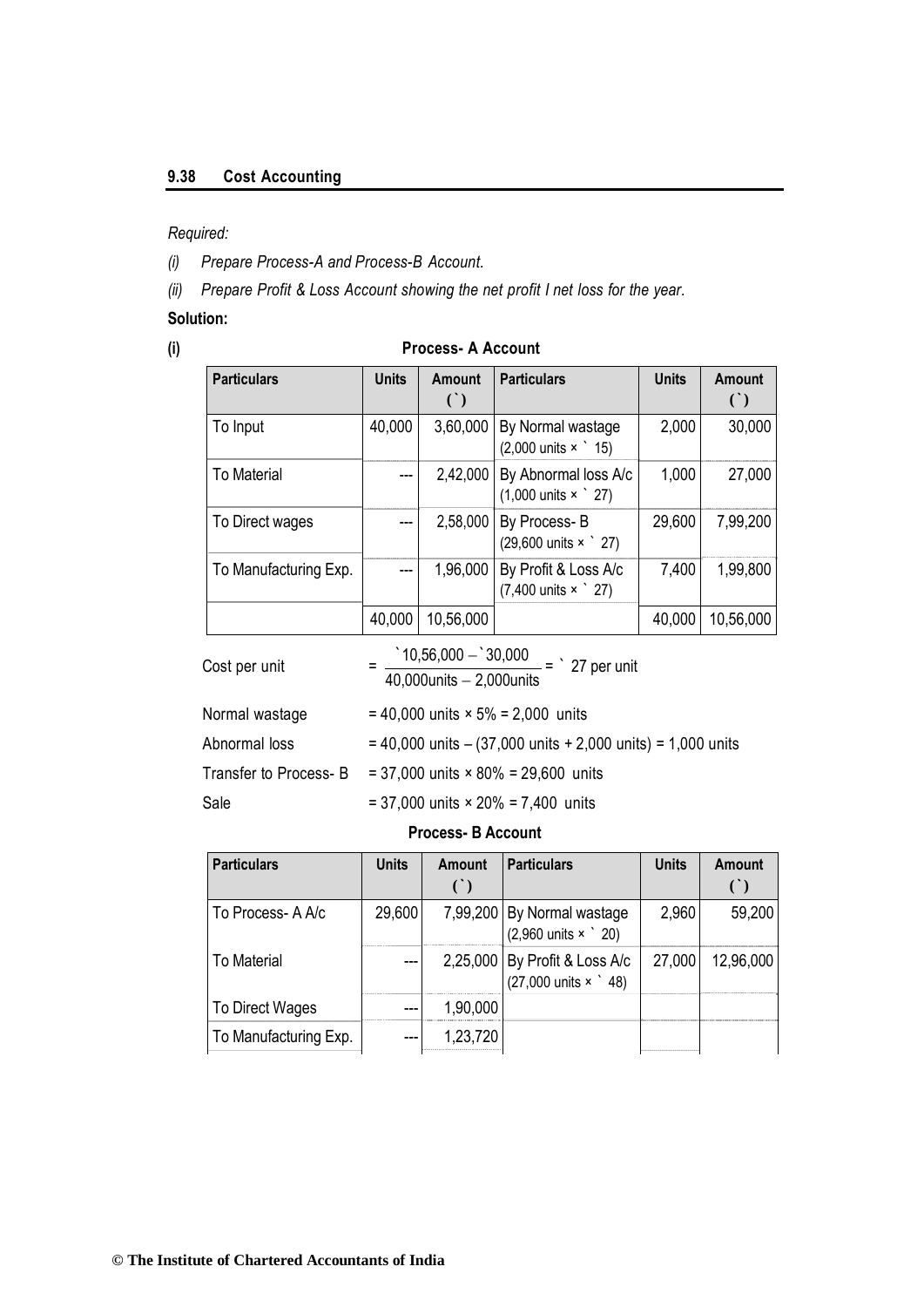## **9.38 Cost Accounting**

## *Required:*

*(i) Prepare Process-A and Process-B Account.*

*(ii) Prepare Profit & Loss Account showing the net profit I net loss for the year.*

## **Solution:**

## **(i) Process- A Account**

| <b>Particulars</b>    | <b>Units</b> | <b>Amount</b><br>$\left( \begin{array}{c} \cdot \\ \cdot \end{array} \right)$ | <b>Particulars</b>                                                | <b>Units</b> | <b>Amount</b><br>$\left( \cdot \right)$ |
|-----------------------|--------------|-------------------------------------------------------------------------------|-------------------------------------------------------------------|--------------|-----------------------------------------|
| To Input              | 40,000       | 3,60,000                                                                      | By Normal wastage<br>$(2,000 \text{ units} \times \degree 15)$    | 2,000        | 30,000                                  |
| <b>To Material</b>    | $---$        | 2,42,000                                                                      | By Abnormal loss A/c<br>$(1,000 \text{ units} \times \degree 27)$ | 1,000        | 27,000                                  |
| To Direct wages       | ---          | 2,58,000                                                                      | By Process-B<br>(29,600 units × 27)                               | 29,600       | 7,99,200                                |
| To Manufacturing Exp. | $---$        | 1,96,000                                                                      | By Profit & Loss A/c<br>$(7,400 \text{ units} \times \degree 27)$ | 7,400        | 1,99,800                                |
|                       | 40,000       | 10,56,000                                                                     |                                                                   | 40,000       | 10,56,000                               |
| Cost per unit         |              | $\degree$ 10,56,000 - $\degree$ 30,000<br>$40,000$ units $-2,000$ units       | $-$ = $\degree$ 27 per unit                                       |              |                                         |

| Normal wastage         | $= 40,000$ units $\times$ 5% = 2,000 units                         |
|------------------------|--------------------------------------------------------------------|
| Abnormal loss          | $= 40,000$ units $- (37,000)$ units $+ 2,000$ units) = 1,000 units |
| Transfer to Process- B | $= 37,000$ units $\times$ 80% = 29,600 units                       |
| Sale                   | $= 37,000$ units $\times$ 20% = 7,400 units                        |

## **Process- B Account**

| <b>Particulars</b>    | <b>Units</b> | Amount   | <b>Particulars</b>                                                          | <b>Units</b> | Amount    |
|-----------------------|--------------|----------|-----------------------------------------------------------------------------|--------------|-----------|
|                       |              |          |                                                                             |              |           |
| To Process-A A/c      | 29,600       |          | 7,99,200 By Normal wastage<br>$(2,960 \text{ units} \times \degree 20)$     | 2,960        | 59,200    |
| To Material           |              |          | 2,25,000 By Profit & Loss A/c<br>$(27,000 \text{ units} \times \degree 48)$ | 27,000       | 12,96,000 |
| To Direct Wages       | ---          | 1,90,000 |                                                                             |              |           |
| To Manufacturing Exp. |              | 1,23,720 |                                                                             |              |           |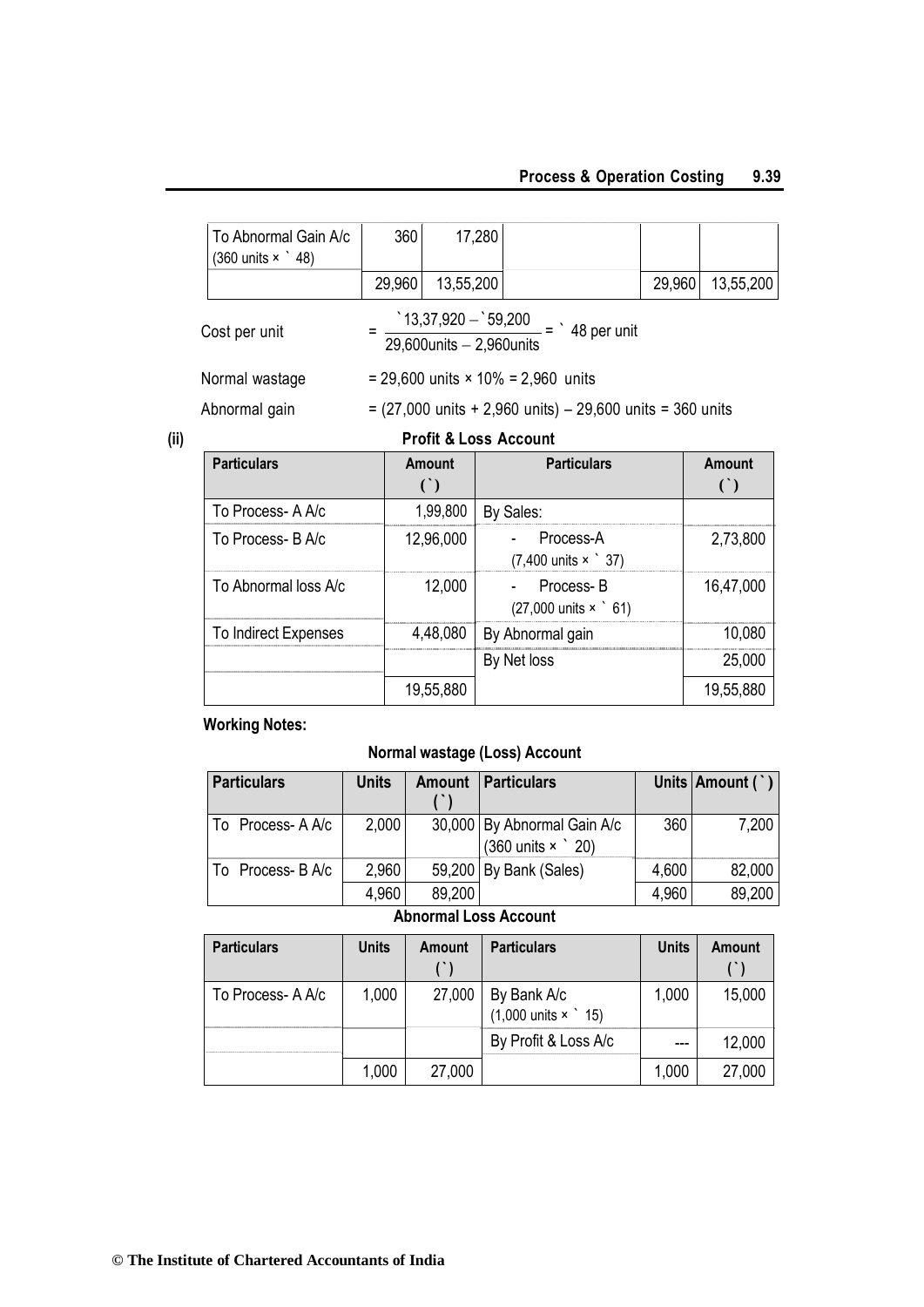## **Process & Operation Costing 9.39**

| Doutioulous                                                                                                  |        | $A_{max}$ | Doutiou love                              |        | $A_{max}$ |  |  |  |
|--------------------------------------------------------------------------------------------------------------|--------|-----------|-------------------------------------------|--------|-----------|--|--|--|
| <b>Profit &amp; Loss Account</b>                                                                             |        |           |                                           |        |           |  |  |  |
| $= (27,000 \text{ units} + 2,960 \text{ units}) - 29,600 \text{ units} = 360 \text{ units}$<br>Abnormal gain |        |           |                                           |        |           |  |  |  |
| Normal wastage                                                                                               |        |           | = 29,600 units $\times$ 10% = 2,960 units |        |           |  |  |  |
| $\frac{13,37,920 - 59,200}{1}$ = $\frac{148}{1}$ per unit<br>Cost per unit<br>29,600 units $-2,960$ units    |        |           |                                           |        |           |  |  |  |
|                                                                                                              | 29,960 | 13,55,200 |                                           | 29,960 | 13,55,200 |  |  |  |
| To Abnormal Gain A/c<br>$(360 \text{ units} \times \degree 48)$                                              | 360    | 17,280    |                                           |        |           |  |  |  |

| <b>Particulars</b>   | Amount    | <b>Particulars</b>                                        | <b>Amount</b> |
|----------------------|-----------|-----------------------------------------------------------|---------------|
|                      |           |                                                           |               |
| To Process- A A/c    | 1,99,800  | By Sales:                                                 |               |
| To Process- B A/c    | 12,96,000 | Process-A<br>$(7,400 \text{ units} \times \degree 37)$    | 2,73,800      |
| To Abnormal loss A/c | 12,000    | - Process-B<br>$(27,000 \text{ units} \times \degree 61)$ | 16,47,000     |
| To Indirect Expenses | 4,48,080  | By Abnormal gain                                          | 10,080        |
|                      |           | By Net loss                                               | 25,000        |
|                      | 19,55,880 |                                                           | 19,55,880     |

## **Working Notes:**

## **Normal wastage (Loss) Account**

| <b>Particulars</b> | <b>Units</b> | <b>Amount</b> | <b>Particulars</b>                                                     |       | Units   Amount (`) |
|--------------------|--------------|---------------|------------------------------------------------------------------------|-------|--------------------|
| To Process-AA/c    | 2,000        |               | 30,000 By Abnormal Gain A/c<br>$(360 \text{ units} \times \degree 20)$ | 360   | 7,200              |
| To Process-BA/c    | 2,960        |               | 59,200 By Bank (Sales)                                                 | 4,600 | 82,000             |
|                    | 4,960        | 89.200        |                                                                        | 4,960 | 89,200             |

## **Abnormal Loss Account**

| <b>Particulars</b> | <b>Units</b> | Amount | <b>Particulars</b>                               | <b>Units</b> | <b>Amount</b> |
|--------------------|--------------|--------|--------------------------------------------------|--------------|---------------|
| To Process-A A/c   | 1,000        | 27,000 | By Bank A/c<br>$(1,000 \text{ units} \times 15)$ | 1,000        | 15,000        |
|                    |              |        | By Profit & Loss A/c                             | $---$        | 12,000        |
|                    | 1,000        | 27,000 |                                                  | 1,000        | 27,000        |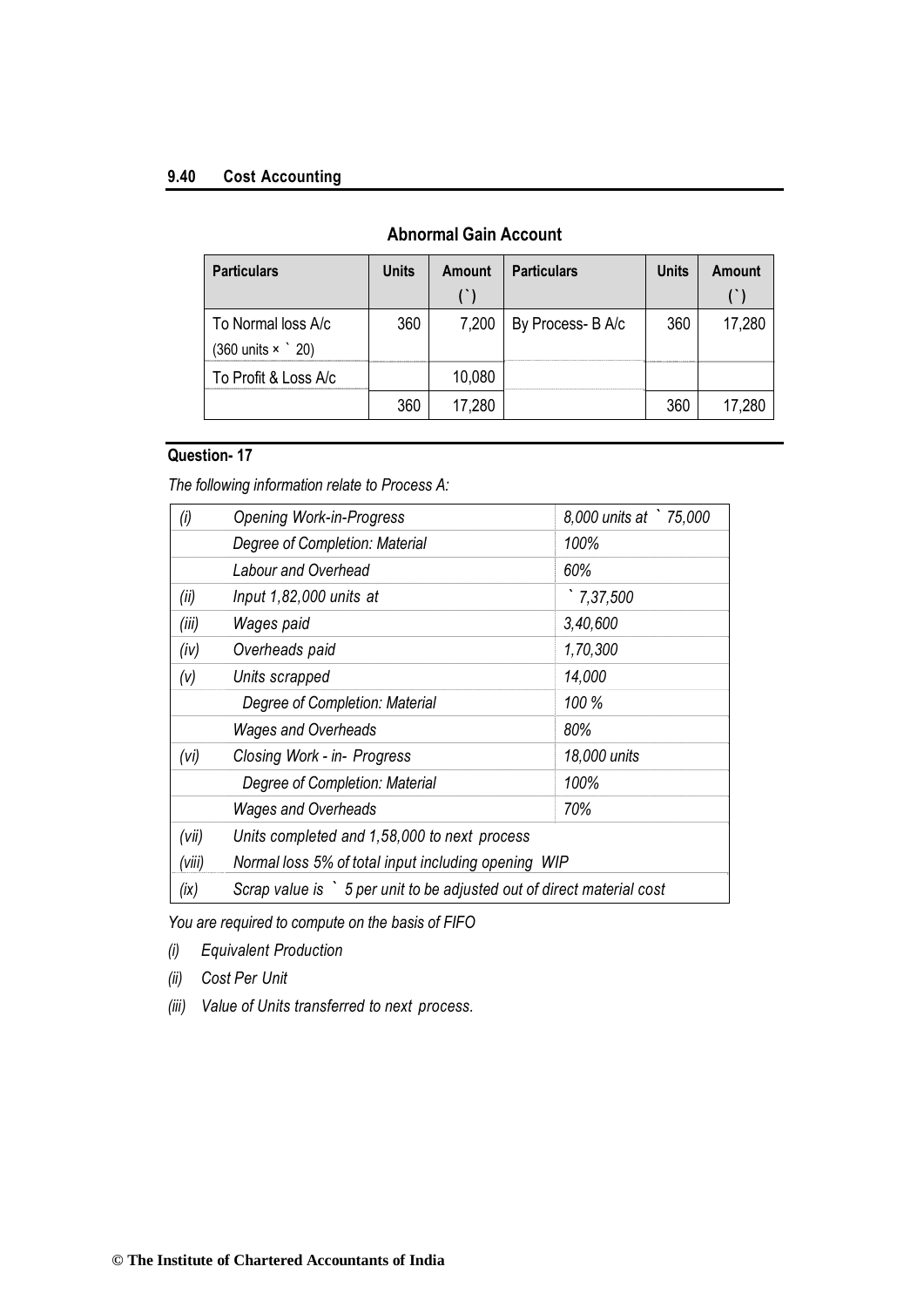## **9.40 Cost Accounting**

| <b>Particulars</b>                                            | <b>Units</b> | Amount | <b>Particulars</b> | <b>Units</b> | Amount |
|---------------------------------------------------------------|--------------|--------|--------------------|--------------|--------|
| To Normal loss A/c<br>$(360 \text{ units} \times \degree 20)$ | 360          | 7,200  | By Process- B A/c  | 360          | 17,280 |
| To Profit & Loss A/c                                          |              | 10,080 |                    |              |        |
|                                                               | 360          | 17,280 |                    | 360          | 17,280 |

## **Abnormal Gain Account**

## **Question- 17**

*The following information relate to Process A:*

| (i)    | <b>Opening Work-in-Progress</b>                                        | 8,000 units at `75,000 |  |  |  |
|--------|------------------------------------------------------------------------|------------------------|--|--|--|
|        | Degree of Completion: Material                                         | 100%                   |  |  |  |
|        | Labour and Overhead                                                    | 60%                    |  |  |  |
| (ii)   | Input $1,82,000$ units at                                              | 7,37,500               |  |  |  |
| (iii)  | Wages paid                                                             | 3,40,600               |  |  |  |
| (iv)   | Overheads paid                                                         | 1,70,300               |  |  |  |
| (v)    | Units scrapped                                                         | 14,000                 |  |  |  |
|        | Degree of Completion: Material                                         | 100 %                  |  |  |  |
|        | <b>Wages and Overheads</b>                                             | 80%                    |  |  |  |
| (vi)   | Closing Work - in- Progress                                            | 18,000 units           |  |  |  |
|        | Degree of Completion: Material                                         | 100%                   |  |  |  |
|        | 70%                                                                    |                        |  |  |  |
| (vii)  | Units completed and 1,58,000 to next process                           |                        |  |  |  |
| (viii) | Normal loss 5% of total input including opening WIP                    |                        |  |  |  |
| (ix)   | Scrap value is > 5 per unit to be adjusted out of direct material cost |                        |  |  |  |

*You are required to compute on the basis of FIFO*

- *(i) Equivalent Production*
- *(ii) Cost Per Unit*
- *(iii) Value of Units transferred to next process.*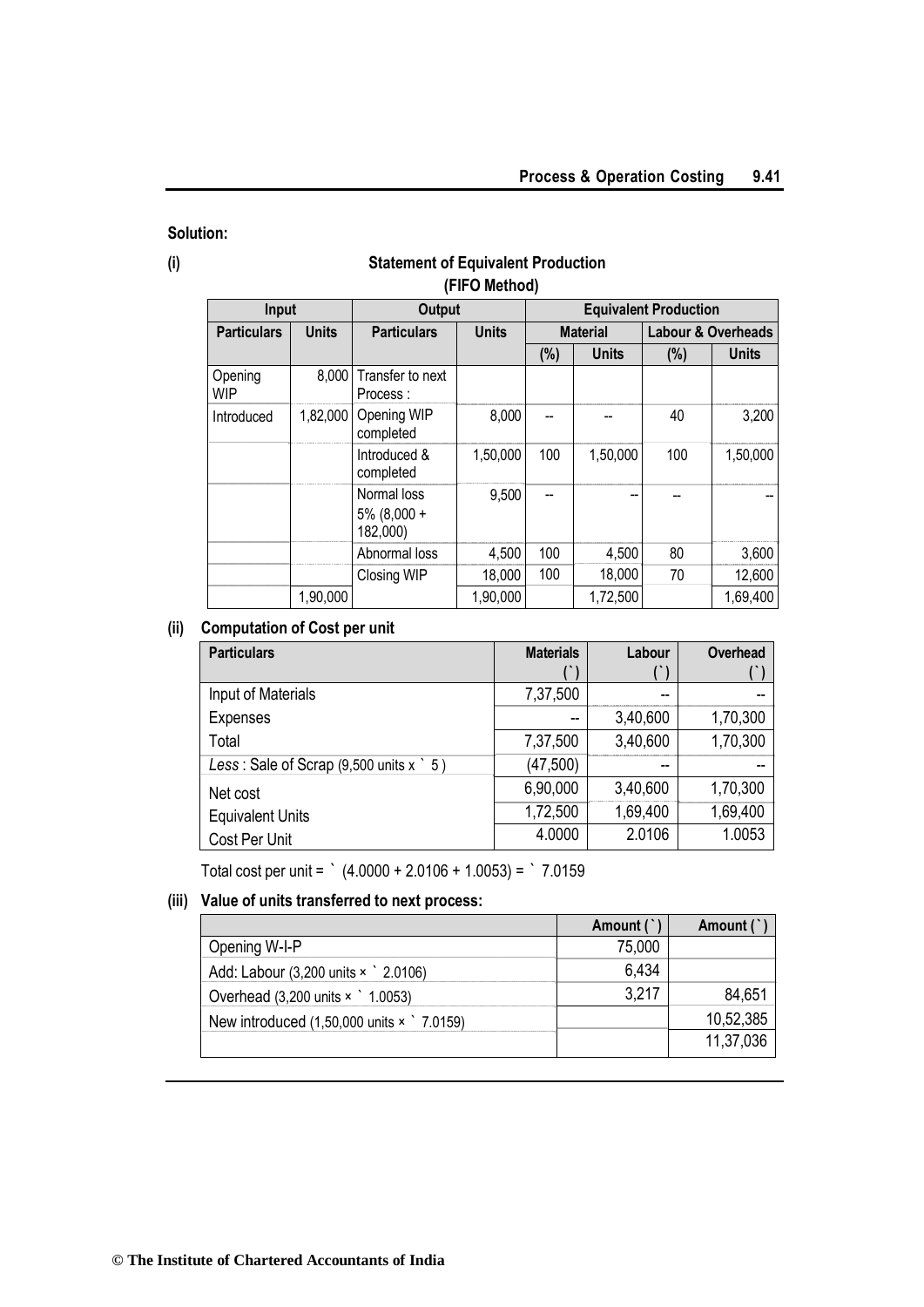## **Solution:**

## **(i) Statement of Equivalent Production (FIFO Method)**

| Input                 |              | <b>Output</b>                             |              | <b>Equivalent Production</b> |                 |        |                    |
|-----------------------|--------------|-------------------------------------------|--------------|------------------------------|-----------------|--------|--------------------|
| <b>Particulars</b>    | <b>Units</b> | <b>Particulars</b>                        | <b>Units</b> |                              | <b>Material</b> |        | Labour & Overheads |
|                       |              |                                           |              | (%)                          | <b>Units</b>    | $(\%)$ | <b>Units</b>       |
| Opening<br><b>WIP</b> | 8,000        | Transfer to next<br>Process:              |              |                              |                 |        |                    |
| Introduced            | 1,82,000     | Opening WIP<br>completed                  | 8,000        |                              |                 | 40     | 3,200              |
|                       |              | Introduced &<br>completed                 | 1,50,000     | 100                          | 1,50,000        | 100    | 1,50,000           |
|                       |              | Normal loss<br>$5\%$ (8,000 +<br>182,000) | 9,500        |                              |                 |        |                    |
|                       |              | Abnormal loss                             | 4,500        | 100                          | 4,500           | 80     | 3,600              |
|                       |              | <b>Closing WIP</b>                        | 18,000       | 100                          | 18,000          | 70     | 12,600             |
|                       | 1,90,000     |                                           | 1,90,000     |                              | 1,72,500        |        | 1,69,400           |

## **(ii) Computation of Cost per unit**

| <b>Particulars</b>                                    | <b>Materials</b> | Labour   | Overhead |
|-------------------------------------------------------|------------------|----------|----------|
|                                                       |                  |          |          |
| Input of Materials                                    | 7,37,500         | --       |          |
| <b>Expenses</b>                                       | --               | 3,40,600 | 1,70,300 |
| Total                                                 | 7,37,500         | 3,40,600 | 1,70,300 |
| Less: Sale of Scrap $(9,500 \text{ units x} \cdot 5)$ | (47,500)         | --       |          |
| Net cost                                              | 6,90,000         | 3,40,600 | 1,70,300 |
| <b>Equivalent Units</b>                               | 1,72,500         | 1,69,400 | 1,69,400 |
| Cost Per Unit                                         | 4.0000           | 2.0106   | 1.0053   |

Total cost per unit = ` (4.0000 + 2.0106 + 1.0053) = ` 7.0159

## **(iii) Value of units transferred to next process:**

|                                                                 | Amount ( | Amount (  |
|-----------------------------------------------------------------|----------|-----------|
| Opening W-I-P                                                   | 75,000   |           |
| Add: Labour $(3,200 \text{ units} \times \degree 2.0106)$       | 6,434    |           |
| Overhead $(3,200 \text{ units} \times 1.0053)$                  | 3.217    | 84,651    |
| New introduced $(1,50,000 \text{ units} \times \degree 7.0159)$ |          | 10,52,385 |
|                                                                 |          | 11,37,036 |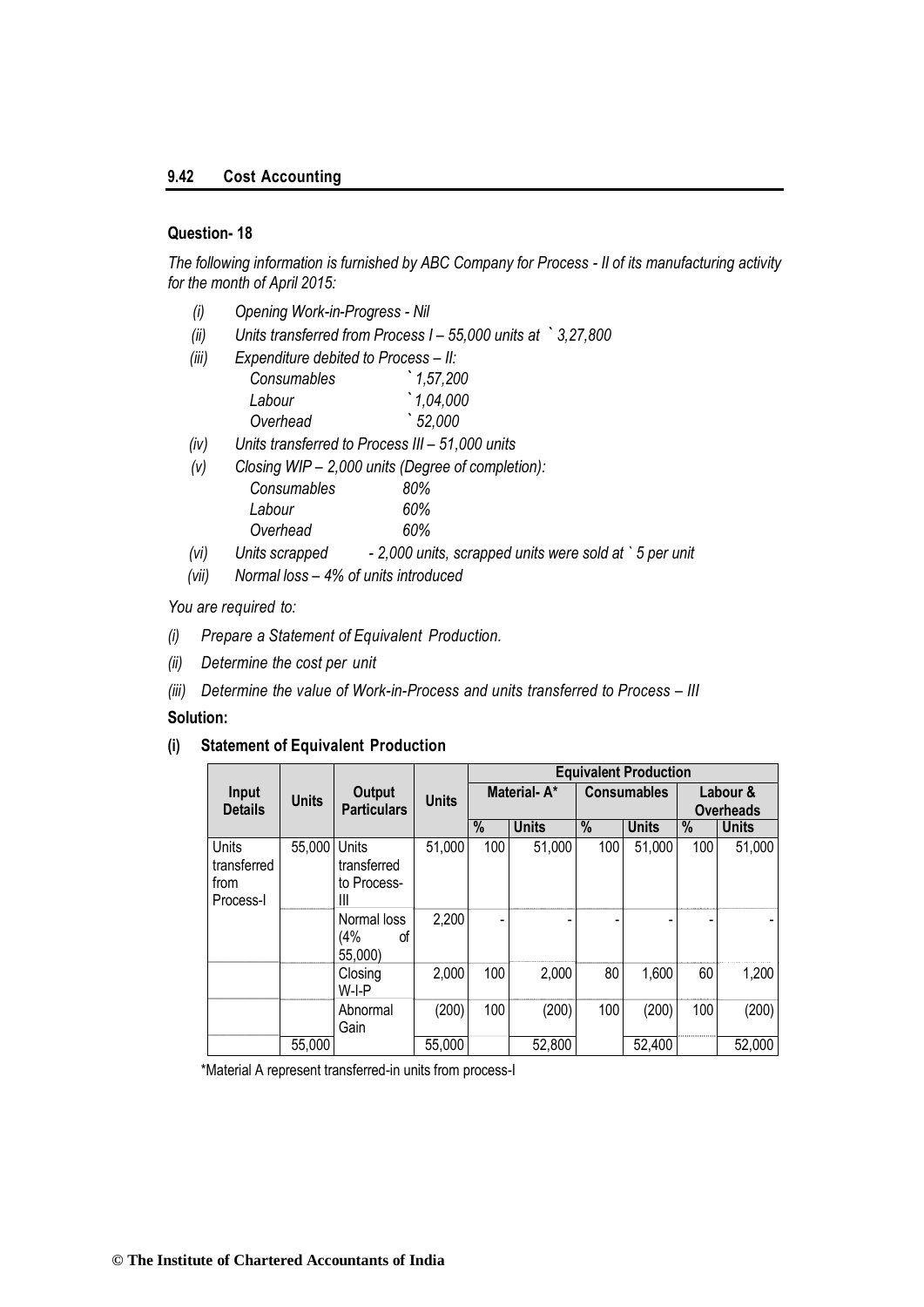#### **9.42 Cost Accounting**

## **Question- 18**

*The following information is furnished by ABC Company for Process - II of its manufacturing activity for the month of April 2015:*

- *(i) Opening Work-in-Progress - Nil*
- *(ii) Units transferred from Process I – 55,000 units at ` 3,27,800*
- *(iii) Expenditure debited to Process – II: Consumables ` 1,57,200*
	- *Labour `1,04,000 Overhead ` 52,000*
- *(iv) Units transferred to Process III – 51,000 units*
- *(v) Closing WIP – 2,000 units (Degree of completion):* 
	- *Consumables 80% Labour 60% Overhead 60%*

|      | overnead       | OU% |                                                        |  |
|------|----------------|-----|--------------------------------------------------------|--|
| (vi) | Units scrapped |     | - 2,000 units, scrapped units were sold at `5 per unit |  |

*(vii) Normal loss – 4% of units introduced* 

#### *You are required to:*

- *(i) Prepare a Statement of Equivalent Production.*
- *(ii) Determine the cost per unit*
- *(iii) Determine the value of Work-in-Process and units transferred to Process – III*

#### **Solution:**

## **(i) Statement of Equivalent Production**

|                                           |              |                                                 |              | <b>Equivalent Production</b> |              |     |                    |      |                              |
|-------------------------------------------|--------------|-------------------------------------------------|--------------|------------------------------|--------------|-----|--------------------|------|------------------------------|
| Input<br><b>Details</b>                   | <b>Units</b> | <b>Output</b><br><b>Particulars</b>             | <b>Units</b> |                              | Material-A*  |     | <b>Consumables</b> |      | Labour &<br><b>Overheads</b> |
|                                           |              |                                                 |              | $\%$                         | <b>Units</b> | %   | <b>Units</b>       | $\%$ | <b>Units</b>                 |
| Units<br>transferred<br>from<br>Process-I | 55,000       | <b>Units</b><br>transferred<br>to Process-<br>Ш | 51,000       | 100                          | 51,000       | 100 | 51,000             | 100  | 51,000                       |
|                                           |              | Normal loss<br>(4%<br>οf<br>55,000)             | 2,200        |                              |              |     |                    |      |                              |
|                                           |              | Closing<br>W-I-P                                | 2,000        | 100                          | 2,000        | 80  | 1,600              | 60   | 1,200                        |
|                                           |              | Abnormal<br>Gain                                | (200)        | 100                          | (200)        | 100 | (200)              | 100  | (200)                        |
|                                           | 55,000       |                                                 | 55,000       |                              | 52,800       |     | 52,400             |      | 52,000                       |

\*Material A represent transferred-in units from process-I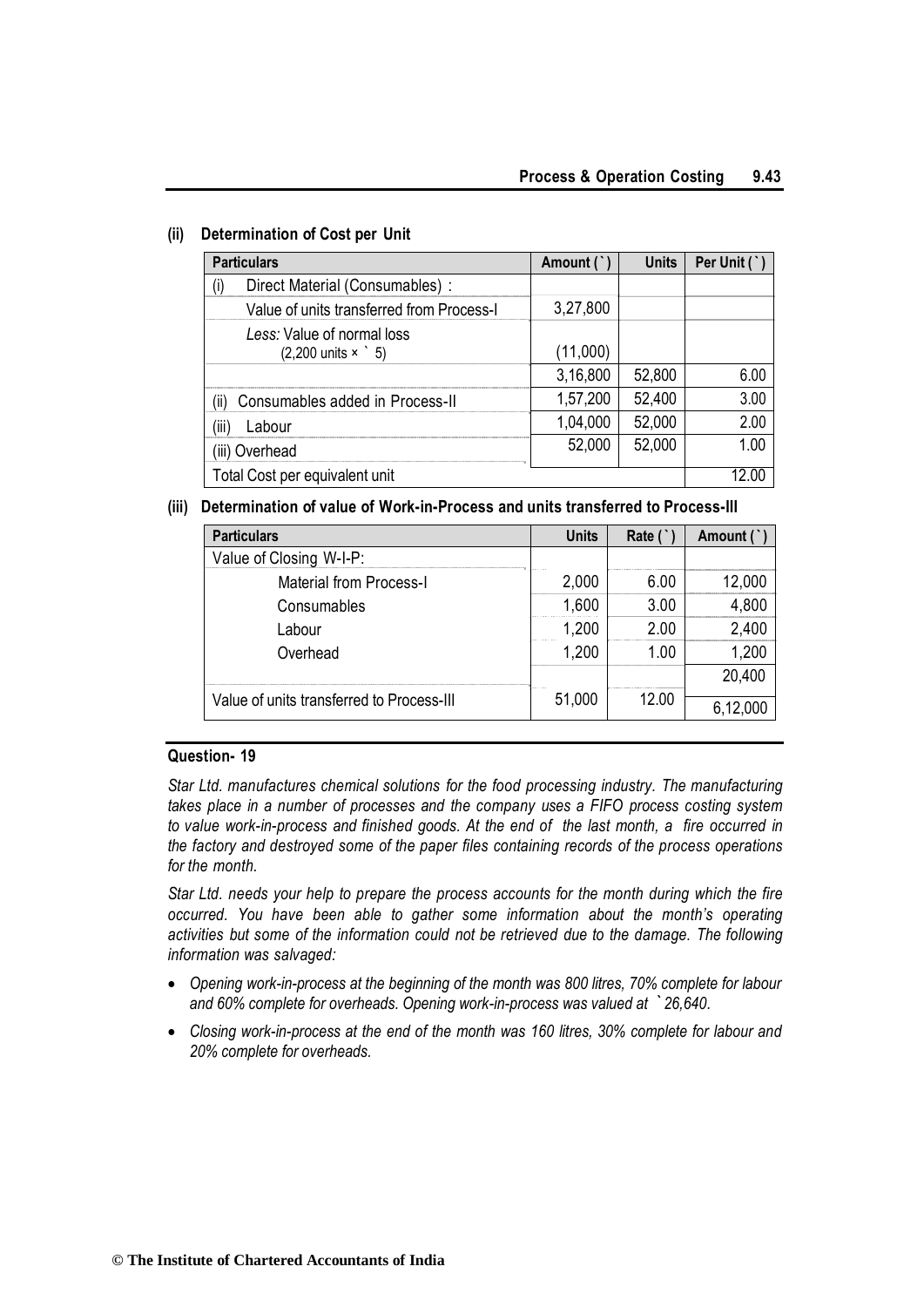| <b>Particulars</b>                                                     | Amount ( | <b>Units</b> | Per Unit ( |
|------------------------------------------------------------------------|----------|--------------|------------|
| Direct Material (Consumables) :<br>(۱)                                 |          |              |            |
| Value of units transferred from Process-I                              | 3,27,800 |              |            |
| Less: Value of normal loss<br>$(2,200 \text{ units} \times \degree 5)$ | (11,000) |              |            |
|                                                                        | 3,16,800 | 52,800       | 6.00       |
| Consumables added in Process-II<br>(ii)                                | 1,57,200 | 52,400       | 3.00       |
| Labour<br>(III                                                         | 1,04,000 | 52,000       | 2.00       |
| (iii) Overhead                                                         | 52,000   | 52,000       | 1.00       |
| Total Cost per equivalent unit                                         |          |              |            |

## **(ii) Determination of Cost per Unit**

## **(iii) Determination of value of Work-in-Process and units transferred to Process-III**

| <b>Particulars</b>                        | <b>Units</b> | Rate ( | Amount ( |
|-------------------------------------------|--------------|--------|----------|
| Value of Closing W-I-P:                   |              |        |          |
| <b>Material from Process-I</b>            | 2,000        | 6.00   | 12.000   |
| Consumables                               | 1,600        | 3.00   | 4,800    |
| Labour                                    | 1,200        | 2.00   | 2,400    |
| Overhead                                  | 1,200        | 1.00   | 1,200    |
|                                           |              |        | 20,400   |
| Value of units transferred to Process-III | 51,000       | 12.00  | 6,12,000 |

## **Question- 19**

*Star Ltd. manufactures chemical solutions for the food processing industry. The manufacturing takes place in a number of processes and the company uses a FIFO process costing system to value work-in-process and finished goods. At the end of the last month, a fire occurred in the factory and destroyed some of the paper files containing records of the process operations for the month.*

*Star Ltd. needs your help to prepare the process accounts for the month during which the fire occurred. You have been able to gather some information about the month's operating activities but some of the information could not be retrieved due to the damage. The following information was salvaged:*

- *Opening work-in-process at the beginning of the month was 800 litres, 70% complete for labour and 60% complete for overheads. Opening work-in-process was valued at `26,640.*
- *Closing work-in-process at the end of the month was 160 litres, 30% complete for labour and 20% complete for overheads.*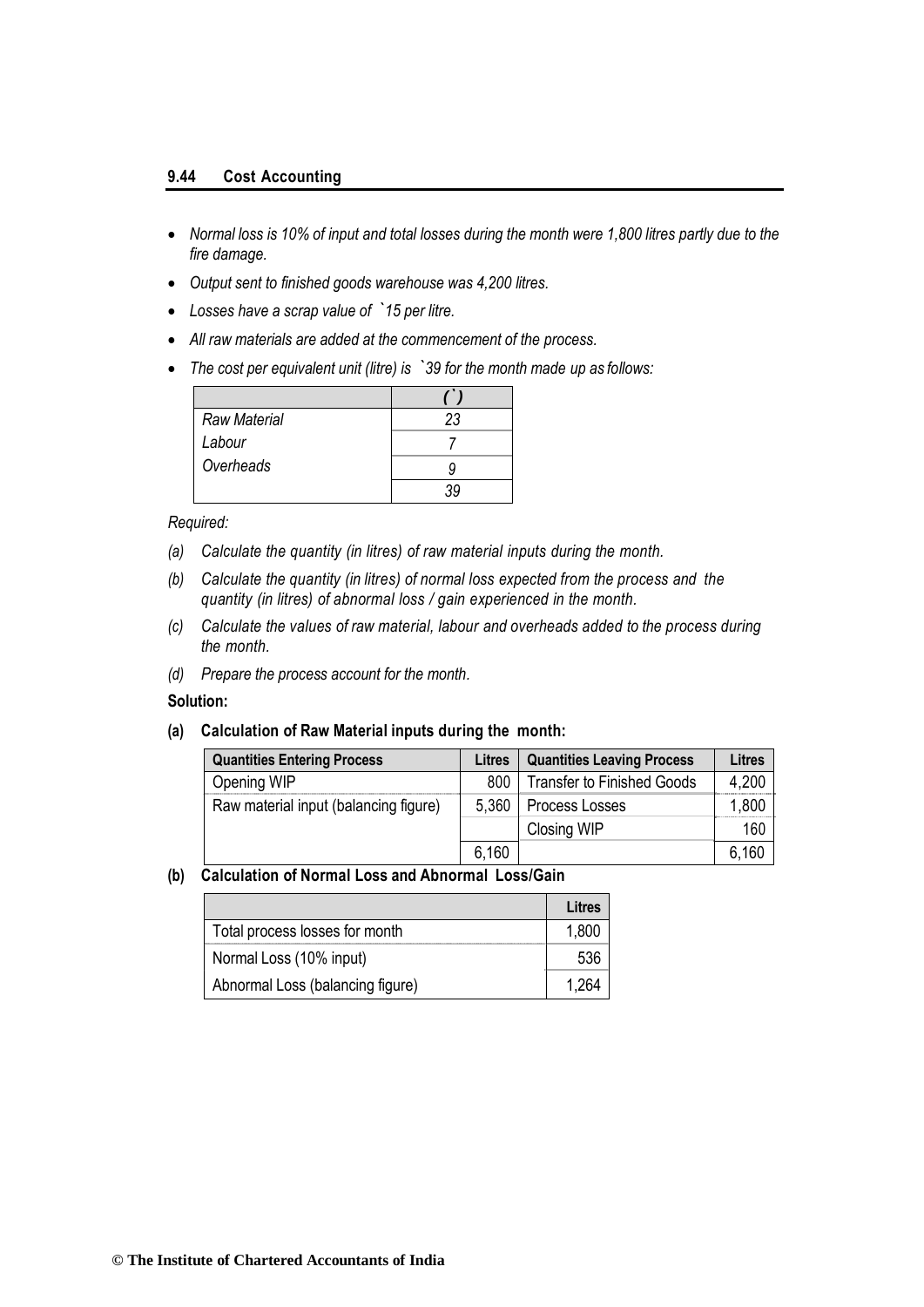#### **9.44 Cost Accounting**

- *Normal loss is 10% of input and total losses during the month were 1,800 litres partly due to the fire damage.*
- *Output sent to finished goods warehouse was 4,200 litres.*
- *Losses have a scrap value of `15 per litre.*
- *All raw materials are added at the commencement of the process.*
- *The cost per equivalent unit (litre) is `39 for the month made up as follows:*

| <b>Raw Material</b> | 23 |
|---------------------|----|
| Labour              |    |
| Overheads           |    |
|                     |    |

#### *Required:*

- *(a) Calculate the quantity (in litres) of raw material inputs during the month.*
- *(b) Calculate the quantity (in litres) of normal loss expected from the process and the quantity (in litres) of abnormal loss / gain experienced in the month.*
- *(c) Calculate the values of raw material, labour and overheads added to the process during the month.*
- *(d) Prepare the process account for the month.*

#### **Solution:**

#### **(a) Calculation of Raw Material inputs during the month:**

| <b>Quantities Entering Process</b>    | <b>Litres</b> | <b>Quantities Leaving Process</b> | Litres |
|---------------------------------------|---------------|-----------------------------------|--------|
| Opening WIP                           | 800           | <b>Transfer to Finished Goods</b> | 4,200  |
| Raw material input (balancing figure) | 5,360         | Process Losses                    | 1,800  |
|                                       |               | Closing WIP                       | 160    |
|                                       | 6,160         |                                   | 6,160  |

#### **(b) Calculation of Normal Loss and Abnormal Loss/Gain**

|                                  | Litres |
|----------------------------------|--------|
| Total process losses for month   | 1,800  |
| Normal Loss (10% input)          | 536    |
| Abnormal Loss (balancing figure) | 1.264  |